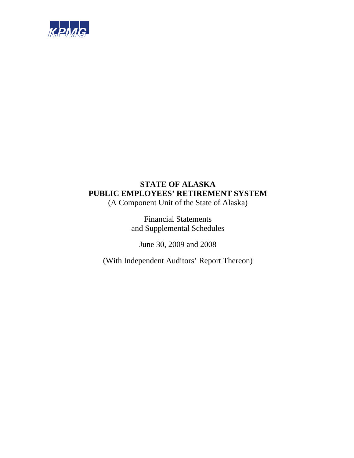

(A Component Unit of the State of Alaska)

Financial Statements and Supplemental Schedules

June 30, 2009 and 2008

(With Independent Auditors' Report Thereon)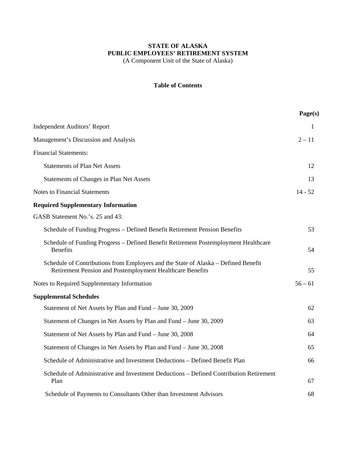(A Component Unit of the State of Alaska)

#### **Table of Contents**

|                                                                                                                                                 | Page(s)   |
|-------------------------------------------------------------------------------------------------------------------------------------------------|-----------|
| <b>Independent Auditors' Report</b>                                                                                                             | 1         |
| Management's Discussion and Analysis                                                                                                            | $2 - 11$  |
| <b>Financial Statements:</b>                                                                                                                    |           |
| <b>Statements of Plan Net Assets</b>                                                                                                            | 12        |
| Statements of Changes in Plan Net Assets                                                                                                        | 13        |
| <b>Notes to Financial Statements</b>                                                                                                            | $14 - 52$ |
| <b>Required Supplementary Information</b>                                                                                                       |           |
| GASB Statement No.'s. 25 and 43:                                                                                                                |           |
| Schedule of Funding Progress – Defined Benefit Retirement Pension Benefits                                                                      | 53        |
| Schedule of Funding Progress - Defined Benefit Retirement Postemployment Healthcare<br><b>Benefits</b>                                          | 54        |
| Schedule of Contributions from Employers and the State of Alaska – Defined Benefit<br>Retirement Pension and Postemployment Healthcare Benefits | 55        |
| Notes to Required Supplementary Information                                                                                                     | $56 - 61$ |
| <b>Supplemental Schedules</b>                                                                                                                   |           |
| Statement of Net Assets by Plan and Fund - June 30, 2009                                                                                        | 62        |
| Statement of Changes in Net Assets by Plan and Fund – June 30, 2009                                                                             | 63        |
| Statement of Net Assets by Plan and Fund – June 30, 2008                                                                                        | 64        |
| Statement of Changes in Net Assets by Plan and Fund – June 30, 2008                                                                             | 65        |
| Schedule of Administrative and Investment Deductions – Defined Benefit Plan                                                                     | 66        |
| Schedule of Administrative and Investment Deductions - Defined Contribution Retirement<br>Plan                                                  | 67        |
| Schedule of Payments to Consultants Other than Investment Advisors                                                                              | 68        |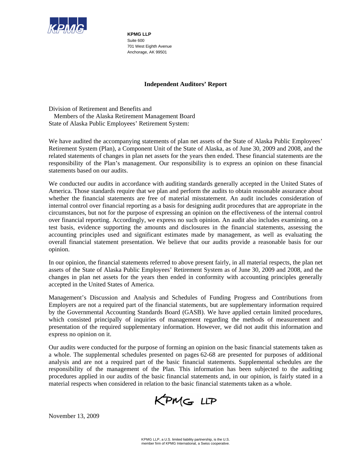

**KPMG LLP**  Suite 600 701 West Eighth Avenue Anchorage, AK 99501

## **Independent Auditors' Report**

Division of Retirement and Benefits and Members of the Alaska Retirement Management Board State of Alaska Public Employees' Retirement System:

We have audited the accompanying statements of plan net assets of the State of Alaska Public Employees' Retirement System (Plan), a Component Unit of the State of Alaska, as of June 30, 2009 and 2008, and the related statements of changes in plan net assets for the years then ended. These financial statements are the responsibility of the Plan's management. Our responsibility is to express an opinion on these financial statements based on our audits.

We conducted our audits in accordance with auditing standards generally accepted in the United States of America. Those standards require that we plan and perform the audits to obtain reasonable assurance about whether the financial statements are free of material misstatement. An audit includes consideration of internal control over financial reporting as a basis for designing audit procedures that are appropriate in the circumstances, but not for the purpose of expressing an opinion on the effectiveness of the internal control over financial reporting. Accordingly, we express no such opinion. An audit also includes examining, on a test basis, evidence supporting the amounts and disclosures in the financial statements, assessing the accounting principles used and significant estimates made by management, as well as evaluating the overall financial statement presentation. We believe that our audits provide a reasonable basis for our opinion.

In our opinion, the financial statements referred to above present fairly, in all material respects, the plan net assets of the State of Alaska Public Employees' Retirement System as of June 30, 2009 and 2008, and the changes in plan net assets for the years then ended in conformity with accounting principles generally accepted in the United States of America.

Management's Discussion and Analysis and Schedules of Funding Progress and Contributions from Employers are not a required part of the financial statements, but are supplementary information required by the Governmental Accounting Standards Board (GASB). We have applied certain limited procedures, which consisted principally of inquiries of management regarding the methods of measurement and presentation of the required supplementary information. However, we did not audit this information and express no opinion on it.

Our audits were conducted for the purpose of forming an opinion on the basic financial statements taken as a whole. The supplemental schedules presented on pages 62-68 are presented for purposes of additional analysis and are not a required part of the basic financial statements. Supplemental schedules are the responsibility of the management of the Plan. This information has been subjected to the auditing procedures applied in our audits of the basic financial statements and, in our opinion, is fairly stated in a material respects when considered in relation to the basic financial statements taken as a whole.

KPMG LLP

November 13, 2009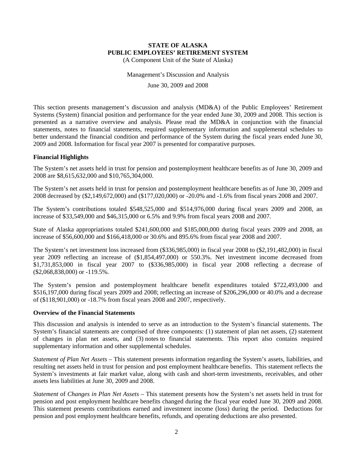(A Component Unit of the State of Alaska)

Management's Discussion and Analysis

June 30, 2009 and 2008

This section presents management's discussion and analysis (MD&A) of the Public Employees' Retirement Systems (System) financial position and performance for the year ended June 30, 2009 and 2008. This section is presented as a narrative overview and analysis. Please read the MD&A in conjunction with the financial statements, notes to financial statements, required supplementary information and supplemental schedules to better understand the financial condition and performance of the System during the fiscal years ended June 30, 2009 and 2008. Information for fiscal year 2007 is presented for comparative purposes.

#### **Financial Highlights**

The System's net assets held in trust for pension and postemployment healthcare benefits as of June 30, 2009 and 2008 are \$8,615,632,000 and \$10,765,304,000.

The System's net assets held in trust for pension and postemployment healthcare benefits as of June 30, 2009 and 2008 decreased by (\$2,149,672,000) and (\$177,020,000) or -20.0% and -1.6% from fiscal years 2008 and 2007.

The System's contributions totaled \$548,525,000 and \$514,976,000 during fiscal years 2009 and 2008, an increase of \$33,549,000 and \$46,315,000 or 6.5% and 9.9% from fiscal years 2008 and 2007.

State of Alaska appropriations totaled \$241,600,000 and \$185,000,000 during fiscal years 2009 and 2008, an increase of \$56,600,000 and \$166,418,000 or 30.6% and 895.6% from fiscal year 2008 and 2007.

The System's net investment loss increased from (\$336,985,000) in fiscal year 2008 to (\$2,191,482,000) in fiscal year 2009 reflecting an increase of (\$1,854,497,000) or 550.3%. Net investment income decreased from \$1,731,853,000 in fiscal year 2007 to (\$336,985,000) in fiscal year 2008 reflecting a decrease of (\$2,068,838,000) or -119.5%.

The System's pension and postemployment healthcare benefit expenditures totaled \$722,493,000 and \$516,197,000 during fiscal years 2009 and 2008; reflecting an increase of \$206,296,000 or 40.0% and a decrease of (\$118,901,000) or -18.7% from fiscal years 2008 and 2007, respectively.

#### **Overview of the Financial Statements**

This discussion and analysis is intended to serve as an introduction to the System's financial statements. The System's financial statements are comprised of three components: (1) statement of plan net assets, (2) statement of changes in plan net assets, and (3) notes to financial statements. This report also contains required supplementary information and other supplemental schedules.

*Statement of Plan Net Assets* – This statement presents information regarding the System's assets, liabilities, and resulting net assets held in trust for pension and post employment healthcare benefits. This statement reflects the System's investments at fair market value, along with cash and short-term investments, receivables, and other assets less liabilities at June 30, 2009 and 2008.

*Statement* of *Changes in Plan Net Assets* – This statement presents how the System's net assets held in trust for pension and post employment healthcare benefits changed during the fiscal year ended June 30, 2009 and 2008. This statement presents contributions earned and investment income (loss) during the period. Deductions for pension and post employment healthcare benefits, refunds, and operating deductions are also presented.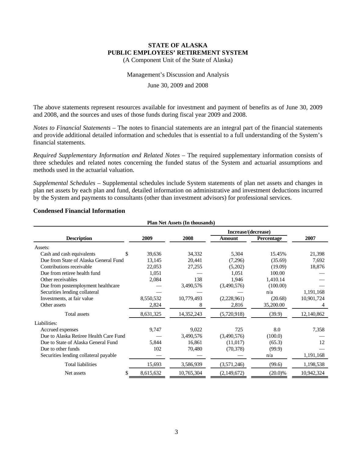(A Component Unit of the State of Alaska)

#### Management's Discussion and Analysis

#### June 30, 2009 and 2008

The above statements represent resources available for investment and payment of benefits as of June 30, 2009 and 2008, and the sources and uses of those funds during fiscal year 2009 and 2008.

*Notes to Financial Statements* – The notes to financial statements are an integral part of the financial statements and provide additional detailed information and schedules that is essential to a full understanding of the System's financial statements.

*Required Supplementary Information and Related Notes* – The required supplementary information consists of three schedules and related notes concerning the funded status of the System and actuarial assumptions and methods used in the actuarial valuation.

*Supplemental Schedules* – Supplemental schedules include System statements of plan net assets and changes in plan net assets by each plan and fund, detailed information on administrative and investment deductions incurred by the System and payments to consultants (other than investment advisors) for professional services.

| <b>Plan Net Assets (In thousands)</b>  |           |            |                     |            |            |  |  |  |
|----------------------------------------|-----------|------------|---------------------|------------|------------|--|--|--|
|                                        |           |            | Increase/(decrease) |            |            |  |  |  |
| <b>Description</b>                     | 2009      | 2008       | Amount              | Percentage | 2007       |  |  |  |
| Assets:                                |           |            |                     |            |            |  |  |  |
| Cash and cash equivalents              | 39,636    | 34,332     | 5,304               | 15.45%     | 21,398     |  |  |  |
| Due from State of Alaska General Fund  | 13,145    | 20,441     | (7,296)             | (35.69)    | 7,692      |  |  |  |
| Contributions receivable               | 22,053    | 27,255     | (5,202)             | (19.09)    | 18,876     |  |  |  |
| Due from retiree health fund           | 1,051     |            | 1,051               | 100.00     |            |  |  |  |
| Other receivables                      | 2,084     | 138        | 1,946               | 1,410.14   |            |  |  |  |
| Due from postemployment healthcare     |           | 3,490,576  | (3,490,576)         | (100.00)   |            |  |  |  |
| Securities lending collateral          |           |            |                     | n/a        | 1,191,168  |  |  |  |
| Investments, at fair value             | 8,550,532 | 10,779,493 | (2,228,961)         | (20.68)    | 10,901,724 |  |  |  |
| Other assets                           | 2,824     | 8          | 2,816               | 35,200.00  | 4          |  |  |  |
| Total assets                           | 8,631,325 | 14,352,243 | (5,720,918)         | (39.9)     | 12,140,862 |  |  |  |
| Liabilities:                           |           |            |                     |            |            |  |  |  |
| Accrued expenses                       | 9,747     | 9,022      | 725                 | 8.0        | 7,358      |  |  |  |
| Due to Alaska Retiree Health Care Fund |           | 3,490,576  | (3,490,576)         | (100.0)    |            |  |  |  |
| Due to State of Alaska General Fund    | 5,844     | 16,861     | (11,017)            | (65.3)     | 12         |  |  |  |
| Due to other funds                     | 102       | 70,480     | (70, 378)           | (99.9)     |            |  |  |  |
| Securities lending collateral payable  |           |            |                     | n/a        | 1,191,168  |  |  |  |
| <b>Total liabilities</b>               | 15,693    | 3,586,939  | (3,571,246)         | (99.6)     | 1,198,538  |  |  |  |
| Net assets                             | 8,615,632 | 10,765,304 | (2,149,672)         | $(20.0)\%$ | 10,942,324 |  |  |  |

#### **Condensed Financial Information**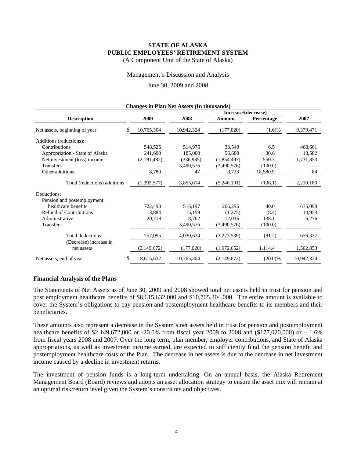(A Component Unit of the State of Alaska)

Management's Discussion and Analysis

#### June 30, 2009 and 2008

| <b>Changes in Plan Net Assets (In thousands)</b> |    |             |            |                     |            |            |  |  |  |
|--------------------------------------------------|----|-------------|------------|---------------------|------------|------------|--|--|--|
|                                                  |    |             |            | Increase/(decrease) |            |            |  |  |  |
| <b>Description</b>                               |    | 2009        | 2008       | Amount              | Percentage | 2007       |  |  |  |
| Net assets, beginning of year                    | \$ | 10,765,304  | 10,942,324 | (177,020)           | $(1.6)\%$  | 9,379,471  |  |  |  |
| Additions (reductions):                          |    |             |            |                     |            |            |  |  |  |
| Contributions                                    |    | 548,525     | 514,976    | 33,549              | 6.5        | 468,661    |  |  |  |
| Appropriation - State of Alaska                  |    | 241,600     | 185,000    | 56,600              | 30.6       | 18,582     |  |  |  |
| Net investment (loss) income                     |    | (2,191,482) | (336,985)  | (1,854,497)         | 550.3      | 1,731,853  |  |  |  |
| <b>Transfers</b>                                 |    |             | 3,490,576  | (3,490,576)         | (100.0)    |            |  |  |  |
| Other additions                                  |    | 8,780       | 47         | 8,733               | 18,580.9   | 84         |  |  |  |
| Total (reductions) additions                     |    | (1,392,577) | 3,853,614  | (5,246,191)         | (136.1)    | 2,219,180  |  |  |  |
| Deductions:                                      |    |             |            |                     |            |            |  |  |  |
| Pension and postemployment                       |    |             |            |                     |            |            |  |  |  |
| healthcare benefits                              |    | 722,493     | 516,197    | 206,296             | 40.0       | 635,098    |  |  |  |
| <b>Refund of Contributions</b>                   |    | 13,884      | 15,159     | (1,275)             | (8.4)      | 14,953     |  |  |  |
| Administrative                                   |    | 20,718      | 8,702      | 12,016              | 138.1      | 6,276      |  |  |  |
| <b>Transfers</b>                                 |    |             | 3,490,576  | (3,490,576)         | (100.0)    |            |  |  |  |
| Total deductions                                 |    | 757,095     | 4,030,634  | (3,273,539)         | (81.2)     | 656,327    |  |  |  |
| (Decrease) increase in                           |    |             |            |                     |            |            |  |  |  |
| net assets                                       |    | (2,149,672) | (177,020)  | (1,972,652)         | 1,114.4    | 1,562,853  |  |  |  |
| Net assets, end of year                          | S  | 8,615,632   | 10,765,304 | (2,149,672)         | $(20.0)\%$ | 10,942,324 |  |  |  |

#### **Changes in Plan Net Assets (In thousands)**

#### **Financial Analysis of the Plans**

The Statements of Net Assets as of June 30, 2009 and 2008 showed total net assets held in trust for pension and post employment healthcare benefits of \$8,615,632,000 and \$10,765,304,000. The entire amount is available to cover the System's obligations to pay pension and postemployment healthcare benefits to its members and their beneficiaries.

These amounts also represent a decrease in the System's net assets held in trust for pension and postemployment healthcare benefits of \$2,149,672,000 or -20.0% from fiscal year 2009 to 2008 and (\$177,020,000) or – 1.6% from fiscal years 2008 and 2007. Over the long term, plan member, employer contributions, and State of Alaska appropriations, as well as investment income earned, are expected to sufficiently fund the pension benefit and postemployment healthcare costs of the Plan. The decrease in net assets is due to the decrease in net investment income caused by a decline in investment returns.

The investment of pension funds is a long-term undertaking. On an annual basis, the Alaska Retirement Management Board (Board) reviews and adopts an asset allocation strategy to ensure the asset mix will remain at an optimal risk/return level given the System's constraints and objectives.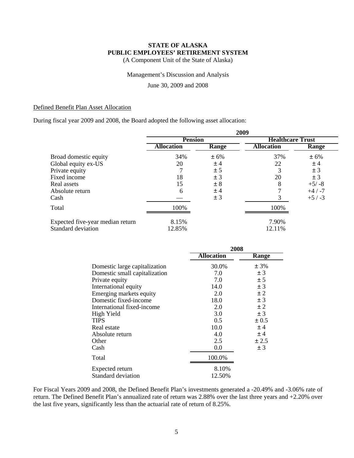(A Component Unit of the State of Alaska)

#### Management's Discussion and Analysis

June 30, 2009 and 2008

#### Defined Benefit Plan Asset Allocation

During fiscal year 2009 and 2008, the Board adopted the following asset allocation:

|                                  | 2009              |       |                         |          |  |  |
|----------------------------------|-------------------|-------|-------------------------|----------|--|--|
|                                  | <b>Pension</b>    |       | <b>Healthcare Trust</b> |          |  |  |
|                                  | <b>Allocation</b> | Range | <b>Allocation</b>       | Range    |  |  |
| Broad domestic equity            | 34%               | ± 6%  | 37%                     | $± 6\%$  |  |  |
| Global equity ex-US              | 20                | ±4    | 22                      | ±4       |  |  |
| Private equity                   |                   | ± 5   |                         | ± 3      |  |  |
| Fixed income                     | 18                | ± 3   | 20                      | ± 3      |  |  |
| Real assets                      | 15                | ± 8   | 8                       | $+5/ -8$ |  |  |
| Absolute return                  | 6                 | ±4    |                         | $+4/ -7$ |  |  |
| Cash                             |                   | ± 3   |                         | $+5/ -3$ |  |  |
| Total                            | 100%              |       | 100%                    |          |  |  |
| Expected five-year median return | 8.15%             |       | 7.90%                   |          |  |  |
| Standard deviation               | 12.85%            |       | 12.11%                  |          |  |  |

|                               | 2008              |           |  |  |
|-------------------------------|-------------------|-----------|--|--|
|                               | <b>Allocation</b> | Range     |  |  |
| Domestic large capitalization | 30.0%             | ± 3%      |  |  |
| Domestic small capitalization | 7.0               | ± 3       |  |  |
| Private equity                | 7.0               | ± 5       |  |  |
| International equity          | 14.0              | ± 3       |  |  |
| Emerging markets equity       | 2.0               | $\pm 2$   |  |  |
| Domestic fixed-income         | 18.0              | $\pm 3$   |  |  |
| International fixed-income    | 2.0               | $\pm 2$   |  |  |
| High Yield                    | 3.0               | $\pm$ 3   |  |  |
| <b>TIPS</b>                   | 0.5               | $\pm 0.5$ |  |  |
| Real estate                   | 10.0              | ±4        |  |  |
| Absolute return               | 4.0               | ±4        |  |  |
| Other                         | 2.5               | ± 2.5     |  |  |
| Cash                          | 0.0               | $\pm 3$   |  |  |
| Total                         | 100.0%            |           |  |  |
| Expected return               | 8.10%             |           |  |  |
| Standard deviation            | 12.50%            |           |  |  |

For Fiscal Years 2009 and 2008, the Defined Benefit Plan's investments generated a -20.49% and -3.06% rate of return. The Defined Benefit Plan's annualized rate of return was 2.88% over the last three years and +2.20% over the last five years, significantly less than the actuarial rate of return of 8.25%.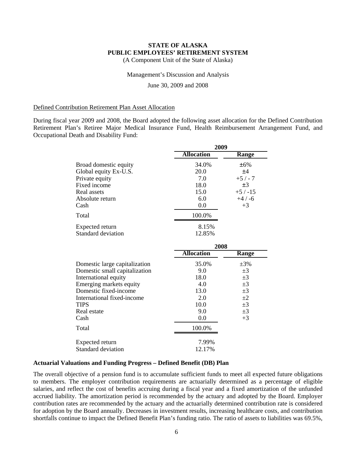(A Component Unit of the State of Alaska)

#### Management's Discussion and Analysis

June 30, 2009 and 2008

#### Defined Contribution Retirement Plan Asset Allocation

During fiscal year 2009 and 2008, the Board adopted the following asset allocation for the Defined Contribution Retirement Plan's Retiree Major Medical Insurance Fund, Health Reimbursement Arrangement Fund, and Occupational Death and Disability Fund:

|                               | 2009              |           |  |  |
|-------------------------------|-------------------|-----------|--|--|
|                               | <b>Allocation</b> | Range     |  |  |
| Broad domestic equity         | 34.0%             | ±6%       |  |  |
| Global equity Ex-U.S.         | 20.0              | ±4        |  |  |
| Private equity                | 7.0               | $+5/ -7$  |  |  |
| Fixed income                  | 18.0              | $\pm 3$   |  |  |
| Real assets                   | 15.0              | $+5/ -15$ |  |  |
| Absolute return               | 6.0               | $+4/ -6$  |  |  |
| Cash                          | 0.0               | $+3$      |  |  |
| Total                         | 100.0%            |           |  |  |
| Expected return               | 8.15%             |           |  |  |
| <b>Standard deviation</b>     | 12.85%            |           |  |  |
|                               | 2008              |           |  |  |
|                               | <b>Allocation</b> | Range     |  |  |
| Domestic large capitalization | 35.0%             | $\pm 3\%$ |  |  |
| Domestic small capitalization | 9.0               | $\pm 3$   |  |  |
| International equity          | 18.0              | $\pm 3$   |  |  |
| Emerging markets equity       | 4.0               | $\pm 3$   |  |  |
| Domestic fixed-income         | 13.0              | $\pm 3$   |  |  |
| International fixed-income    | 2.0               | $\pm 2$   |  |  |
| <b>TIPS</b>                   | 10.0              | $\pm 3$   |  |  |
| Real estate                   | 9.0               | $\pm 3$   |  |  |
| Cash                          | 0.0               | $+3$      |  |  |
| Total                         | 100.0%            |           |  |  |
| Expected return               | 7.99%             |           |  |  |
| <b>Standard deviation</b>     | 12.17%            |           |  |  |

#### **Actuarial Valuations and Funding Progress – Defined Benefit (DB) Plan**

The overall objective of a pension fund is to accumulate sufficient funds to meet all expected future obligations to members. The employer contribution requirements are actuarially determined as a percentage of eligible salaries, and reflect the cost of benefits accruing during a fiscal year and a fixed amortization of the unfunded accrued liability. The amortization period is recommended by the actuary and adopted by the Board. Employer contribution rates are recommended by the actuary and the actuarially determined contribution rate is considered for adoption by the Board annually. Decreases in investment results, increasing healthcare costs, and contribution shortfalls continue to impact the Defined Benefit Plan's funding ratio. The ratio of assets to liabilities was 69.5%,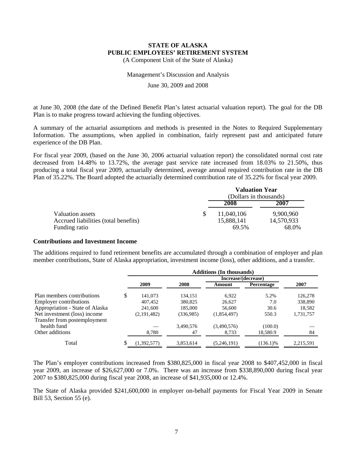(A Component Unit of the State of Alaska)

#### Management's Discussion and Analysis

#### June 30, 2009 and 2008

at June 30, 2008 (the date of the Defined Benefit Plan's latest actuarial valuation report). The goal for the DB Plan is to make progress toward achieving the funding objectives.

A summary of the actuarial assumptions and methods is presented in the Notes to Required Supplementary Information. The assumptions, when applied in combination, fairly represent past and anticipated future experience of the DB Plan.

For fiscal year 2009, (based on the June 30, 2006 actuarial valuation report) the consolidated normal cost rate decreased from 14.48% to 13.72%, the average past service rate increased from 18.03% to 21.50%, thus producing a total fiscal year 2009, actuarially determined, average annual required contribution rate in the DB Plan of 35.22%. The Board adopted the actuarially determined contribution rate of 35.22% for fiscal year 2009.

|                                      | <b>Valuation Year</b><br>(Dollars in thousands) |            |
|--------------------------------------|-------------------------------------------------|------------|
|                                      | 2008                                            | 2007       |
| Valuation assets                     | 11,040,106                                      | 9.900.960  |
| Accrued liabilities (total benefits) | 15,888,141                                      | 14,570,933 |
| Funding ratio                        | 69.5%                                           | 68.0%      |

#### **Contributions and Investment Income**

The additions required to fund retirement benefits are accumulated through a combination of employer and plan member contributions, State of Alaska appropriation, investment income (loss), other additions, and a transfer.

|                                 | <b>Additions (In thousands)</b> |           |                     |             |           |  |  |  |
|---------------------------------|---------------------------------|-----------|---------------------|-------------|-----------|--|--|--|
|                                 |                                 |           | Increase/(decrease) |             |           |  |  |  |
|                                 | 2009                            | 2008      | Amount              | Percentage  | 2007      |  |  |  |
| Plan members contributions      | \$<br>141,073                   | 134.151   | 6,922               | 5.2%        | 126,278   |  |  |  |
| <b>Employer contributions</b>   | 407,452                         | 380,825   | 26.627              | 7.0         | 338,890   |  |  |  |
| Appropriation - State of Alaska | 241,600                         | 185,000   | 56,600              | 30.6        | 18,582    |  |  |  |
| Net investment (loss) income    | (2,191,482)                     | (336,985) | (1,854,497)         | 550.3       | 1,731,757 |  |  |  |
| Transfer from postemployment    |                                 |           |                     |             |           |  |  |  |
| health fund                     |                                 | 3,490,576 | (3,490,576)         | (100.0)     |           |  |  |  |
| Other additions                 | 8,780                           | 47        | 8,733               | 18,580.9    | 84        |  |  |  |
| Total                           | (1,392,577)                     | 3,853,614 | (5,246,191)         | $(136.1)\%$ | 2,215,591 |  |  |  |

The Plan's employer contributions increased from \$380,825,000 in fiscal year 2008 to \$407,452,000 in fiscal year 2009, an increase of \$26,627,000 or 7.0%. There was an increase from \$338,890,000 during fiscal year 2007 to \$380,825,000 during fiscal year 2008, an increase of \$41,935,000 or 12.4%.

The State of Alaska provided \$241,600,000 in employer on-behalf payments for Fiscal Year 2009 in Senate Bill 53, Section 55 (e).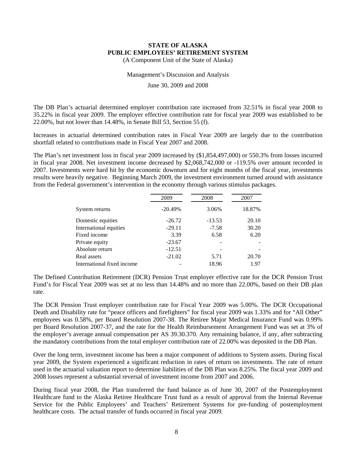(A Component Unit of the State of Alaska)

#### Management's Discussion and Analysis

June 30, 2009 and 2008

The DB Plan's actuarial determined employer contribution rate increased from 32.51% in fiscal year 2008 to 35.22% in fiscal year 2009. The employer effective contribution rate for fiscal year 2009 was established to be 22.00%, but not lower than 14.48%, in Senate Bill 53, Section 55 (f).

Increases in actuarial determined contribution rates in Fiscal Year 2009 are largely due to the contribution shortfall related to contributions made in Fiscal Year 2007 and 2008.

The Plan's net investment loss in fiscal year 2009 increased by (\$1,854,497,000) or 550.3% from losses incurred in fiscal year 2008. Net investment income decreased by \$2,068,742,000 or -119.5% over amount recorded in 2007. Investments were hard hit by the economic downturn and for eight months of the fiscal year, investments results were heavily negative. Beginning March 2009, the investment environment turned around with assistance from the Federal government's intervention in the economy through various stimulus packages.

|                            | 2009      | 2008     | 2007   |  |
|----------------------------|-----------|----------|--------|--|
| System returns             | $-20.49%$ | 3.06%    | 18.87% |  |
| Domestic equities          | $-26.72$  | $-13.53$ | 20.10  |  |
| International equities     | $-29.11$  | $-7.58$  | 30.20  |  |
| Fixed income               | 3.39      | 6.58     | 6.20   |  |
| Private equity             | $-23.67$  |          |        |  |
| Absolute return            | $-12.51$  |          |        |  |
| Real assets                | $-21.02$  | 5.71     | 20.70  |  |
| International fixed income |           | 18.96    | 1.97   |  |

The Defined Contribution Retirement (DCR) Pension Trust employer effective rate for the DCR Pension Trust Fund's for Fiscal Year 2009 was set at no less than 14.48% and no more than 22.00%, based on their DB plan rate.

The DCR Pension Trust employer contribution rate for Fiscal Year 2009 was 5.00%. The DCR Occupational Death and Disability rate for "peace officers and firefighters" for fiscal year 2009 was 1.33% and for "All Other" employees was 0.58%, per Board Resolution 2007-38. The Retiree Major Medical Insurance Fund was 0.99% per Board Resolution 2007-37, and the rate for the Health Reimbursement Arrangement Fund was set at 3% of the employer's average annual compensation per AS 39.30.370. Any remaining balance, if any, after subtracting the mandatory contributions from the total employer contribution rate of 22.00% was deposited in the DB Plan.

Over the long term, investment income has been a major component of additions to System assets. During fiscal year 2009, the System experienced a significant reduction in rates of return on investments. The rate of return used in the actuarial valuation report to determine liabilities of the DB Plan was 8.25%. The fiscal year 2009 and 2008 losses represent a substantial reversal of investment income from 2007 and 2006.

During fiscal year 2008, the Plan transferred the fund balance as of June 30, 2007 of the Postemployment Healthcare fund to the Alaska Retiree Healthcare Trust fund as a result of approval from the Internal Revenue Service for the Public Employees' and Teachers' Retirement Systems for pre-funding of postemployment healthcare costs. The actual transfer of funds occurred in fiscal year 2009.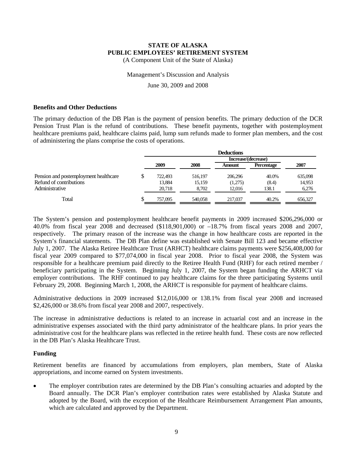(A Component Unit of the State of Alaska)

#### Management's Discussion and Analysis

June 30, 2009 and 2008

#### **Benefits and Other Deductions**

The primary deduction of the DB Plan is the payment of pension benefits. The primary deduction of the DCR Pension Trust Plan is the refund of contributions. These benefit payments, together with postemployment healthcare premiums paid, healthcare claims paid, lump sum refunds made to former plan members, and the cost of administering the plans comprise the costs of operations.

|                                       |    | <b>Deductions</b> |         |                     |                   |         |  |  |
|---------------------------------------|----|-------------------|---------|---------------------|-------------------|---------|--|--|
|                                       |    |                   |         | Increase/(decrease) |                   |         |  |  |
|                                       |    | 2009              | 2008    | Amount              | <b>Percentage</b> | 2007    |  |  |
| Pension and postemployment healthcare | Φ  | 722,493           | 516,197 | 206,296             | 40.0%             | 635,098 |  |  |
| Refund of contributions               |    | 13.884            | 15,159  | (1,275)             | (8.4)             | 14,953  |  |  |
| Administrative                        |    | 20.718            | 8.702   | 12.016              | 138.1             | 6,276   |  |  |
| Total                                 | J. | 757,095           | 540,058 | 217,037             | 40.2%             | 656,327 |  |  |

The System's pension and postemployment healthcare benefit payments in 2009 increased \$206,296,000 or 40.0% from fiscal year 2008 and decreased (\$118,901,000) or –18.7% from fiscal years 2008 and 2007, respectively. The primary reason of the increase was the change in how healthcare costs are reported in the System's financial statements. The DB Plan define was established with Senate Bill 123 and became effective July 1, 2007. The Alaska Retiree Healthcare Trust (ARHCT) healthcare claims payments were \$256,408,000 for fiscal year 2009 compared to \$77,074,000 in fiscal year 2008. Prior to fiscal year 2008, the System was responsible for a healthcare premium paid directly to the Retiree Health Fund (RHF) for each retired member / beneficiary participating in the System. Beginning July 1, 2007, the System began funding the ARHCT via employer contributions. The RHF continued to pay healthcare claims for the three participating Systems until February 29, 2008. Beginning March 1, 2008, the ARHCT is responsible for payment of healthcare claims.

Administrative deductions in 2009 increased \$12,016,000 or 138.1% from fiscal year 2008 and increased \$2,426,000 or 38.6% from fiscal year 2008 and 2007, respectively.

The increase in administrative deductions is related to an increase in actuarial cost and an increase in the administrative expenses associated with the third party administrator of the healthcare plans. In prior years the administrative cost for the healthcare plans was reflected in the retiree health fund. These costs are now reflected in the DB Plan's Alaska Healthcare Trust.

#### **Funding**

Retirement benefits are financed by accumulations from employers, plan members, State of Alaska appropriations, and income earned on System investments.

• The employer contribution rates are determined by the DB Plan's consulting actuaries and adopted by the Board annually. The DCR Plan's employer contribution rates were established by Alaska Statute and adopted by the Board, with the exception of the Healthcare Reimbursement Arrangement Plan amounts, which are calculated and approved by the Department.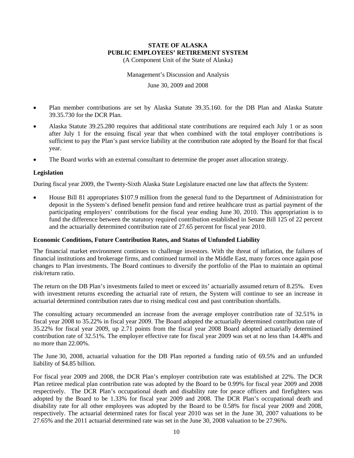(A Component Unit of the State of Alaska)

Management's Discussion and Analysis

June 30, 2009 and 2008

- Plan member contributions are set by Alaska Statute 39.35.160. for the DB Plan and Alaska Statute 39.35.730 for the DCR Plan.
- Alaska Statute 39.25.280 requires that additional state contributions are required each July 1 or as soon after July 1 for the ensuing fiscal year that when combined with the total employer contributions is sufficient to pay the Plan's past service liability at the contribution rate adopted by the Board for that fiscal year.
- The Board works with an external consultant to determine the proper asset allocation strategy.

#### **Legislation**

During fiscal year 2009, the Twenty-Sixth Alaska State Legislature enacted one law that affects the System:

• House Bill 81 appropriates \$107.9 million from the general fund to the Department of Administration for deposit in the System's defined benefit pension fund and retiree healthcare trust as partial payment of the participating employers' contributions for the fiscal year ending June 30, 2010. This appropriation is to fund the difference between the statutory required contribution established in Senate Bill 125 of 22 percent and the actuarially determined contribution rate of 27.65 percent for fiscal year 2010.

#### **Economic Conditions, Future Contribution Rates, and Status of Unfunded Liability**

The financial market environment continues to challenge investors. With the threat of inflation, the failures of financial institutions and brokerage firms, and continued turmoil in the Middle East, many forces once again pose changes to Plan investments. The Board continues to diversify the portfolio of the Plan to maintain an optimal risk/return ratio.

The return on the DB Plan's investments failed to meet or exceed its' actuarially assumed return of 8.25%. Even with investment returns exceeding the actuarial rate of return, the System will continue to see an increase in actuarial determined contribution rates due to rising medical cost and past contribution shortfalls.

The consulting actuary recommended an increase from the average employer contribution rate of 32.51% in fiscal year 2008 to 35.22% in fiscal year 2009. The Board adopted the actuarially determined contribution rate of 35.22% for fiscal year 2009, up 2.71 points from the fiscal year 2008 Board adopted actuarially determined contribution rate of 32.51%. The employer effective rate for fiscal year 2009 was set at no less than 14.48% and no more than 22.00%.

The June 30, 2008, actuarial valuation for the DB Plan reported a funding ratio of 69.5% and an unfunded liability of \$4.85 billion.

For fiscal year 2009 and 2008, the DCR Plan's employer contribution rate was established at 22%. The DCR Plan retiree medical plan contribution rate was adopted by the Board to be 0.99% for fiscal year 2009 and 2008 respectively. The DCR Plan's occupational death and disability rate for peace officers and firefighters was adopted by the Board to be 1.33% for fiscal year 2009 and 2008. The DCR Plan's occupational death and disability rate for all other employees was adopted by the Board to be 0.58% for fiscal year 2009 and 2008, respectively. The actuarial determined rates for fiscal year 2010 was set in the June 30, 2007 valuations to be 27.65% and the 2011 actuarial determined rate was set in the June 30, 2008 valuation to be 27.96%.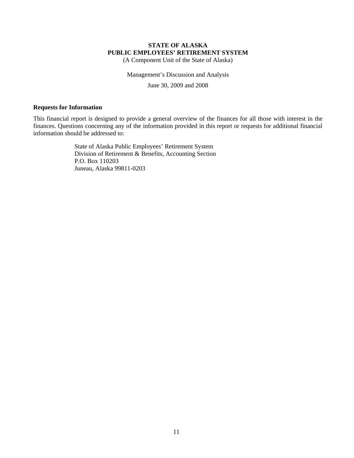(A Component Unit of the State of Alaska)

Management's Discussion and Analysis

June 30, 2009 and 2008

#### **Requests for Information**

This financial report is designed to provide a general overview of the finances for all those with interest in the finances. Questions concerning any of the information provided in this report or requests for additional financial information should be addressed to:

> State of Alaska Public Employees' Retirement System Division of Retirement & Benefits, Accounting Section P.O. Box 110203 Juneau, Alaska 99811-0203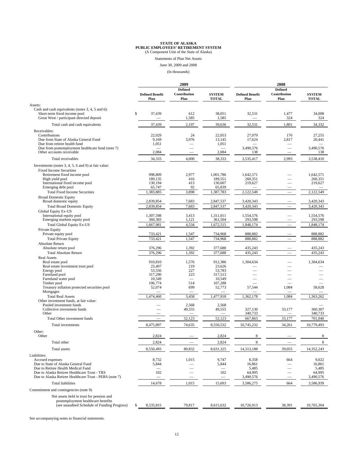Statements of Plan Net Assets

June 30, 2009 and 2008

(In thousands)

|                                                                                  | 2009                           |                      |                               | 2008                           |                          |                               |
|----------------------------------------------------------------------------------|--------------------------------|----------------------|-------------------------------|--------------------------------|--------------------------|-------------------------------|
|                                                                                  |                                | <b>Defined</b>       |                               |                                | <b>Defined</b>           |                               |
|                                                                                  | <b>Defined Benefit</b><br>Plan | Contribution<br>Plan | <b>SYSTEM</b><br><b>TOTAL</b> | <b>Defined Benefit</b><br>Plan | Contribution<br>Plan     | <b>SYSTEM</b><br><b>TOTAL</b> |
| Assets:                                                                          |                                |                      |                               |                                |                          |                               |
| Cash and cash equivalents (notes 3, 4, 5 and 6):                                 |                                |                      |                               |                                |                          |                               |
| Short-term fixed income pool<br>Great West / participant directed deposit        | 37,439<br>s.                   | 612<br>1,585         | 38,051<br>1,585               | 32,531                         | 1,477<br>324             | 34,008<br>324                 |
| Total cash and cash equivalents                                                  | 37,439                         | 2,197                | 39,636                        | 32,531                         | 1,801                    | 34,332                        |
| Receivables:                                                                     |                                |                      |                               |                                |                          |                               |
| Contributions                                                                    | 22,029                         | 24                   | 22,053                        | 27,079                         | 176                      | 27,255                        |
| Due from State of Alaska General Fund                                            | 9,169                          | 3,976                | 13,145                        | 17,624                         | 2,817                    | 20,441                        |
| Due from retiree health fund<br>Due from postemployment healthcare fund (note 7) | 1,051                          |                      | 1,051                         | 3,490,576                      |                          | 3,490,576                     |
| Other accounts receivable                                                        | 2,084                          |                      | 2,084                         | 138                            |                          | 138                           |
| Total receivables                                                                | 34,333                         | 4,000                | 38,333                        | 3,535,417                      | 2,993                    | 3,538,410                     |
| Investments (notes 3, 4, 5, 6 and 9) at fair value:                              |                                |                      |                               |                                |                          |                               |
| <b>Fixed Income Securities</b>                                                   |                                |                      |                               |                                |                          |                               |
| Retirement fixed income pool                                                     | 998,809                        | 2,977                | 1,001,786                     | 1,642,571                      |                          | 1,642,571                     |
| High yield pool                                                                  | 189,135                        | 416                  | 189,551                       | 260,351                        |                          | 260,351                       |
| International fixed income pool                                                  | 130,194                        | 413                  | 130,607                       | 219,627                        |                          | 219,627                       |
| Emerging debt pool                                                               | 65,747                         | 92                   | 65,839                        |                                |                          |                               |
| <b>Total Fixed Income Securities</b>                                             | 1,383,885                      | 3,898                | 1,387,783                     | 2,122,549                      |                          | 2,122,549                     |
| <b>Broad Domestic Equity</b><br>Broad domestic equity                            | 2,839,854                      | 7,683                | 2,847,537                     | 3,420,343                      |                          | 3,420,343                     |
| <b>Total Broad Domestic Equity</b>                                               | 2,839,854                      | 7,683                | 2,847,537                     | 3,420,343                      |                          | 3,420,343                     |
| Global Equity Ex-US                                                              |                                |                      |                               |                                |                          |                               |
| International equity pool                                                        | 1,307,598                      | 3,413                | 1.311.011                     | 1,554,576                      |                          | 1,554,576                     |
| Emerging markets equity pool                                                     | 360,383                        | 1,121                | 361,504                       | 293,598                        |                          | 293,598                       |
| <b>Total Global Equity Ex-US</b>                                                 | 1,667,981                      | 4,534                | 1,672,515                     | 1,848,174                      |                          | 1.848.174                     |
| Private Equity                                                                   |                                |                      |                               |                                |                          |                               |
| Private equity pool                                                              | 733,421<br>733,421             | 1,547<br>1,547       | 734,968<br>734,968            | 888,882<br>888.882             |                          | 888,882<br>888,882            |
| <b>Total Private Equity</b><br>Absolute Return                                   |                                |                      |                               |                                |                          |                               |
| Absolute return pool                                                             | 376,296                        | 1,392                | 377,688                       | 435,243                        |                          | 435,243                       |
| <b>Total Absolute Return</b>                                                     | 376,296                        | 1,392                | 377,688                       | 435,243                        |                          | 435,243                       |
| <b>Real Assets</b>                                                               |                                |                      |                               |                                |                          |                               |
| Real estate pool                                                                 | 910,810                        | 1,576                | 912,386                       | 1,304,634                      |                          | 1,304,634                     |
| Real estate investment trust pool                                                | 23,407                         | 219                  | 23,626                        |                                |                          |                               |
| Energy pool                                                                      | 53,556<br>317,290              | 227<br>223           | 53,783<br>317,513             |                                |                          |                               |
| Farmland pool<br>Farmland water pool                                             | 10,549                         |                      | 10,549                        |                                |                          |                               |
| Timber pool                                                                      | 106,774                        | 514                  | 107,288                       |                                |                          |                               |
| Treasury inflation protected securities pool                                     | 52,074                         | 699                  | 52,773                        | 57,544                         | 1,084                    | 58,628                        |
| Mortgages                                                                        |                                |                      |                               |                                |                          |                               |
| <b>Total Real Assets</b><br>Other investment funds, at fair value:               | 1,474,460                      | 3,458                | 1,477,918                     | 1,362,178                      | 1,084                    | 1,363,262                     |
| Pooled investment funds                                                          |                                | 2,568                | 2,568                         |                                |                          |                               |
| Collective investment funds                                                      |                                | 49,555               | 49,555                        | 327,130                        | 33,177                   | 360,307                       |
| Other                                                                            |                                |                      |                               | 340,733                        |                          | 340,733                       |
| Total Other investment funds                                                     |                                | 52,123               | 52,123                        | 667,863                        | 33,177                   | 701,040                       |
| Total investments                                                                | 8,475,897                      | 74,635               | 8,550,532                     | 10,745,232                     | 34,261                   | 10,779,493                    |
| Other:                                                                           |                                |                      |                               |                                |                          |                               |
| Other                                                                            | 2,824                          |                      | 2,824                         | 8                              |                          | 8                             |
| Total other                                                                      | 2,824                          |                      | 2,824                         | 8                              |                          | $\,$ 8 $\,$                   |
| Total assets                                                                     | 8,550,493                      | 80,832               | 8,631,325                     | 14,313,188                     | 39,055                   | 14,352,243                    |
| Liabilities:                                                                     |                                |                      |                               |                                |                          |                               |
| Accrued expenses                                                                 | 8,732                          | 1,015                | 9,747                         | 8,358                          | 664                      | 9,022                         |
| Due to State of Alaska General Fund                                              | 5,844                          |                      | 5,844                         | 16,861                         | $\overline{\phantom{0}}$ | 16,861                        |
| Due to Retiree Health Medical Fund                                               |                                |                      |                               | 5,485                          |                          | 5,485                         |
| Due to Alaska Retiree Healthcare Trust - TRS                                     | 102                            |                      | 102                           | 64,995                         |                          | 64,995                        |
| Due to Alaska Retiree Healthcare Trust - PERS (note 7)                           |                                |                      |                               | 3,490,576                      |                          | 3,490,576                     |
| <b>Total liabilities</b>                                                         | 14,678                         | 1,015                | 15,693                        | 3,586,275                      | 664                      | 3,586,939                     |
| Commitment and contingencies (note 9)                                            |                                |                      |                               |                                |                          |                               |
| Net assets held in trust for pension and                                         |                                |                      |                               |                                |                          |                               |
| postemployment healthcare benefits                                               |                                |                      |                               |                                |                          |                               |
| (see unaudited Schedule of Funding Progress)                                     | S<br>8,535,815                 | 79,817               | 8,615,632                     | 10,726,913                     | 38,391                   | 10,765,304                    |
|                                                                                  |                                |                      |                               |                                |                          |                               |

See accompanying notes to financial statements.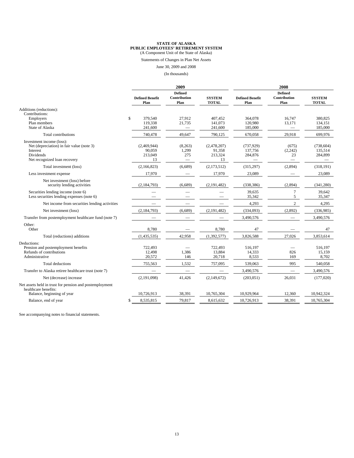Statements of Changes in Plan Net Assets

June 30, 2009 and 2008

(In thousands)

|                                                                                                                                        | 2009                                   |                                                     |                                        | 2008                                                               |                                                            |                                                                     |
|----------------------------------------------------------------------------------------------------------------------------------------|----------------------------------------|-----------------------------------------------------|----------------------------------------|--------------------------------------------------------------------|------------------------------------------------------------|---------------------------------------------------------------------|
|                                                                                                                                        | <b>Defined Benefit</b><br>Plan         | <b>Defined</b><br>Contribution<br>Plan              | <b>SYSTEM</b><br><b>TOTAL</b>          | <b>Defined Benefit</b><br>Plan                                     | <b>Defined</b><br>Contribution<br>Plan                     | <b>SYSTEM</b><br><b>TOTAL</b>                                       |
| Additions (reductions):<br>Contributions:                                                                                              |                                        |                                                     |                                        |                                                                    |                                                            |                                                                     |
| Employers<br>Plan members<br><b>State of Alaska</b>                                                                                    | \$<br>379,540<br>119,338<br>241,600    | 27,912<br>21,735<br>$\overbrace{\qquad \qquad }^{}$ | 407,452<br>141,073<br>241,600          | 364,078<br>120,980<br>185,000                                      | 16.747<br>13,171                                           | 380.825<br>134,151<br>185,000                                       |
| Total contributions                                                                                                                    | 740,478                                | 49,647                                              | 790,125                                | 670.058                                                            | 29,918                                                     | 699,976                                                             |
| Investment income (loss):<br>Net (depreciation) in fair value (note 3)<br>Interest<br><b>Dividends</b><br>Net recognized loan recovery | (2,469,944)<br>90,059<br>213,049<br>13 | (8,263)<br>1,299<br>275                             | (2,478,207)<br>91,358<br>213,324<br>13 | (737, 929)<br>137.756<br>284,876<br>$\qquad \qquad \longleftarrow$ | (675)<br>(2, 242)<br>23<br>$\overbrace{\qquad \qquad }^{}$ | (738, 604)<br>135,514<br>284,899<br>$\hspace{0.1mm}-\hspace{0.1mm}$ |
| Total investment (loss)                                                                                                                | (2,166,823)                            | (6,689)                                             | (2,173,512)                            | (315,297)                                                          | (2,894)                                                    | (318, 191)                                                          |
| Less investment expense                                                                                                                | 17,970                                 |                                                     | 17,970                                 | 23,089                                                             |                                                            | 23,089                                                              |
| Net investment (loss) before<br>security lending activities                                                                            | (2, 184, 793)                          | (6,689)                                             | (2, 191, 482)                          | (338, 386)                                                         | (2,894)                                                    | (341, 280)                                                          |
| Securities lending income (note 6)<br>Less securities lending expenses (note 6)                                                        |                                        |                                                     |                                        | 39,635<br>35,342                                                   | $\overline{7}$<br>5                                        | 39,642<br>35,347                                                    |
| Net income from securities lending activities                                                                                          |                                        |                                                     |                                        | 4,293                                                              | $\overline{c}$                                             | 4,295                                                               |
| Net investment (loss)                                                                                                                  | (2, 184, 793)                          | (6,689)                                             | (2, 191, 482)                          | (334,093)                                                          | (2,892)                                                    | (336,985)                                                           |
| Transfer from postemployment healthcare fund (note 7)                                                                                  |                                        |                                                     |                                        | 3,490,576                                                          |                                                            | 3,490,576                                                           |
| Other:<br>Other                                                                                                                        | 8.780                                  |                                                     | 8.780                                  | 47                                                                 |                                                            | 47                                                                  |
| Total (reductions) additions                                                                                                           | (1,435,535)                            | 42,958                                              | (1, 392, 577)                          | 3,826,588                                                          | 27,026                                                     | 3,853,614                                                           |
| Deductions:<br>Pension and postemployment benefits<br>Refunds of contributions<br>Administrative                                       | 722,493<br>12,498<br>20,572            | 1,386<br>146                                        | 722,493<br>13,884<br>20,718            | 516,197<br>14,333<br>8,533                                         | 826<br>169                                                 | 516,197<br>15,159<br>8,702                                          |
| Total deductions                                                                                                                       | 755,563                                | 1,532                                               | 757,095                                | 539,063                                                            | 995                                                        | 540,058                                                             |
| Transfer to Alaska retiree healthcare trust (note 7)                                                                                   |                                        |                                                     |                                        | 3,490,576                                                          | $\overline{\phantom{0}}$                                   | 3,490,576                                                           |
| Net (decrease) increase                                                                                                                | (2,191,098)                            | 41,426                                              | (2,149,672)                            | (203, 051)                                                         | 26,031                                                     | (177, 020)                                                          |
| Net assets held in trust for pension and postemployment<br>healthcare benefits:                                                        |                                        |                                                     |                                        |                                                                    |                                                            |                                                                     |
| Balance, beginning of year                                                                                                             | 10,726,913                             | 38,391                                              | 10.765.304                             | 10.929.964                                                         | 12,360                                                     | 10,942,324                                                          |
| Balance, end of year                                                                                                                   | \$<br>8.535.815                        | 79.817                                              | 8.615.632                              | 10.726.913                                                         | 38,391                                                     | 10.765.304                                                          |

See accompanying notes to financial statements.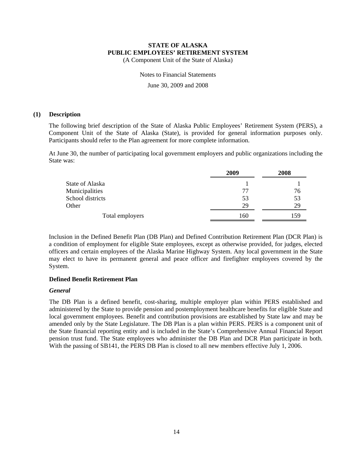(A Component Unit of the State of Alaska)

Notes to Financial Statements

June 30, 2009 and 2008

#### **(1) Description**

The following brief description of the State of Alaska Public Employees' Retirement System (PERS), a Component Unit of the State of Alaska (State), is provided for general information purposes only. Participants should refer to the Plan agreement for more complete information.

At June 30, the number of participating local government employers and public organizations including the State was:

|                  | 2009 | 2008 |  |
|------------------|------|------|--|
| State of Alaska  |      |      |  |
| Municipalities   | 77   | 76   |  |
| School districts | 53   | 53   |  |
| Other            | 29   | 29   |  |
| Total employers  | 160  | 159  |  |

Inclusion in the Defined Benefit Plan (DB Plan) and Defined Contribution Retirement Plan (DCR Plan) is a condition of employment for eligible State employees, except as otherwise provided, for judges, elected officers and certain employees of the Alaska Marine Highway System. Any local government in the State may elect to have its permanent general and peace officer and firefighter employees covered by the System.

#### **Defined Benefit Retirement Plan**

#### *General*

The DB Plan is a defined benefit, cost-sharing, multiple employer plan within PERS established and administered by the State to provide pension and postemployment healthcare benefits for eligible State and local government employees. Benefit and contribution provisions are established by State law and may be amended only by the State Legislature. The DB Plan is a plan within PERS. PERS is a component unit of the State financial reporting entity and is included in the State's Comprehensive Annual Financial Report pension trust fund. The State employees who administer the DB Plan and DCR Plan participate in both. With the passing of SB141, the PERS DB Plan is closed to all new members effective July 1, 2006.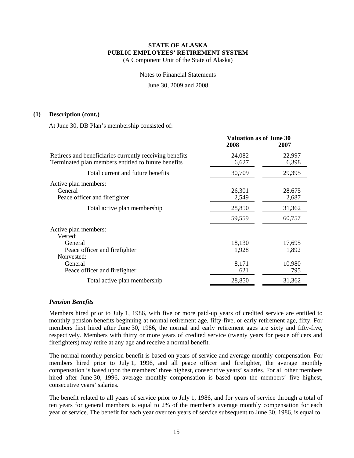(A Component Unit of the State of Alaska)

Notes to Financial Statements

June 30, 2009 and 2008

#### **(1) Description (cont.)**

At June 30, DB Plan's membership consisted of:

|                                                                                                                | <b>Valuation as of June 30</b><br>2008 | 2007            |  |
|----------------------------------------------------------------------------------------------------------------|----------------------------------------|-----------------|--|
| Retirees and beneficiaries currently receiving benefits<br>Terminated plan members entitled to future benefits | 24,082<br>6,627                        | 22,997<br>6,398 |  |
| Total current and future benefits                                                                              | 30,709                                 | 29,395          |  |
| Active plan members:<br>General<br>Peace officer and firefighter                                               | 26,301<br>2,549                        | 28,675<br>2,687 |  |
| Total active plan membership                                                                                   | 28,850                                 | 31,362          |  |
|                                                                                                                | 59,559                                 | 60,757          |  |
| Active plan members:<br>Vested:                                                                                |                                        |                 |  |
| General<br>Peace officer and firefighter<br>Nonvested:                                                         | 18,130<br>1,928                        | 17,695<br>1,892 |  |
| General<br>Peace officer and firefighter                                                                       | 8,171<br>621                           | 10,980<br>795   |  |
| Total active plan membership                                                                                   | 28,850                                 | 31,362          |  |

#### *Pension Benefits*

Members hired prior to July 1, 1986, with five or more paid-up years of credited service are entitled to monthly pension benefits beginning at normal retirement age, fifty-five, or early retirement age, fifty. For members first hired after June 30, 1986, the normal and early retirement ages are sixty and fifty-five, respectively. Members with thirty or more years of credited service (twenty years for peace officers and firefighters) may retire at any age and receive a normal benefit.

The normal monthly pension benefit is based on years of service and average monthly compensation. For members hired prior to July 1, 1996, and all peace officer and firefighter, the average monthly compensation is based upon the members' three highest, consecutive years' salaries. For all other members hired after June 30, 1996, average monthly compensation is based upon the members' five highest, consecutive years' salaries.

The benefit related to all years of service prior to July 1, 1986, and for years of service through a total of ten years for general members is equal to 2% of the member's average monthly compensation for each year of service. The benefit for each year over ten years of service subsequent to June 30, 1986, is equal to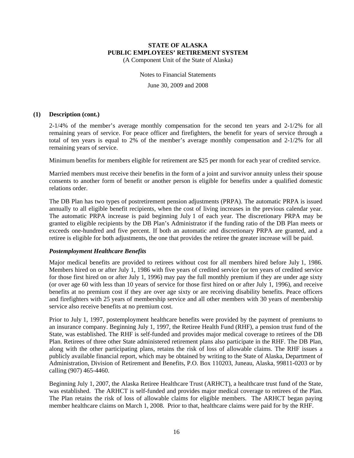(A Component Unit of the State of Alaska)

Notes to Financial Statements June 30, 2009 and 2008

#### **(1) Description (cont.)**

2-1/4% of the member's average monthly compensation for the second ten years and 2-1/2% for all remaining years of service. For peace officer and firefighters, the benefit for years of service through a total of ten years is equal to 2% of the member's average monthly compensation and 2-1/2% for all remaining years of service.

Minimum benefits for members eligible for retirement are \$25 per month for each year of credited service.

Married members must receive their benefits in the form of a joint and survivor annuity unless their spouse consents to another form of benefit or another person is eligible for benefits under a qualified domestic relations order.

The DB Plan has two types of postretirement pension adjustments (PRPA). The automatic PRPA is issued annually to all eligible benefit recipients, when the cost of living increases in the previous calendar year. The automatic PRPA increase is paid beginning July 1 of each year. The discretionary PRPA may be granted to eligible recipients by the DB Plan's Administrator if the funding ratio of the DB Plan meets or exceeds one-hundred and five percent. If both an automatic and discretionary PRPA are granted, and a retiree is eligible for both adjustments, the one that provides the retiree the greater increase will be paid.

#### *Postemployment Healthcare Benefits*

Major medical benefits are provided to retirees without cost for all members hired before July 1, 1986. Members hired on or after July 1, 1986 with five years of credited service (or ten years of credited service for those first hired on or after July 1, 1996) may pay the full monthly premium if they are under age sixty (or over age 60 with less than 10 years of service for those first hired on or after July 1, 1996), and receive benefits at no premium cost if they are over age sixty or are receiving disability benefits. Peace officers and firefighters with 25 years of membership service and all other members with 30 years of membership service also receive benefits at no premium cost.

Prior to July 1, 1997, postemployment healthcare benefits were provided by the payment of premiums to an insurance company. Beginning July 1, 1997, the Retiree Health Fund (RHF), a pension trust fund of the State, was established. The RHF is self-funded and provides major medical coverage to retirees of the DB Plan. Retirees of three other State administered retirement plans also participate in the RHF. The DB Plan, along with the other participating plans, retains the risk of loss of allowable claims. The RHF issues a publicly available financial report, which may be obtained by writing to the State of Alaska, Department of Administration, Division of Retirement and Benefits, P.O. Box 110203, Juneau, Alaska, 99811-0203 or by calling (907) 465-4460.

Beginning July 1, 2007, the Alaska Retiree Healthcare Trust (ARHCT), a healthcare trust fund of the State, was established. The ARHCT is self-funded and provides major medical coverage to retirees of the Plan. The Plan retains the risk of loss of allowable claims for eligible members. The ARHCT began paying member healthcare claims on March 1, 2008. Prior to that, healthcare claims were paid for by the RHF.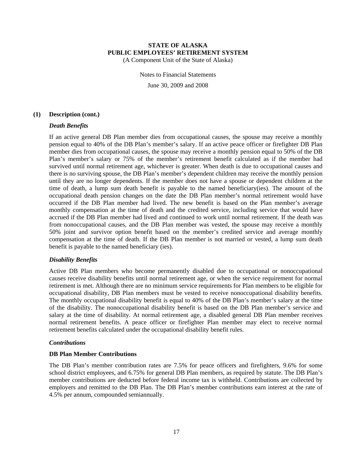(A Component Unit of the State of Alaska)

Notes to Financial Statements June 30, 2009 and 2008

#### **(1) Description (cont.)**

#### *Death Benefits*

If an active general DB Plan member dies from occupational causes, the spouse may receive a monthly pension equal to 40% of the DB Plan's member's salary. If an active peace officer or firefighter DB Plan member dies from occupational causes, the spouse may receive a monthly pension equal to 50% of the DB Plan's member's salary or 75% of the member's retirement benefit calculated as if the member had survived until normal retirement age, whichever is greater. When death is due to occupational causes and there is no surviving spouse, the DB Plan's member's dependent children may receive the monthly pension until they are no longer dependents. If the member does not have a spouse or dependent children at the time of death, a lump sum death benefit is payable to the named beneficiary(ies). The amount of the occupational death pension changes on the date the DB Plan member's normal retirement would have occurred if the DB Plan member had lived. The new benefit is based on the Plan member's average monthly compensation at the time of death and the credited service, including service that would have accrued if the DB Plan member had lived and continued to work until normal retirement. If the death was from nonoccupational causes, and the DB Plan member was vested, the spouse may receive a monthly 50% joint and survivor option benefit based on the member's credited service and average monthly compensation at the time of death. If the DB Plan member is not married or vested, a lump sum death benefit is payable to the named beneficiary (ies).

#### *Disability Benefits*

Active DB Plan members who become permanently disabled due to occupational or nonoccupational causes receive disability benefits until normal retirement age, or when the service requirement for normal retirement is met. Although there are no minimum service requirements for Plan members to be eligible for occupational disability, DB Plan members must be vested to receive nonoccupational disability benefits. The monthly occupational disability benefit is equal to 40% of the DB Plan's member's salary at the time of the disability. The nonoccupational disability benefit is based on the DB Plan member's service and salary at the time of disability. At normal retirement age, a disabled general DB Plan member receives normal retirement benefits. A peace officer or firefighter Plan member may elect to receive normal retirement benefits calculated under the occupational disability benefit rules.

#### *Contributions*

#### **DB Plan Member Contributions**

The DB Plan's member contribution rates are 7.5% for peace officers and firefighters, 9.6% for some school district employees, and 6.75% for general DB Plan members, as required by statute. The DB Plan's member contributions are deducted before federal income tax is withheld. Contributions are collected by employers and remitted to the DB Plan. The DB Plan's member contributions earn interest at the rate of 4.5% per annum, compounded semiannually.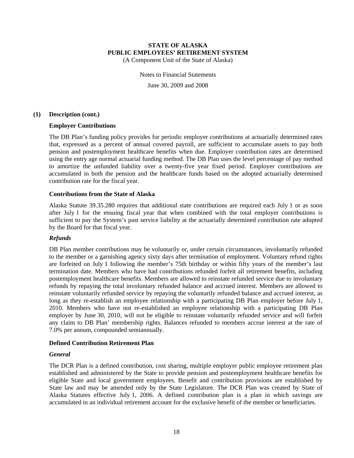(A Component Unit of the State of Alaska)

Notes to Financial Statements June 30, 2009 and 2008

#### **(1) Description (cont.)**

#### **Employer Contributions**

The DB Plan's funding policy provides for periodic employer contributions at actuarially determined rates that, expressed as a percent of annual covered payroll, are sufficient to accumulate assets to pay both pension and postemployment healthcare benefits when due. Employer contribution rates are determined using the entry age normal actuarial funding method. The DB Plan uses the level percentage of pay method to amortize the unfunded liability over a twenty-five year fixed period. Employer contributions are accumulated in both the pension and the healthcare funds based on the adopted actuarially determined contribution rate for the fiscal year.

#### **Contributions from the State of Alaska**

Alaska Statute 39.35.280 requires that additional state contributions are required each July 1 or as soon after July 1 for the ensuing fiscal year that when combined with the total employer contributions is sufficient to pay the System's past service liability at the actuarially determined contribution rate adopted by the Board for that fiscal year.

#### *Refunds*

DB Plan member contributions may be voluntarily or, under certain circumstances, involuntarily refunded to the member or a garnishing agency sixty days after termination of employment. Voluntary refund rights are forfeited on July 1 following the member's 75th birthday or within fifty years of the member's last termination date. Members who have had contributions refunded forfeit all retirement benefits, including postemployment healthcare benefits. Members are allowed to reinstate refunded service due to involuntary refunds by repaying the total involuntary refunded balance and accrued interest. Members are allowed to reinstate voluntarily refunded service by repaying the voluntarily refunded balance and accrued interest, as long as they re-establish an employee relationship with a participating DB Plan employer before July 1, 2010. Members who have not re-established an employee relationship with a participating DB Plan employer by June 30, 2010, will not be eligible to reinstate voluntarily refunded service and will forfeit any claim to DB Plan' membership rights. Balances refunded to members accrue interest at the rate of 7.0% per annum, compounded semiannually.

#### **Defined Contribution Retirement Plan**

#### *General*

The DCR Plan is a defined contribution, cost sharing, multiple employer public employee retirement plan established and administered by the State to provide pension and postemployment healthcare benefits for eligible State and local government employees. Benefit and contribution provisions are established by State law and may be amended only by the State Legislature. The DCR Plan was created by State of Alaska Statutes effective July 1, 2006. A defined contribution plan is a plan in which savings are accumulated in an individual retirement account for the exclusive benefit of the member or beneficiaries.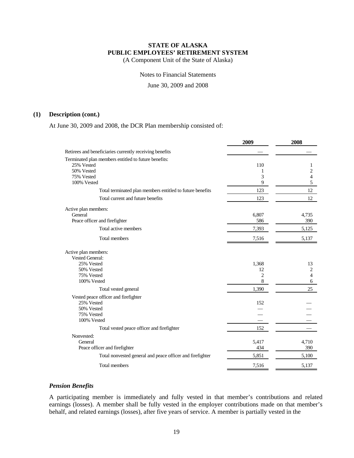(A Component Unit of the State of Alaska)

Notes to Financial Statements

June 30, 2009 and 2008

#### **(1) Description (cont.)**

At June 30, 2009 and 2008, the DCR Plan membership consisted of:

| Retirees and beneficiaries currently receiving benefits<br>Terminated plan members entitled to future benefits:<br>25% Vested<br>110<br>1<br>50% Vested<br>2<br>1<br>3<br>4<br>75% Vested<br>9<br>5<br>100% Vested<br>Total terminated plan members entitled to future benefits<br>123<br>12<br>Total current and future benefits<br>12<br>123<br>Active plan members:<br>General<br>6,807<br>4,735<br>Peace officer and firefighter<br>586<br>390<br>Total active members<br>7,393<br>5,125<br>7,516<br>5,137<br>Total members<br>Active plan members:<br><b>Vested General:</b><br>25% Vested<br>1,368<br>13<br>50% Vested<br>2<br>12<br>75% Vested<br>2<br>4<br>8<br>100% Vested<br>6<br>Total vested general<br>1,390<br>25<br>Vested peace officer and firefighter<br>25% Vested<br>152<br>50% Vested<br>75% Vested<br>100% Vested<br>152<br>Total vested peace officer and firefighter<br>Nonvested:<br>General<br>5,417<br>4,710<br>Peace officer and firefighter<br>434<br>390<br>5,100<br>Total nonvested general and peace officer and firefighter<br>5,851<br>Total members<br>7,516<br>5,137 | 2009 | 2008 |
|----------------------------------------------------------------------------------------------------------------------------------------------------------------------------------------------------------------------------------------------------------------------------------------------------------------------------------------------------------------------------------------------------------------------------------------------------------------------------------------------------------------------------------------------------------------------------------------------------------------------------------------------------------------------------------------------------------------------------------------------------------------------------------------------------------------------------------------------------------------------------------------------------------------------------------------------------------------------------------------------------------------------------------------------------------------------------------------------------------|------|------|
|                                                                                                                                                                                                                                                                                                                                                                                                                                                                                                                                                                                                                                                                                                                                                                                                                                                                                                                                                                                                                                                                                                          |      |      |
|                                                                                                                                                                                                                                                                                                                                                                                                                                                                                                                                                                                                                                                                                                                                                                                                                                                                                                                                                                                                                                                                                                          |      |      |
|                                                                                                                                                                                                                                                                                                                                                                                                                                                                                                                                                                                                                                                                                                                                                                                                                                                                                                                                                                                                                                                                                                          |      |      |
|                                                                                                                                                                                                                                                                                                                                                                                                                                                                                                                                                                                                                                                                                                                                                                                                                                                                                                                                                                                                                                                                                                          |      |      |
|                                                                                                                                                                                                                                                                                                                                                                                                                                                                                                                                                                                                                                                                                                                                                                                                                                                                                                                                                                                                                                                                                                          |      |      |
|                                                                                                                                                                                                                                                                                                                                                                                                                                                                                                                                                                                                                                                                                                                                                                                                                                                                                                                                                                                                                                                                                                          |      |      |
|                                                                                                                                                                                                                                                                                                                                                                                                                                                                                                                                                                                                                                                                                                                                                                                                                                                                                                                                                                                                                                                                                                          |      |      |
|                                                                                                                                                                                                                                                                                                                                                                                                                                                                                                                                                                                                                                                                                                                                                                                                                                                                                                                                                                                                                                                                                                          |      |      |
|                                                                                                                                                                                                                                                                                                                                                                                                                                                                                                                                                                                                                                                                                                                                                                                                                                                                                                                                                                                                                                                                                                          |      |      |
|                                                                                                                                                                                                                                                                                                                                                                                                                                                                                                                                                                                                                                                                                                                                                                                                                                                                                                                                                                                                                                                                                                          |      |      |
|                                                                                                                                                                                                                                                                                                                                                                                                                                                                                                                                                                                                                                                                                                                                                                                                                                                                                                                                                                                                                                                                                                          |      |      |
|                                                                                                                                                                                                                                                                                                                                                                                                                                                                                                                                                                                                                                                                                                                                                                                                                                                                                                                                                                                                                                                                                                          |      |      |
|                                                                                                                                                                                                                                                                                                                                                                                                                                                                                                                                                                                                                                                                                                                                                                                                                                                                                                                                                                                                                                                                                                          |      |      |
|                                                                                                                                                                                                                                                                                                                                                                                                                                                                                                                                                                                                                                                                                                                                                                                                                                                                                                                                                                                                                                                                                                          |      |      |
|                                                                                                                                                                                                                                                                                                                                                                                                                                                                                                                                                                                                                                                                                                                                                                                                                                                                                                                                                                                                                                                                                                          |      |      |
|                                                                                                                                                                                                                                                                                                                                                                                                                                                                                                                                                                                                                                                                                                                                                                                                                                                                                                                                                                                                                                                                                                          |      |      |
|                                                                                                                                                                                                                                                                                                                                                                                                                                                                                                                                                                                                                                                                                                                                                                                                                                                                                                                                                                                                                                                                                                          |      |      |
|                                                                                                                                                                                                                                                                                                                                                                                                                                                                                                                                                                                                                                                                                                                                                                                                                                                                                                                                                                                                                                                                                                          |      |      |
|                                                                                                                                                                                                                                                                                                                                                                                                                                                                                                                                                                                                                                                                                                                                                                                                                                                                                                                                                                                                                                                                                                          |      |      |
|                                                                                                                                                                                                                                                                                                                                                                                                                                                                                                                                                                                                                                                                                                                                                                                                                                                                                                                                                                                                                                                                                                          |      |      |
|                                                                                                                                                                                                                                                                                                                                                                                                                                                                                                                                                                                                                                                                                                                                                                                                                                                                                                                                                                                                                                                                                                          |      |      |
|                                                                                                                                                                                                                                                                                                                                                                                                                                                                                                                                                                                                                                                                                                                                                                                                                                                                                                                                                                                                                                                                                                          |      |      |
|                                                                                                                                                                                                                                                                                                                                                                                                                                                                                                                                                                                                                                                                                                                                                                                                                                                                                                                                                                                                                                                                                                          |      |      |
|                                                                                                                                                                                                                                                                                                                                                                                                                                                                                                                                                                                                                                                                                                                                                                                                                                                                                                                                                                                                                                                                                                          |      |      |
|                                                                                                                                                                                                                                                                                                                                                                                                                                                                                                                                                                                                                                                                                                                                                                                                                                                                                                                                                                                                                                                                                                          |      |      |
|                                                                                                                                                                                                                                                                                                                                                                                                                                                                                                                                                                                                                                                                                                                                                                                                                                                                                                                                                                                                                                                                                                          |      |      |
|                                                                                                                                                                                                                                                                                                                                                                                                                                                                                                                                                                                                                                                                                                                                                                                                                                                                                                                                                                                                                                                                                                          |      |      |
|                                                                                                                                                                                                                                                                                                                                                                                                                                                                                                                                                                                                                                                                                                                                                                                                                                                                                                                                                                                                                                                                                                          |      |      |
|                                                                                                                                                                                                                                                                                                                                                                                                                                                                                                                                                                                                                                                                                                                                                                                                                                                                                                                                                                                                                                                                                                          |      |      |
|                                                                                                                                                                                                                                                                                                                                                                                                                                                                                                                                                                                                                                                                                                                                                                                                                                                                                                                                                                                                                                                                                                          |      |      |
|                                                                                                                                                                                                                                                                                                                                                                                                                                                                                                                                                                                                                                                                                                                                                                                                                                                                                                                                                                                                                                                                                                          |      |      |

#### *Pension Benefits*

A participating member is immediately and fully vested in that member's contributions and related earnings (losses). A member shall be fully vested in the employer contributions made on that member's behalf, and related earnings (losses), after five years of service. A member is partially vested in the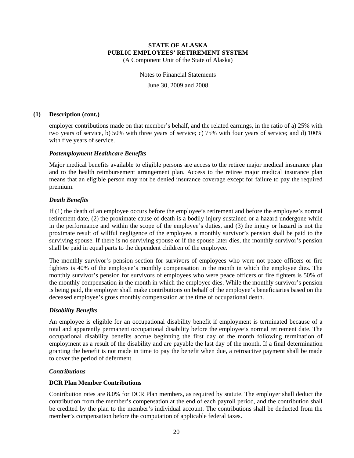(A Component Unit of the State of Alaska)

Notes to Financial Statements June 30, 2009 and 2008

#### **(1) Description (cont.)**

employer contributions made on that member's behalf, and the related earnings, in the ratio of a) 25% with two years of service, b) 50% with three years of service; c) 75% with four years of service; and d) 100% with five years of service.

#### *Postemployment Healthcare Benefits*

Major medical benefits available to eligible persons are access to the retiree major medical insurance plan and to the health reimbursement arrangement plan. Access to the retiree major medical insurance plan means that an eligible person may not be denied insurance coverage except for failure to pay the required premium.

#### *Death Benefits*

If (1) the death of an employee occurs before the employee's retirement and before the employee's normal retirement date, (2) the proximate cause of death is a bodily injury sustained or a hazard undergone while in the performance and within the scope of the employee's duties, and (3) the injury or hazard is not the proximate result of willful negligence of the employee, a monthly survivor's pension shall be paid to the surviving spouse. If there is no surviving spouse or if the spouse later dies, the monthly survivor's pension shall be paid in equal parts to the dependent children of the employee.

The monthly survivor's pension section for survivors of employees who were not peace officers or fire fighters is 40% of the employee's monthly compensation in the month in which the employee dies. The monthly survivor's pension for survivors of employees who were peace officers or fire fighters is 50% of the monthly compensation in the month in which the employee dies. While the monthly survivor's pension is being paid, the employer shall make contributions on behalf of the employee's beneficiaries based on the deceased employee's gross monthly compensation at the time of occupational death.

#### *Disability Benefits*

An employee is eligible for an occupational disability benefit if employment is terminated because of a total and apparently permanent occupational disability before the employee's normal retirement date. The occupational disability benefits accrue beginning the first day of the month following termination of employment as a result of the disability and are payable the last day of the month. If a final determination granting the benefit is not made in time to pay the benefit when due, a retroactive payment shall be made to cover the period of deferment.

#### *Contributions*

## **DCR Plan Member Contributions**

Contribution rates are 8.0% for DCR Plan members, as required by statute. The employer shall deduct the contribution from the member's compensation at the end of each payroll period, and the contribution shall be credited by the plan to the member's individual account. The contributions shall be deducted from the member's compensation before the computation of applicable federal taxes.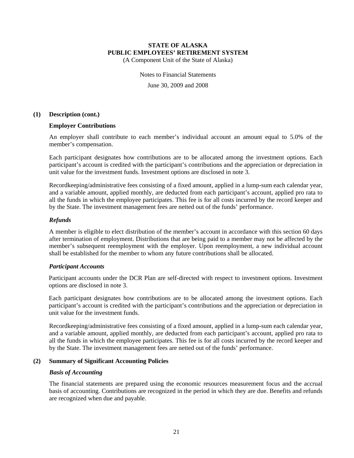(A Component Unit of the State of Alaska)

Notes to Financial Statements June 30, 2009 and 2008

#### **(1) Description (cont.)**

#### **Employer Contributions**

An employer shall contribute to each member's individual account an amount equal to 5.0% of the member's compensation.

Each participant designates how contributions are to be allocated among the investment options. Each participant's account is credited with the participant's contributions and the appreciation or depreciation in unit value for the investment funds. Investment options are disclosed in note 3.

Recordkeeping/administrative fees consisting of a fixed amount, applied in a lump-sum each calendar year, and a variable amount, applied monthly, are deducted from each participant's account, applied pro rata to all the funds in which the employee participates. This fee is for all costs incurred by the record keeper and by the State. The investment management fees are netted out of the funds' performance.

#### *Refunds*

A member is eligible to elect distribution of the member's account in accordance with this section 60 days after termination of employment. Distributions that are being paid to a member may not be affected by the member's subsequent reemployment with the employer. Upon reemployment, a new individual account shall be established for the member to whom any future contributions shall be allocated.

#### *Participant Accounts*

Participant accounts under the DCR Plan are self-directed with respect to investment options. Investment options are disclosed in note 3.

Each participant designates how contributions are to be allocated among the investment options. Each participant's account is credited with the participant's contributions and the appreciation or depreciation in unit value for the investment funds.

Recordkeeping/administrative fees consisting of a fixed amount, applied in a lump-sum each calendar year, and a variable amount, applied monthly, are deducted from each participant's account, applied pro rata to all the funds in which the employee participates. This fee is for all costs incurred by the record keeper and by the State. The investment management fees are netted out of the funds' performance.

#### **(2) Summary of Significant Accounting Policies**

#### *Basis of Accounting*

The financial statements are prepared using the economic resources measurement focus and the accrual basis of accounting. Contributions are recognized in the period in which they are due. Benefits and refunds are recognized when due and payable.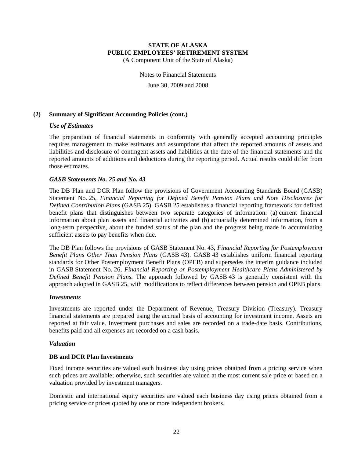(A Component Unit of the State of Alaska)

Notes to Financial Statements

June 30, 2009 and 2008

## **(2) Summary of Significant Accounting Policies (cont.)**

#### *Use of Estimates*

The preparation of financial statements in conformity with generally accepted accounting principles requires management to make estimates and assumptions that affect the reported amounts of assets and liabilities and disclosure of contingent assets and liabilities at the date of the financial statements and the reported amounts of additions and deductions during the reporting period. Actual results could differ from those estimates.

#### *GASB Statements No. 25 and No. 43*

The DB Plan and DCR Plan follow the provisions of Government Accounting Standards Board (GASB) Statement No. 25, *Financial Reporting for Defined Benefit Pension Plans and Note Disclosures for Defined Contribution Plans* (GASB 25). GASB 25 establishes a financial reporting framework for defined benefit plans that distinguishes between two separate categories of information: (a) current financial information about plan assets and financial activities and (b) actuarially determined information, from a long-term perspective, about the funded status of the plan and the progress being made in accumulating sufficient assets to pay benefits when due.

The DB Plan follows the provisions of GASB Statement No. 43, *Financial Reporting for Postemployment Benefit Plans Other Than Pension Plans* (GASB 43). GASB 43 establishes uniform financial reporting standards for Other Postemployment Benefit Plans (OPEB) and supersedes the interim guidance included in GASB Statement No. 26, *Financial Reporting or Postemployment Healthcare Plans Administered by Defined Benefit Pension Plans.* The approach followed by GASB 43 is generally consistent with the approach adopted in GASB 25, with modifications to reflect differences between pension and OPEB plans.

#### *Investments*

Investments are reported under the Department of Revenue, Treasury Division (Treasury). Treasury financial statements are prepared using the accrual basis of accounting for investment income. Assets are reported at fair value. Investment purchases and sales are recorded on a trade-date basis. Contributions, benefits paid and all expenses are recorded on a cash basis.

#### *Valuation*

#### **DB and DCR Plan Investments**

Fixed income securities are valued each business day using prices obtained from a pricing service when such prices are available; otherwise, such securities are valued at the most current sale price or based on a valuation provided by investment managers.

Domestic and international equity securities are valued each business day using prices obtained from a pricing service or prices quoted by one or more independent brokers.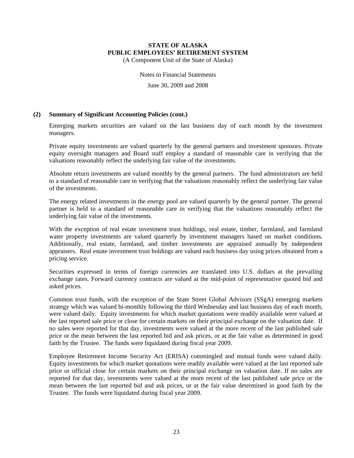(A Component Unit of the State of Alaska)

Notes to Financial Statements

June 30, 2009 and 2008

#### **(2) Summary of Significant Accounting Policies (cont.)**

Emerging markets securities are valued on the last business day of each month by the investment managers.

Private equity investments are valued quarterly by the general partners and investment sponsors. Private equity oversight managers and Board staff employ a standard of reasonable care in verifying that the valuations reasonably reflect the underlying fair value of the investments.

Absolute return investments are valued monthly by the general partners. The fund administrators are held to a standard of reasonable care in verifying that the valuations reasonably reflect the underlying fair value of the investments.

The energy related investments in the energy pool are valued quarterly by the general partner. The general partner is held to a standard of reasonable care in verifying that the valuations reasonably reflect the underlying fair value of the investments.

With the exception of real estate investment trust holdings, real estate, timber, farmland, and farmland water property investments are valued quarterly by investment managers based on market conditions. Additionally, real estate, farmland, and timber investments are appraised annually by independent appraisers. Real estate investment trust holdings are valued each business day using prices obtained from a pricing service.

Securities expressed in terms of foreign currencies are translated into U.S. dollars at the prevailing exchange rates. Forward currency contracts are valued at the mid-point of representative quoted bid and asked prices.

Common trust funds, with the exception of the State Street Global Advisors (SSgA) emerging markets strategy which was valued bi-monthly following the third Wednesday and last business day of each month, were valued daily. Equity investments for which market quotations were readily available were valued at the last reported sale price or close for certain markets on their principal exchange on the valuation date. If no sales were reported for that day, investments were valued at the more recent of the last published sale price or the mean between the last reported bid and ask prices, or at the fair value as determined in good faith by the Trustee. The funds were liquidated during fiscal year 2009.

Employee Retirement Income Security Act (ERISA) commingled and mutual funds were valued daily. Equity investments for which market quotations were readily available were valued at the last reported sale price or official close for certain markets on their principal exchange on valuation date. If no sales are reported for that day, investments were valued at the more recent of the last published sale price or the mean between the last reported bid and ask prices, or at the fair value determined in good faith by the Trustee. The funds were liquidated during fiscal year 2009.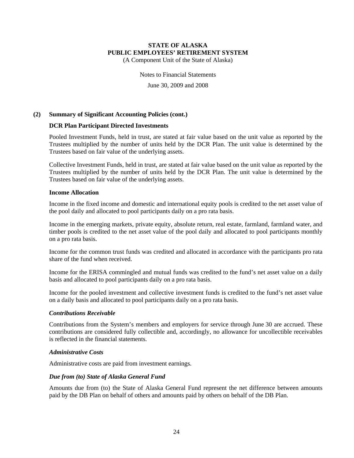(A Component Unit of the State of Alaska)

Notes to Financial Statements

June 30, 2009 and 2008

#### **(2) Summary of Significant Accounting Policies (cont.)**

#### **DCR Plan Participant Directed Investments**

Pooled Investment Funds, held in trust, are stated at fair value based on the unit value as reported by the Trustees multiplied by the number of units held by the DCR Plan. The unit value is determined by the Trustees based on fair value of the underlying assets.

Collective Investment Funds, held in trust, are stated at fair value based on the unit value as reported by the Trustees multiplied by the number of units held by the DCR Plan. The unit value is determined by the Trustees based on fair value of the underlying assets.

#### **Income Allocation**

Income in the fixed income and domestic and international equity pools is credited to the net asset value of the pool daily and allocated to pool participants daily on a pro rata basis.

Income in the emerging markets, private equity, absolute return, real estate, farmland, farmland water, and timber pools is credited to the net asset value of the pool daily and allocated to pool participants monthly on a pro rata basis.

Income for the common trust funds was credited and allocated in accordance with the participants pro rata share of the fund when received.

Income for the ERISA commingled and mutual funds was credited to the fund's net asset value on a daily basis and allocated to pool participants daily on a pro rata basis.

Income for the pooled investment and collective investment funds is credited to the fund's net asset value on a daily basis and allocated to pool participants daily on a pro rata basis.

#### *Contributions Receivable*

Contributions from the System's members and employers for service through June 30 are accrued. These contributions are considered fully collectible and, accordingly, no allowance for uncollectible receivables is reflected in the financial statements.

#### *Administrative Costs*

Administrative costs are paid from investment earnings.

#### *Due from (to) State of Alaska General Fund*

Amounts due from (to) the State of Alaska General Fund represent the net difference between amounts paid by the DB Plan on behalf of others and amounts paid by others on behalf of the DB Plan.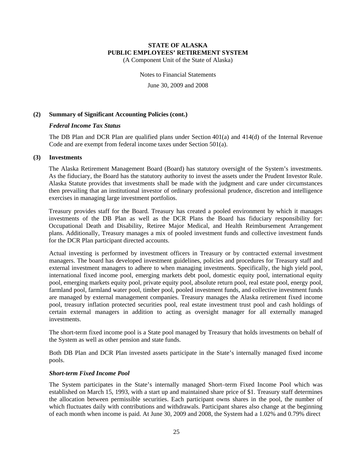(A Component Unit of the State of Alaska)

Notes to Financial Statements

June 30, 2009 and 2008

#### **(2) Summary of Significant Accounting Policies (cont.)**

#### *Federal Income Tax Status*

The DB Plan and DCR Plan are qualified plans under Section 401(a) and 414(d) of the Internal Revenue Code and are exempt from federal income taxes under Section 501(a).

#### **(3) Investments**

The Alaska Retirement Management Board (Board) has statutory oversight of the System's investments. As the fiduciary, the Board has the statutory authority to invest the assets under the Prudent Investor Rule. Alaska Statute provides that investments shall be made with the judgment and care under circumstances then prevailing that an institutional investor of ordinary professional prudence, discretion and intelligence exercises in managing large investment portfolios.

Treasury provides staff for the Board. Treasury has created a pooled environment by which it manages investments of the DB Plan as well as the DCR Plans the Board has fiduciary responsibility for: Occupational Death and Disability, Retiree Major Medical, and Health Reimbursement Arrangement plans. Additionally, Treasury manages a mix of pooled investment funds and collective investment funds for the DCR Plan participant directed accounts.

Actual investing is performed by investment officers in Treasury or by contracted external investment managers. The board has developed investment guidelines, policies and procedures for Treasury staff and external investment managers to adhere to when managing investments. Specifically, the high yield pool, international fixed income pool, emerging markets debt pool, domestic equity pool, international equity pool, emerging markets equity pool, private equity pool, absolute return pool, real estate pool, energy pool, farmland pool, farmland water pool, timber pool, pooled investment funds, and collective investment funds are managed by external management companies. Treasury manages the Alaska retirement fixed income pool, treasury inflation protected securities pool, real estate investment trust pool and cash holdings of certain external managers in addition to acting as oversight manager for all externally managed investments.

The short-term fixed income pool is a State pool managed by Treasury that holds investments on behalf of the System as well as other pension and state funds.

Both DB Plan and DCR Plan invested assets participate in the State's internally managed fixed income pools.

#### *Short-term Fixed Income Pool*

The System participates in the State's internally managed Short–term Fixed Income Pool which was established on March 15, 1993, with a start up and maintained share price of \$1. Treasury staff determines the allocation between permissible securities. Each participant owns shares in the pool, the number of which fluctuates daily with contributions and withdrawals. Participant shares also change at the beginning of each month when income is paid. At June 30, 2009 and 2008, the System had a 1.02% and 0.79% direct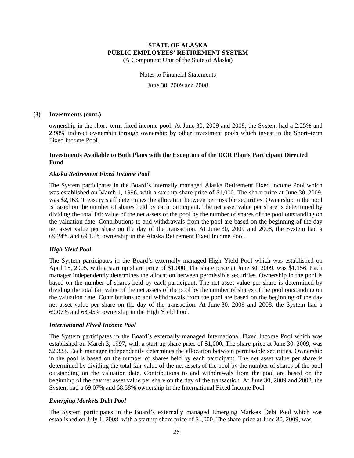(A Component Unit of the State of Alaska)

Notes to Financial Statements June 30, 2009 and 2008

#### **(3) Investments (cont.)**

ownership in the short–term fixed income pool. At June 30, 2009 and 2008, the System had a 2.25% and 2.98% indirect ownership through ownership by other investment pools which invest in the Short–term Fixed Income Pool.

#### **Investments Available to Both Plans with the Exception of the DCR Plan's Participant Directed Fund**

#### *Alaska Retirement Fixed Income Pool*

The System participates in the Board's internally managed Alaska Retirement Fixed Income Pool which was established on March 1, 1996, with a start up share price of \$1,000. The share price at June 30, 2009, was \$2,163. Treasury staff determines the allocation between permissible securities. Ownership in the pool is based on the number of shares held by each participant. The net asset value per share is determined by dividing the total fair value of the net assets of the pool by the number of shares of the pool outstanding on the valuation date. Contributions to and withdrawals from the pool are based on the beginning of the day net asset value per share on the day of the transaction. At June 30, 2009 and 2008, the System had a 69.24% and 69.15% ownership in the Alaska Retirement Fixed Income Pool.

#### *High Yield Pool*

The System participates in the Board's externally managed High Yield Pool which was established on April 15, 2005, with a start up share price of \$1,000. The share price at June 30, 2009, was \$1,156. Each manager independently determines the allocation between permissible securities. Ownership in the pool is based on the number of shares held by each participant. The net asset value per share is determined by dividing the total fair value of the net assets of the pool by the number of shares of the pool outstanding on the valuation date. Contributions to and withdrawals from the pool are based on the beginning of the day net asset value per share on the day of the transaction. At June 30, 2009 and 2008, the System had a 69.07% and 68.45% ownership in the High Yield Pool.

#### *International Fixed Income Pool*

The System participates in the Board's externally managed International Fixed Income Pool which was established on March 3, 1997, with a start up share price of \$1,000. The share price at June 30, 2009, was \$2,333. Each manager independently determines the allocation between permissible securities. Ownership in the pool is based on the number of shares held by each participant. The net asset value per share is determined by dividing the total fair value of the net assets of the pool by the number of shares of the pool outstanding on the valuation date. Contributions to and withdrawals from the pool are based on the beginning of the day net asset value per share on the day of the transaction. At June 30, 2009 and 2008, the System had a 69.07% and 68.58% ownership in the International Fixed Income Pool.

#### *Emerging Markets Debt Pool*

The System participates in the Board's externally managed Emerging Markets Debt Pool which was established on July 1, 2008, with a start up share price of \$1,000. The share price at June 30, 2009, was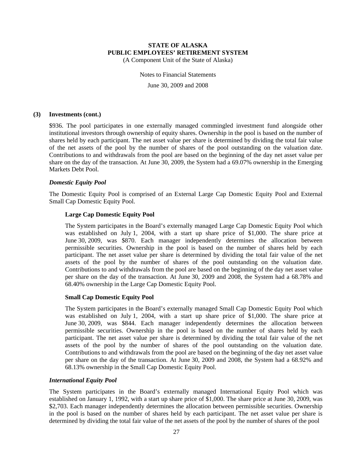(A Component Unit of the State of Alaska)

Notes to Financial Statements June 30, 2009 and 2008

#### **(3) Investments (cont.)**

\$936. The pool participates in one externally managed commingled investment fund alongside other institutional investors through ownership of equity shares. Ownership in the pool is based on the number of shares held by each participant. The net asset value per share is determined by dividing the total fair value of the net assets of the pool by the number of shares of the pool outstanding on the valuation date. Contributions to and withdrawals from the pool are based on the beginning of the day net asset value per share on the day of the transaction. At June 30, 2009, the System had a 69.07% ownership in the Emerging Markets Debt Pool.

#### *Domestic Equity Pool*

The Domestic Equity Pool is comprised of an External Large Cap Domestic Equity Pool and External Small Cap Domestic Equity Pool.

#### **Large Cap Domestic Equity Pool**

The System participates in the Board's externally managed Large Cap Domestic Equity Pool which was established on July 1, 2004, with a start up share price of \$1,000. The share price at June 30, 2009, was \$870. Each manager independently determines the allocation between permissible securities. Ownership in the pool is based on the number of shares held by each participant. The net asset value per share is determined by dividing the total fair value of the net assets of the pool by the number of shares of the pool outstanding on the valuation date. Contributions to and withdrawals from the pool are based on the beginning of the day net asset value per share on the day of the transaction. At June 30, 2009 and 2008, the System had a 68.78% and 68.40% ownership in the Large Cap Domestic Equity Pool.

#### **Small Cap Domestic Equity Pool**

The System participates in the Board's externally managed Small Cap Domestic Equity Pool which was established on July 1, 2004, with a start up share price of \$1,000. The share price at June 30, 2009, was \$844. Each manager independently determines the allocation between permissible securities. Ownership in the pool is based on the number of shares held by each participant. The net asset value per share is determined by dividing the total fair value of the net assets of the pool by the number of shares of the pool outstanding on the valuation date. Contributions to and withdrawals from the pool are based on the beginning of the day net asset value per share on the day of the transaction. At June 30, 2009 and 2008, the System had a 68.92% and 68.13% ownership in the Small Cap Domestic Equity Pool.

#### *International Equity Pool*

The System participates in the Board's externally managed International Equity Pool which was established on January 1, 1992, with a start up share price of \$1,000. The share price at June 30, 2009, was \$2,703. Each manager independently determines the allocation between permissible securities. Ownership in the pool is based on the number of shares held by each participant. The net asset value per share is determined by dividing the total fair value of the net assets of the pool by the number of shares of the pool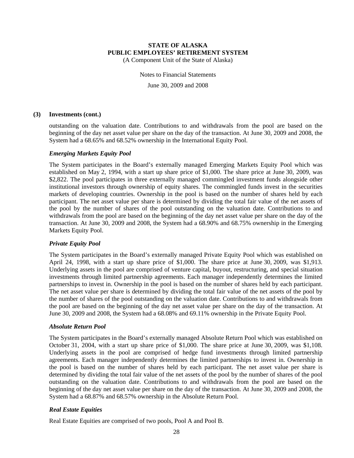(A Component Unit of the State of Alaska)

Notes to Financial Statements June 30, 2009 and 2008

#### **(3) Investments (cont.)**

outstanding on the valuation date. Contributions to and withdrawals from the pool are based on the beginning of the day net asset value per share on the day of the transaction. At June 30, 2009 and 2008, the System had a 68.65% and 68.52% ownership in the International Equity Pool.

#### *Emerging Markets Equity Pool*

The System participates in the Board's externally managed Emerging Markets Equity Pool which was established on May 2, 1994, with a start up share price of \$1,000. The share price at June 30, 2009, was \$2,822. The pool participates in three externally managed commingled investment funds alongside other institutional investors through ownership of equity shares. The commingled funds invest in the securities markets of developing countries. Ownership in the pool is based on the number of shares held by each participant. The net asset value per share is determined by dividing the total fair value of the net assets of the pool by the number of shares of the pool outstanding on the valuation date. Contributions to and withdrawals from the pool are based on the beginning of the day net asset value per share on the day of the transaction. At June 30, 2009 and 2008, the System had a 68.90% and 68.75% ownership in the Emerging Markets Equity Pool.

#### *Private Equity Pool*

The System participates in the Board's externally managed Private Equity Pool which was established on April 24, 1998, with a start up share price of \$1,000. The share price at June 30, 2009, was \$1,913. Underlying assets in the pool are comprised of venture capital, buyout, restructuring, and special situation investments through limited partnership agreements. Each manager independently determines the limited partnerships to invest in. Ownership in the pool is based on the number of shares held by each participant. The net asset value per share is determined by dividing the total fair value of the net assets of the pool by the number of shares of the pool outstanding on the valuation date. Contributions to and withdrawals from the pool are based on the beginning of the day net asset value per share on the day of the transaction. At June 30, 2009 and 2008, the System had a 68.08% and 69.11% ownership in the Private Equity Pool.

#### *Absolute Return Pool*

The System participates in the Board's externally managed Absolute Return Pool which was established on October 31, 2004, with a start up share price of \$1,000. The share price at June 30, 2009, was \$1,108. Underlying assets in the pool are comprised of hedge fund investments through limited partnership agreements. Each manager independently determines the limited partnerships to invest in. Ownership in the pool is based on the number of shares held by each participant. The net asset value per share is determined by dividing the total fair value of the net assets of the pool by the number of shares of the pool outstanding on the valuation date. Contributions to and withdrawals from the pool are based on the beginning of the day net asset value per share on the day of the transaction. At June 30, 2009 and 2008, the System had a 68.87% and 68.57% ownership in the Absolute Return Pool.

#### *Real Estate Equities*

Real Estate Equities are comprised of two pools, Pool A and Pool B.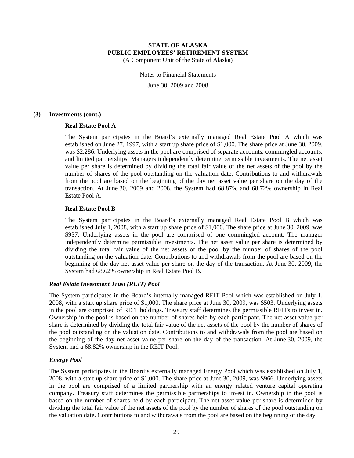(A Component Unit of the State of Alaska)

Notes to Financial Statements June 30, 2009 and 2008

#### **(3) Investments (cont.)**

#### **Real Estate Pool A**

The System participates in the Board's externally managed Real Estate Pool A which was established on June 27, 1997, with a start up share price of \$1,000. The share price at June 30, 2009, was \$2,286. Underlying assets in the pool are comprised of separate accounts, commingled accounts, and limited partnerships. Managers independently determine permissible investments. The net asset value per share is determined by dividing the total fair value of the net assets of the pool by the number of shares of the pool outstanding on the valuation date. Contributions to and withdrawals from the pool are based on the beginning of the day net asset value per share on the day of the transaction. At June 30, 2009 and 2008, the System had 68.87% and 68.72% ownership in Real Estate Pool A.

#### **Real Estate Pool B**

The System participates in the Board's externally managed Real Estate Pool B which was established July 1, 2008, with a start up share price of \$1,000. The share price at June 30, 2009, was \$937. Underlying assets in the pool are comprised of one commingled account. The manager independently determine permissible investments. The net asset value per share is determined by dividing the total fair value of the net assets of the pool by the number of shares of the pool outstanding on the valuation date. Contributions to and withdrawals from the pool are based on the beginning of the day net asset value per share on the day of the transaction. At June 30, 2009, the System had 68.62% ownership in Real Estate Pool B.

#### *Real Estate Investment Trust (REIT) Pool*

The System participates in the Board's internally managed REIT Pool which was established on July 1, 2008, with a start up share price of \$1,000. The share price at June 30, 2009, was \$503. Underlying assets in the pool are comprised of REIT holdings. Treasury staff determines the permissible REITs to invest in. Ownership in the pool is based on the number of shares held by each participant. The net asset value per share is determined by dividing the total fair value of the net assets of the pool by the number of shares of the pool outstanding on the valuation date. Contributions to and withdrawals from the pool are based on the beginning of the day net asset value per share on the day of the transaction. At June 30, 2009, the System had a 68.82% ownership in the REIT Pool.

#### *Energy Pool*

The System participates in the Board's externally managed Energy Pool which was established on July 1, 2008, with a start up share price of \$1,000. The share price at June 30, 2009, was \$966. Underlying assets in the pool are comprised of a limited partnership with an energy related venture capital operating company. Treasury staff determines the permissible partnerships to invest in. Ownership in the pool is based on the number of shares held by each participant. The net asset value per share is determined by dividing the total fair value of the net assets of the pool by the number of shares of the pool outstanding on the valuation date. Contributions to and withdrawals from the pool are based on the beginning of the day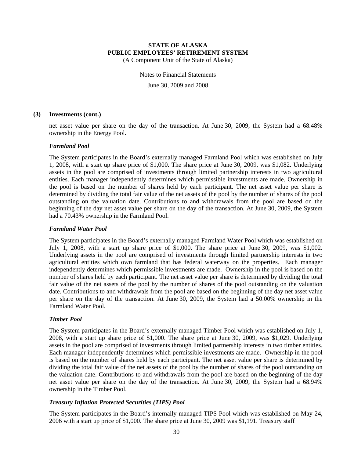(A Component Unit of the State of Alaska)

Notes to Financial Statements June 30, 2009 and 2008

#### **(3) Investments (cont.)**

net asset value per share on the day of the transaction. At June 30, 2009, the System had a 68.48% ownership in the Energy Pool.

#### *Farmland Pool*

The System participates in the Board's externally managed Farmland Pool which was established on July 1, 2008, with a start up share price of \$1,000. The share price at June 30, 2009, was \$1,082. Underlying assets in the pool are comprised of investments through limited partnership interests in two agricultural entities. Each manager independently determines which permissible investments are made. Ownership in the pool is based on the number of shares held by each participant. The net asset value per share is determined by dividing the total fair value of the net assets of the pool by the number of shares of the pool outstanding on the valuation date. Contributions to and withdrawals from the pool are based on the beginning of the day net asset value per share on the day of the transaction. At June 30, 2009, the System had a 70.43% ownership in the Farmland Pool.

#### *Farmland Water Pool*

The System participates in the Board's externally managed Farmland Water Pool which was established on July 1, 2008, with a start up share price of \$1,000. The share price at June 30, 2009, was \$1,002. Underlying assets in the pool are comprised of investments through limited partnership interests in two agricultural entities which own farmland that has federal waterway on the properties. Each manager independently determines which permissible investments are made. Ownership in the pool is based on the number of shares held by each participant. The net asset value per share is determined by dividing the total fair value of the net assets of the pool by the number of shares of the pool outstanding on the valuation date. Contributions to and withdrawals from the pool are based on the beginning of the day net asset value per share on the day of the transaction. At June 30, 2009, the System had a 50.00% ownership in the Farmland Water Pool.

#### *Timber Pool*

The System participates in the Board's externally managed Timber Pool which was established on July 1, 2008, with a start up share price of \$1,000. The share price at June 30, 2009, was \$1,029. Underlying assets in the pool are comprised of investments through limited partnership interests in two timber entities. Each manager independently determines which permissible investments are made. Ownership in the pool is based on the number of shares held by each participant. The net asset value per share is determined by dividing the total fair value of the net assets of the pool by the number of shares of the pool outstanding on the valuation date. Contributions to and withdrawals from the pool are based on the beginning of the day net asset value per share on the day of the transaction. At June 30, 2009, the System had a 68.94% ownership in the Timber Pool.

#### *Treasury Inflation Protected Securities (TIPS) Pool*

The System participates in the Board's internally managed TIPS Pool which was established on May 24, 2006 with a start up price of \$1,000. The share price at June 30, 2009 was \$1,191. Treasury staff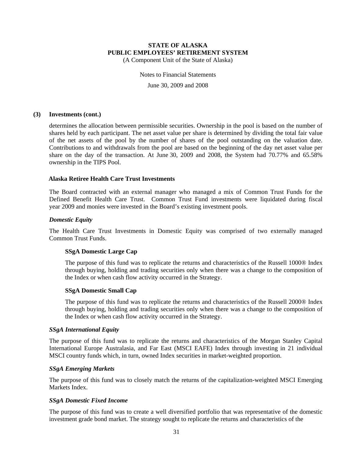(A Component Unit of the State of Alaska)

Notes to Financial Statements June 30, 2009 and 2008

#### **(3) Investments (cont.)**

determines the allocation between permissible securities. Ownership in the pool is based on the number of shares held by each participant. The net asset value per share is determined by dividing the total fair value of the net assets of the pool by the number of shares of the pool outstanding on the valuation date. Contributions to and withdrawals from the pool are based on the beginning of the day net asset value per share on the day of the transaction. At June 30, 2009 and 2008, the System had 70.77% and 65.58% ownership in the TIPS Pool.

#### **Alaska Retiree Health Care Trust Investments**

The Board contracted with an external manager who managed a mix of Common Trust Funds for the Defined Benefit Health Care Trust. Common Trust Fund investments were liquidated during fiscal year 2009 and monies were invested in the Board's existing investment pools.

#### *Domestic Equity*

The Health Care Trust Investments in Domestic Equity was comprised of two externally managed Common Trust Funds.

#### **SSgA Domestic Large Cap**

The purpose of this fund was to replicate the returns and characteristics of the Russell 1000® Index through buying, holding and trading securities only when there was a change to the composition of the Index or when cash flow activity occurred in the Strategy.

#### **SSgA Domestic Small Cap**

The purpose of this fund was to replicate the returns and characteristics of the Russell 2000® Index through buying, holding and trading securities only when there was a change to the composition of the Index or when cash flow activity occurred in the Strategy.

#### *SSgA International Equity*

The purpose of this fund was to replicate the returns and characteristics of the Morgan Stanley Capital International Europe Australasia, and Far East (MSCI EAFE) Index through investing in 21 individual MSCI country funds which, in turn, owned Index securities in market-weighted proportion.

#### *SSgA Emerging Markets*

The purpose of this fund was to closely match the returns of the capitalization-weighted MSCI Emerging Markets Index.

#### *SSgA Domestic Fixed Income*

The purpose of this fund was to create a well diversified portfolio that was representative of the domestic investment grade bond market. The strategy sought to replicate the returns and characteristics of the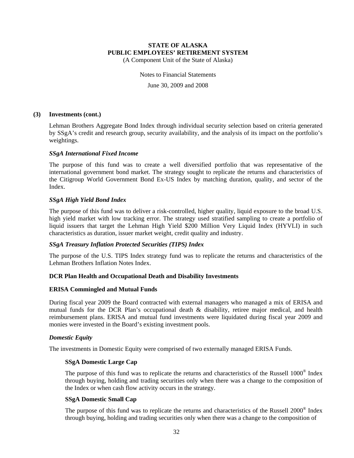(A Component Unit of the State of Alaska)

Notes to Financial Statements

June 30, 2009 and 2008

#### **(3) Investments (cont.)**

Lehman Brothers Aggregate Bond Index through individual security selection based on criteria generated by SSgA's credit and research group, security availability, and the analysis of its impact on the portfolio's weightings.

#### *SSgA International Fixed Income*

The purpose of this fund was to create a well diversified portfolio that was representative of the international government bond market. The strategy sought to replicate the returns and characteristics of the Citigroup World Government Bond Ex-US Index by matching duration, quality, and sector of the Index.

## *SSgA High Yield Bond Index*

The purpose of this fund was to deliver a risk-controlled, higher quality, liquid exposure to the broad U.S. high yield market with low tracking error. The strategy used stratified sampling to create a portfolio of liquid issuers that target the Lehman High Yield \$200 Million Very Liquid Index (HYVLI) in such characteristics as duration, issuer market weight, credit quality and industry.

## *SSgA Treasury Inflation Protected Securities (TIPS) Index*

The purpose of the U.S. TIPS Index strategy fund was to replicate the returns and characteristics of the Lehman Brothers Inflation Notes Index.

## **DCR Plan Health and Occupational Death and Disability Investments**

## **ERISA Commingled and Mutual Funds**

During fiscal year 2009 the Board contracted with external managers who managed a mix of ERISA and mutual funds for the DCR Plan's occupational death & disability, retiree major medical, and health reimbursement plans. ERISA and mutual fund investments were liquidated during fiscal year 2009 and monies were invested in the Board's existing investment pools.

#### *Domestic Equity*

The investments in Domestic Equity were comprised of two externally managed ERISA Funds.

#### **SSgA Domestic Large Cap**

The purpose of this fund was to replicate the returns and characteristics of the Russell 1000<sup>®</sup> Index through buying, holding and trading securities only when there was a change to the composition of the Index or when cash flow activity occurs in the strategy.

#### **SSgA Domestic Small Cap**

The purpose of this fund was to replicate the returns and characteristics of the Russell 2000® Index through buying, holding and trading securities only when there was a change to the composition of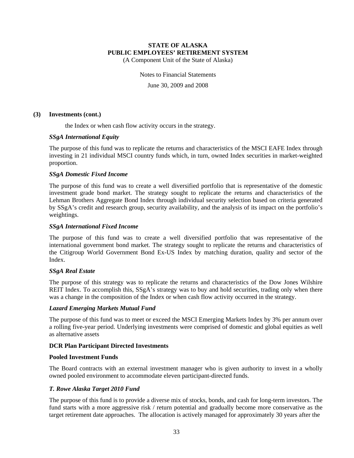(A Component Unit of the State of Alaska)

Notes to Financial Statements

June 30, 2009 and 2008

#### **(3) Investments (cont.)**

the Index or when cash flow activity occurs in the strategy.

#### *SSgA International Equity*

The purpose of this fund was to replicate the returns and characteristics of the MSCI EAFE Index through investing in 21 individual MSCI country funds which, in turn, owned Index securities in market-weighted proportion.

#### *SSgA Domestic Fixed Income*

The purpose of this fund was to create a well diversified portfolio that is representative of the domestic investment grade bond market. The strategy sought to replicate the returns and characteristics of the Lehman Brothers Aggregate Bond Index through individual security selection based on criteria generated by SSgA's credit and research group, security availability, and the analysis of its impact on the portfolio's weightings.

#### *SSgA International Fixed Income*

The purpose of this fund was to create a well diversified portfolio that was representative of the international government bond market. The strategy sought to replicate the returns and characteristics of the Citigroup World Government Bond Ex-US Index by matching duration, quality and sector of the Index.

## *SSgA Real Estate*

The purpose of this strategy was to replicate the returns and characteristics of the Dow Jones Wilshire REIT Index. To accomplish this, SSgA's strategy was to buy and hold securities, trading only when there was a change in the composition of the Index or when cash flow activity occurred in the strategy.

#### *Lazard Emerging Markets Mutual Fund*

The purpose of this fund was to meet or exceed the MSCI Emerging Markets Index by 3% per annum over a rolling five-year period. Underlying investments were comprised of domestic and global equities as well as alternative assets

#### **DCR Plan Participant Directed Investments**

#### **Pooled Investment Funds**

The Board contracts with an external investment manager who is given authority to invest in a wholly owned pooled environment to accommodate eleven participant-directed funds.

#### *T. Rowe Alaska Target 2010 Fund*

The purpose of this fund is to provide a diverse mix of stocks, bonds, and cash for long-term investors. The fund starts with a more aggressive risk / return potential and gradually become more conservative as the target retirement date approaches. The allocation is actively managed for approximately 30 years after the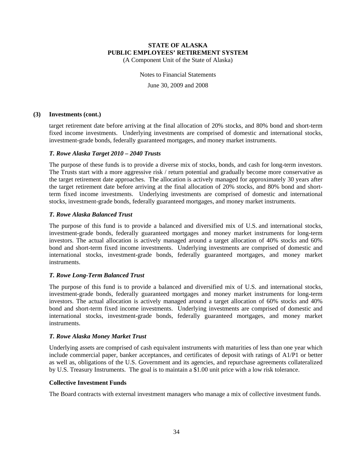(A Component Unit of the State of Alaska)

Notes to Financial Statements June 30, 2009 and 2008

#### **(3) Investments (cont.)**

target retirement date before arriving at the final allocation of 20% stocks, and 80% bond and short-term fixed income investments. Underlying investments are comprised of domestic and international stocks, investment-grade bonds, federally guaranteed mortgages, and money market instruments.

#### *T. Rowe Alaska Target 2010 – 2040 Trusts*

The purpose of these funds is to provide a diverse mix of stocks, bonds, and cash for long-term investors. The Trusts start with a more aggressive risk / return potential and gradually become more conservative as the target retirement date approaches. The allocation is actively managed for approximately 30 years after the target retirement date before arriving at the final allocation of 20% stocks, and 80% bond and shortterm fixed income investments. Underlying investments are comprised of domestic and international stocks, investment-grade bonds, federally guaranteed mortgages, and money market instruments.

#### *T. Rowe Alaska Balanced Trust*

The purpose of this fund is to provide a balanced and diversified mix of U.S. and international stocks, investment-grade bonds, federally guaranteed mortgages and money market instruments for long-term investors. The actual allocation is actively managed around a target allocation of 40% stocks and 60% bond and short-term fixed income investments. Underlying investments are comprised of domestic and international stocks, investment-grade bonds, federally guaranteed mortgages, and money market instruments.

#### *T. Rowe Long-Term Balanced Trust*

The purpose of this fund is to provide a balanced and diversified mix of U.S. and international stocks, investment-grade bonds, federally guaranteed mortgages and money market instruments for long-term investors. The actual allocation is actively managed around a target allocation of 60% stocks and 40% bond and short-term fixed income investments. Underlying investments are comprised of domestic and international stocks, investment-grade bonds, federally guaranteed mortgages, and money market instruments.

#### *T. Rowe Alaska Money Market Trust*

Underlying assets are comprised of cash equivalent instruments with maturities of less than one year which include commercial paper, banker acceptances, and certificates of deposit with ratings of A1/P1 or better as well as, obligations of the U.S. Government and its agencies, and repurchase agreements collateralized by U.S. Treasury Instruments. The goal is to maintain a \$1.00 unit price with a low risk tolerance.

#### **Collective Investment Funds**

The Board contracts with external investment managers who manage a mix of collective investment funds.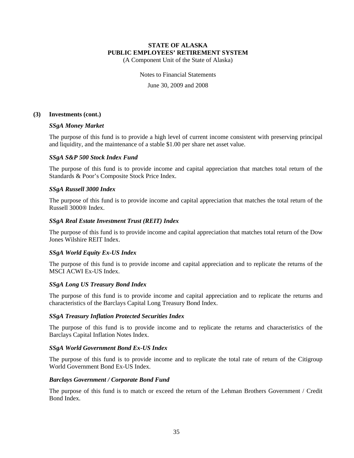(A Component Unit of the State of Alaska)

Notes to Financial Statements

June 30, 2009 and 2008

#### **(3) Investments (cont.)**

## *SSgA Money Market*

The purpose of this fund is to provide a high level of current income consistent with preserving principal and liquidity, and the maintenance of a stable \$1.00 per share net asset value.

#### *SSgA S&P 500 Stock Index Fund*

The purpose of this fund is to provide income and capital appreciation that matches total return of the Standards & Poor's Composite Stock Price Index.

#### *SSgA Russell 3000 Index*

The purpose of this fund is to provide income and capital appreciation that matches the total return of the Russell 3000® Index.

#### *SSgA Real Estate Investment Trust (REIT) Index*

The purpose of this fund is to provide income and capital appreciation that matches total return of the Dow Jones Wilshire REIT Index.

## *SSgA World Equity Ex-US Index*

The purpose of this fund is to provide income and capital appreciation and to replicate the returns of the MSCI ACWI Ex-US Index.

#### *SSgA Long US Treasury Bond Index*

The purpose of this fund is to provide income and capital appreciation and to replicate the returns and characteristics of the Barclays Capital Long Treasury Bond Index.

#### *SSgA Treasury Inflation Protected Securities Index*

The purpose of this fund is to provide income and to replicate the returns and characteristics of the Barclays Capital Inflation Notes Index.

#### *SSgA World Government Bond Ex-US Index*

The purpose of this fund is to provide income and to replicate the total rate of return of the Citigroup World Government Bond Ex-US Index.

#### *Barclays Government / Corporate Bond Fund*

The purpose of this fund is to match or exceed the return of the Lehman Brothers Government / Credit Bond Index.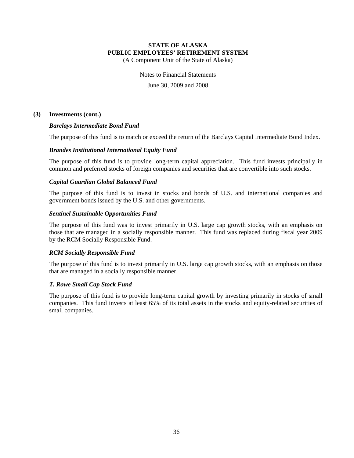(A Component Unit of the State of Alaska)

Notes to Financial Statements

June 30, 2009 and 2008

#### **(3) Investments (cont.)**

#### *Barclays Intermediate Bond Fund*

The purpose of this fund is to match or exceed the return of the Barclays Capital Intermediate Bond Index.

#### *Brandes Institutional International Equity Fund*

The purpose of this fund is to provide long-term capital appreciation. This fund invests principally in common and preferred stocks of foreign companies and securities that are convertible into such stocks.

#### *Capital Guardian Global Balanced Fund*

The purpose of this fund is to invest in stocks and bonds of U.S. and international companies and government bonds issued by the U.S. and other governments.

#### *Sentinel Sustainable Opportunities Fund*

The purpose of this fund was to invest primarily in U.S. large cap growth stocks, with an emphasis on those that are managed in a socially responsible manner. This fund was replaced during fiscal year 2009 by the RCM Socially Responsible Fund.

#### *RCM Socially Responsible Fund*

The purpose of this fund is to invest primarily in U.S. large cap growth stocks, with an emphasis on those that are managed in a socially responsible manner.

#### *T. Rowe Small Cap Stock Fund*

The purpose of this fund is to provide long-term capital growth by investing primarily in stocks of small companies. This fund invests at least 65% of its total assets in the stocks and equity-related securities of small companies.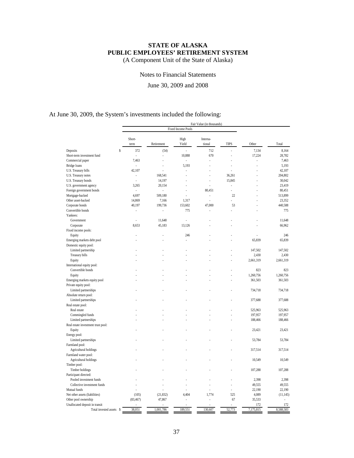(A Component Unit of the State of Alaska)

Notes to Financial Statements

June 30, 2009 and 2008

## At June 30, 2009, the System's investments included the following:

|                                    |           |            |                           | Fair Value (in thousands) |             |           |           |
|------------------------------------|-----------|------------|---------------------------|---------------------------|-------------|-----------|-----------|
|                                    |           |            | <b>Fixed Income Pools</b> |                           |             |           |           |
|                                    | Short-    |            | High                      | Interna-                  |             |           |           |
|                                    | term      | Retirement | Yield                     | tional                    | <b>TIPS</b> | Other     | Total     |
| \$<br>Deposits                     | 372       | (54)       |                           | 712                       |             | 7,134     | 8,164     |
| Short-term investment fund         |           | í,         | 10,888                    | 670                       |             | 17,224    | 28,782    |
| Commercial paper                   | 7,463     |            | L.                        | l,                        |             | ä,        | 7,463     |
| Bridge loans                       | ÷.        |            | 5,193                     |                           |             |           | 5,193     |
| U.S. Treasury bills                | 42,107    |            |                           |                           |             |           | 42,107    |
| U.S. Treasury notes                | i,        | 168,541    |                           |                           | 36,261      |           | 204,802   |
| U.S. Treasury bonds                |           | 14,197     |                           |                           | 15,845      |           | 30,042    |
| U.S. government agency             | 3,265     | 20,154     |                           |                           | L.          |           | 23,419    |
| Foreign government bonds           | ä,        | ÷,         |                           | 80,451                    | ÷,          |           | 80,451    |
| Mortgage-backed                    | 4,697     | 509,180    |                           | L.                        | 22          |           | 513,899   |
| Other asset-backed                 | 14,869    | 7,166      | 1,317                     | L                         | ÷           |           | 23,352    |
| Corporate bonds                    | 40,197    | 199,736    | 153,602                   | 47,000                    | 53          |           | 440,588   |
| Convertible bonds                  |           |            | 775                       |                           |             |           | 775       |
| Yankees:                           |           |            |                           |                           |             |           |           |
| Government                         |           | 11,648     |                           |                           |             |           | 11,648    |
| Corporate                          | 8,653     | 45,183     | 13,126                    |                           |             |           | 66,962    |
| Fixed income pools:                |           |            |                           |                           |             |           |           |
| Equity                             |           |            | 246                       |                           |             |           | 246       |
| Emerging markets debt pool         |           |            |                           |                           |             | 65,839    | 65,839    |
| Domestic equity pool:              |           |            |                           |                           |             |           |           |
| Limited partnership                |           |            |                           |                           |             | 147,502   | 147,502   |
| Treasury bills                     |           |            |                           |                           |             | 2,430     | 2,430     |
| Equity                             |           |            |                           |                           |             | 2,661,319 | 2,661,319 |
| International equity pool:         |           |            |                           |                           |             |           |           |
| Convertible bonds                  |           |            |                           |                           |             | 823       | 823       |
| Equity                             |           |            |                           |                           |             | 1,260,756 | 1,260,756 |
| Emerging markets equity pool       |           |            |                           |                           |             | 361,503   | 361,503   |
| Private equity pool:               |           |            |                           |                           |             |           |           |
| Limited partnerships               |           |            |                           |                           |             | 734,718   | 734,718   |
| Absolute return pool:              |           |            |                           |                           |             |           |           |
| Limited partnerships               |           |            |                           |                           |             | 377,688   | 377,688   |
| Real estate pool:                  |           |            |                           |                           |             |           |           |
| Real estate                        |           |            |                           |                           |             | 525,963   | 525,963   |
| Commingled funds                   |           |            |                           |                           |             | 197,957   | 197,957   |
| Limited partnerships               |           |            |                           |                           |             | 188,466   | 188,466   |
| Real estate investment trust pool: |           |            |                           |                           |             |           |           |
| Equity                             |           |            |                           |                           |             | 23,421    | 23,421    |
|                                    |           |            |                           |                           |             |           |           |
| Energy pool:                       |           |            |                           |                           |             |           |           |
| Limited partnerships               |           |            |                           |                           |             | 53,784    | 53,784    |
| Farmland pool:                     |           |            |                           |                           |             |           | 317,514   |
| Agricultural holdings              |           |            |                           |                           |             | 317,514   |           |
| Farmland water pool:               |           |            |                           |                           |             |           |           |
| Agricultural holdings              |           |            |                           |                           |             | 10,549    | 10,549    |
| Timber pool:                       |           |            |                           |                           |             |           |           |
| Timber holdings                    |           |            |                           |                           |             | 107,288   | 107,288   |
| Participant directed:              |           |            |                           |                           |             |           |           |
| Pooled investment funds            |           |            |                           |                           |             | 2,398     | 2,398     |
| Collective investment funds        |           |            |                           |                           |             | 49,555    | 49,555    |
| Mutual funds                       |           |            |                           |                           |             | 22,190    | 22,190    |
| Net other assets (liabilities)     | (105)     | (21, 832)  | 4,404                     | 1,774                     | 525         | 4,089     | (11, 145) |
| Other pool ownership               | (83, 467) | 47,867     |                           |                           | 67          | 35,533    | ٠         |
| Unallocated deposit in transit     |           |            |                           |                           |             | 172       | 172       |
| Total invested assets \$           | 38,051    | 1,001,786  | 189,551                   | 130,607                   | 52,773      | 7,175,815 | 8,588,583 |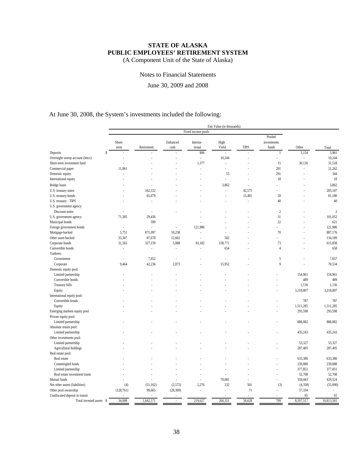(A Component Unit of the State of Alaska)

Notes to Financial Statements

June 30, 2009 and 2008

## At June 30, 2008, the System's investments included the following:

|                                |                          |            |           |                    | Fair Value (in thousands) |        |                |           |                |
|--------------------------------|--------------------------|------------|-----------|--------------------|---------------------------|--------|----------------|-----------|----------------|
|                                |                          |            |           | Fixed income pools |                           |        |                |           |                |
|                                |                          |            |           |                    |                           |        | Pooled         |           |                |
|                                | Short-                   |            | Enhanced  | Interna-           | High                      |        | investments    |           |                |
|                                | term                     | Retirement | cash      | tional             | Yield                     | TIPS   | funds          | Other     | Total          |
| S<br>Deposits                  |                          |            |           | 806                |                           |        | $\mathbf{1}$   | 5,154     | 5,961          |
| Overnight sweep account (lmcs) |                          |            |           | ä,                 | 10,244                    |        | ä,             | ÷,        | 10,244         |
| Short-term investment fund     |                          |            |           | 1,377              | L                         |        | 15             | 30,126    | 31,518         |
| Commercial paper               | 11,061                   |            |           | L,                 | L,                        |        | 201            | L.        | 11,262         |
| Domestic equity                | J.                       |            |           | ä,                 | 53                        |        | 291            | ä,        | 344            |
| International equity           |                          |            |           |                    | l,                        |        | 18             |           | 18             |
|                                |                          |            |           |                    |                           |        |                |           |                |
| Bridge loans                   |                          |            |           |                    | 3,862                     |        | ä,             |           | 3,862          |
| U.S. treasury notes            |                          | 162,532    |           |                    | Ĭ.                        | 42,575 |                |           | 205,107        |
| U.S. treasury bonds            |                          | 65,679     |           |                    | i,                        | 15,481 | 20             |           | 81,180         |
| U.S. treasury - TIPS           |                          |            |           |                    | ä,                        | i,     | 40             | ä,        | 40             |
| U.S. government agency         |                          |            |           |                    |                           |        |                |           |                |
| Discount notes                 |                          |            |           |                    |                           |        | $\overline{2}$ |           | $\overline{c}$ |
| U.S. government agency         | 71,585                   | 29,436     |           |                    |                           |        | 31             |           | 101,052        |
| Municipal bonds                |                          | 599        |           |                    |                           |        | 22             |           | 621            |
| Foreign government bonds       | ÷,                       |            | ä,        | 121,986            |                           |        | ä,             |           | 121,986        |
| Mortgage-backed                | 5,751                    | 871,097    | 10,258    | í,                 |                           |        | 70             |           | 887,176        |
| Other asset-backed             | 33,347                   | 87,678     | 12,662    | Í,                 | 502                       |        |                |           | 134,189        |
| Corporate bonds                | 31,565                   | 327,159    | 5,088     | 93,182             | 158,771                   |        | 73             |           | 615,838        |
| Convertible bonds              | $\overline{\phantom{a}}$ | ×.         | L.        | ł,                 | 654                       |        | $\overline{4}$ |           | 658            |
| Yankees:                       |                          |            |           |                    |                           |        |                |           |                |
| Government                     | ÷.                       | 7,652      | ×,        |                    |                           |        | 5              | í.        | 7,657          |
| Corporate                      | 9,464                    | 42,236     | 2,873     |                    | 15,952                    |        | 9              |           | 70,534         |
| Domestic equity pool:          |                          |            |           |                    |                           |        |                |           |                |
| Limited partnership            |                          |            |           |                    |                           |        |                | 154,961   | 154,961        |
| Convertible bonds              |                          |            |           |                    |                           |        |                | 489       | 489            |
| Treasury bills                 |                          |            |           |                    |                           |        | L.             | 1,136     | 1,136          |
| Equity                         |                          |            |           |                    |                           |        |                | 3,218,807 | 3,218,807      |
| International equity pool:     |                          |            |           |                    |                           |        |                |           |                |
| Convertible bonds              |                          |            |           |                    |                           |        |                | 787       | 787            |
| Equity                         |                          |            |           |                    |                           |        |                | 1,511,285 | 1,511,285      |
|                                |                          |            |           |                    |                           |        |                | 293,598   | 293,598        |
| Emerging markets equity pool   |                          |            |           |                    |                           |        |                |           |                |
| Private equity pool:           |                          |            |           |                    |                           |        |                |           |                |
| Limited partnership            |                          |            |           |                    |                           |        |                | 888,882   | 888,882        |
| Absolute return pool:          |                          |            |           |                    |                           |        |                |           |                |
| Limited partnership            |                          |            |           |                    |                           |        |                | 435,243   | 435,243        |
| Other investments pool:        |                          |            |           |                    |                           |        |                |           |                |
| Limited partnership            |                          |            |           |                    |                           |        |                | 53,327    | 53,327         |
| Agricultural holdings          |                          |            |           |                    |                           |        |                | 287,405   | 287,405        |
| Real estate pool:              |                          |            |           |                    |                           |        |                |           |                |
| Real estate                    |                          |            |           |                    |                           |        |                | 633,386   | 633,386        |
| Commingled funds               |                          |            |           |                    |                           |        |                | 239,888   | 239,888        |
| Limited partnership            |                          |            |           |                    |                           |        | l,             | 377,851   | 377,851        |
| Real estate investment trusts  |                          |            |           |                    | J.                        |        | ä,             | 52,708    | 52,708         |
| Mutual funds                   |                          |            |           | í,                 | 70,081                    |        |                | 359,443   | 429,524        |
| Net other assets (liabilities) | (4)                      | (51, 162)  | (2,572)   | 2,276              | 232                       | 501    | (3)            | (4, 358)  | (55,090)       |
| Other pool ownership           | (128, 761)               | 99,665     | (28, 309) | l,                 | l,                        | 71     | L              | 57,334    |                |
| Unallocated deposit in transit |                          |            |           |                    |                           |        |                | 65        | 65             |
| Total invested assets \$       | 34,008                   | 1,642,571  | ä,        | 219,627            | 260,351                   | 58,628 | 799            | 8,597,517 | 10,813,501     |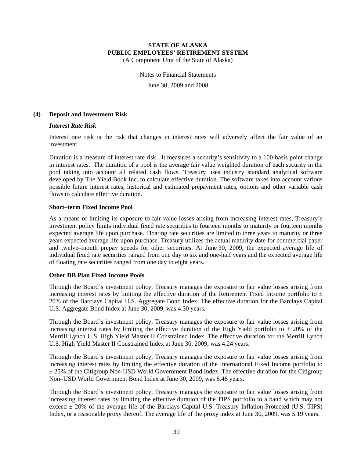(A Component Unit of the State of Alaska)

Notes to Financial Statements

June 30, 2009 and 2008

#### **(4) Deposit and Investment Risk**

#### *Interest Rate Risk*

Interest rate risk is the risk that changes in interest rates will adversely affect the fair value of an investment.

Duration is a measure of interest rate risk. It measures a security's sensitivity to a 100-basis point change in interest rates. The duration of a pool is the average fair value weighted duration of each security in the pool taking into account all related cash flows. Treasury uses industry standard analytical software developed by The Yield Book Inc. to calculate effective duration. The software takes into account various possible future interest rates, historical and estimated prepayment rates, options and other variable cash flows to calculate effective duration.

#### **Short–term Fixed Income Pool**

As a means of limiting its exposure to fair value losses arising from increasing interest rates, Treasury's investment policy limits individual fixed rate securities to fourteen months to maturity or fourteen months expected average life upon purchase. Floating rate securities are limited to three years to maturity or three years expected average life upon purchase. Treasury utilizes the actual maturity date for commercial paper and twelve–month prepay speeds for other securities. At June 30, 2009, the expected average life of individual fixed rate securities ranged from one day to six and one-half years and the expected average life of floating rate securities ranged from one day to eight years.

#### **Other DB Plan Fixed Income Pools**

Through the Board's investment policy, Treasury manages the exposure to fair value losses arising from increasing interest rates by limiting the effective duration of the Retirement Fixed Income portfolio to  $\pm$ 20% of the Barclays Capital U.S. Aggregate Bond Index. The effective duration for the Barclays Capital U.S. Aggregate Bond Index at June 30, 2009, was 4.30 years.

Through the Board's investment policy, Treasury manages the exposure to fair value losses arising from increasing interest rates by limiting the effective duration of the High Yield portfolio to  $\pm$  20% of the Merrill Lynch U.S. High Yield Master II Constrained Index. The effective duration for the Merrill Lynch U.S. High Yield Master II Constrained Index at June 30, 2009, was 4.24 years.

Through the Board's investment policy, Treasury manages the exposure to fair value losses arising from increasing interest rates by limiting the effective duration of the International Fixed Income portfolio to  $\pm$  25% of the Citigroup Non-USD World Government Bond Index. The effective duration for the Citigroup Non–USD World Government Bond Index at June 30, 2009, was 6.46 years.

Through the Board's investment policy, Treasury manages the exposure to fair value losses arising from increasing interest rates by limiting the effective duration of the TIPS portfolio to a band which may not exceed  $\pm$  20% of the average life of the Barclays Capital U.S. Treasury Inflation-Protected (U.S. TIPS) Index, or a reasonable proxy thereof. The average life of the proxy index at June 30, 2009, was 5.19 years.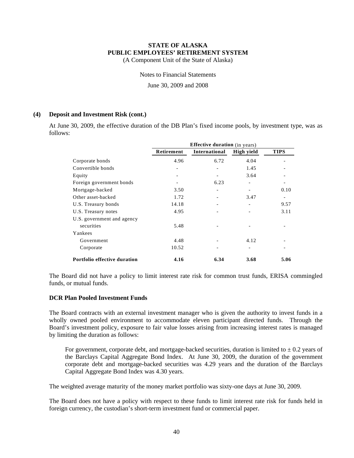(A Component Unit of the State of Alaska)

Notes to Financial Statements

June 30, 2009 and 2008

## **(4) Deposit and Investment Risk (cont.)**

At June 30, 2009, the effective duration of the DB Plan's fixed income pools, by investment type, was as follows:

|                              | <b>Effective duration</b> (in years) |               |                              |             |  |  |
|------------------------------|--------------------------------------|---------------|------------------------------|-------------|--|--|
|                              | Retirement                           | International | High yield                   | <b>TIPS</b> |  |  |
| Corporate bonds              | 4.96                                 | 6.72          | 4.04                         |             |  |  |
| Convertible bonds            |                                      |               | 1.45                         |             |  |  |
| Equity                       |                                      |               | 3.64                         |             |  |  |
| Foreign government bonds     |                                      | 6.23          |                              |             |  |  |
| Mortgage-backed              | 3.50                                 |               |                              | 0.10        |  |  |
| Other asset-backed           | 1.72                                 |               | 3.47                         |             |  |  |
| U.S. Treasury bonds          | 14.18                                |               | $\qquad \qquad \blacksquare$ | 9.57        |  |  |
| U.S. Treasury notes          | 4.95                                 |               |                              | 3.11        |  |  |
| U.S. government and agency   |                                      |               |                              |             |  |  |
| securities                   | 5.48                                 |               |                              |             |  |  |
| Yankees                      |                                      |               |                              |             |  |  |
| Government                   | 4.48                                 |               | 4.12                         |             |  |  |
| Corporate                    | 10.52                                |               |                              |             |  |  |
| Portfolio effective duration | 4.16                                 | 6.34          | 3.68                         | 5.06        |  |  |

The Board did not have a policy to limit interest rate risk for common trust funds, ERISA commingled funds, or mutual funds.

#### **DCR Plan Pooled Investment Funds**

The Board contracts with an external investment manager who is given the authority to invest funds in a wholly owned pooled environment to accommodate eleven participant directed funds. Through the Board's investment policy, exposure to fair value losses arising from increasing interest rates is managed by limiting the duration as follows:

For government, corporate debt, and mortgage-backed securities, duration is limited to  $\pm$  0.2 years of the Barclays Capital Aggregate Bond Index. At June 30, 2009, the duration of the government corporate debt and mortgage-backed securities was 4.29 years and the duration of the Barclays Capital Aggregate Bond Index was 4.30 years.

The weighted average maturity of the money market portfolio was sixty-one days at June 30, 2009.

The Board does not have a policy with respect to these funds to limit interest rate risk for funds held in foreign currency, the custodian's short-term investment fund or commercial paper.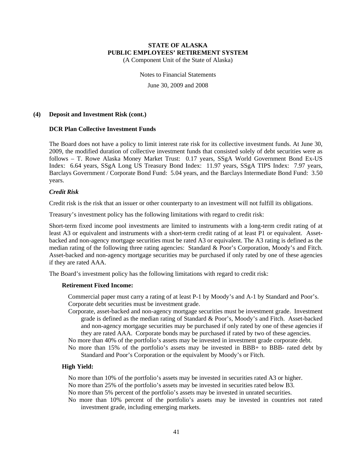(A Component Unit of the State of Alaska)

Notes to Financial Statements June 30, 2009 and 2008

#### **(4) Deposit and Investment Risk (cont.)**

#### **DCR Plan Collective Investment Funds**

The Board does not have a policy to limit interest rate risk for its collective investment funds. At June 30, 2009, the modified duration of collective investment funds that consisted solely of debt securities were as follows – T. Rowe Alaska Money Market Trust: 0.17 years, SSgA World Government Bond Ex-US Index: 6.64 years, SSgA Long US Treasury Bond Index: 11.97 years, SSgA TIPS Index: 7.97 years, Barclays Government / Corporate Bond Fund: 5.04 years, and the Barclays Intermediate Bond Fund: 3.50 years.

#### *Credit Risk*

Credit risk is the risk that an issuer or other counterparty to an investment will not fulfill its obligations.

Treasury's investment policy has the following limitations with regard to credit risk:

Short-term fixed income pool investments are limited to instruments with a long-term credit rating of at least A3 or equivalent and instruments with a short-term credit rating of at least P1 or equivalent. Assetbacked and non-agency mortgage securities must be rated A3 or equivalent. The A3 rating is defined as the median rating of the following three rating agencies: Standard & Poor's Corporation, Moody's and Fitch. Asset-backed and non-agency mortgage securities may be purchased if only rated by one of these agencies if they are rated AAA.

The Board's investment policy has the following limitations with regard to credit risk:

#### **Retirement Fixed Income:**

Commercial paper must carry a rating of at least P-1 by Moody's and A-1 by Standard and Poor's. Corporate debt securities must be investment grade.

- Corporate, asset-backed and non-agency mortgage securities must be investment grade. Investment grade is defined as the median rating of Standard & Poor's, Moody's and Fitch. Asset-backed and non-agency mortgage securities may be purchased if only rated by one of these agencies if they are rated AAA. Corporate bonds may be purchased if rated by two of these agencies.
- No more than 40% of the portfolio's assets may be invested in investment grade corporate debt.
- No more than 15% of the portfolio's assets may be invested in BBB+ to BBB- rated debt by Standard and Poor's Corporation or the equivalent by Moody's or Fitch.

#### **High Yield:**

- No more than 10% of the portfolio's assets may be invested in securities rated A3 or higher.
- No more than 25% of the portfolio's assets may be invested in securities rated below B3.
- No more than 5% percent of the portfolio's assets may be invested in unrated securities.
- No more than 10% percent of the portfolio's assets may be invested in countries not rated investment grade, including emerging markets.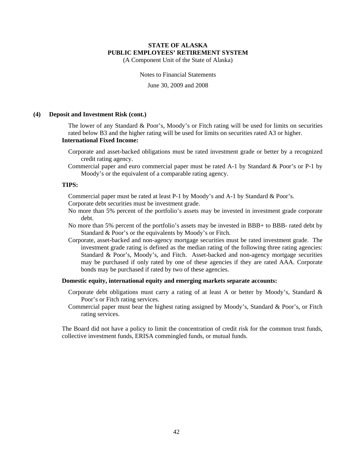(A Component Unit of the State of Alaska)

Notes to Financial Statements

June 30, 2009 and 2008

#### **(4) Deposit and Investment Risk (cont.)**

The lower of any Standard & Poor's, Moody's or Fitch rating will be used for limits on securities rated below B3 and the higher rating will be used for limits on securities rated A3 or higher. **International Fixed Income:** 

- Corporate and asset-backed obligations must be rated investment grade or better by a recognized credit rating agency.
- Commercial paper and euro commercial paper must be rated A-1 by Standard & Poor's or P-1 by Moody's or the equivalent of a comparable rating agency.

#### **TIPS:**

Commercial paper must be rated at least P-1 by Moody's and A-1 by Standard & Poor's.

Corporate debt securities must be investment grade.

- No more than 5% percent of the portfolio's assets may be invested in investment grade corporate debt.
- No more than 5% percent of the portfolio's assets may be invested in BBB+ to BBB- rated debt by Standard & Poor's or the equivalents by Moody's or Fitch.
- Corporate, asset-backed and non-agency mortgage securities must be rated investment grade. The investment grade rating is defined as the median rating of the following three rating agencies: Standard & Poor's, Moody's, and Fitch. Asset-backed and non-agency mortgage securities may be purchased if only rated by one of these agencies if they are rated AAA. Corporate bonds may be purchased if rated by two of these agencies.

#### **Domestic equity, international equity and emerging markets separate accounts:**

- Corporate debt obligations must carry a rating of at least A or better by Moody's, Standard & Poor's or Fitch rating services.
- Commercial paper must bear the highest rating assigned by Moody's, Standard & Poor's, or Fitch rating services.

The Board did not have a policy to limit the concentration of credit risk for the common trust funds, collective investment funds, ERISA commingled funds, or mutual funds.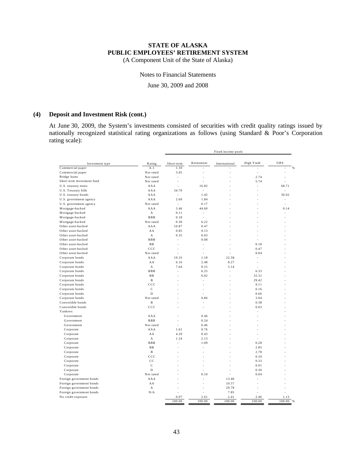(A Component Unit of the State of Alaska)

#### Notes to Financial Statements

June 30, 2009 and 2008

#### **(4) Deposit and Investment Risk (cont.)**

At June 30, 2009, the System's investments consisted of securities with credit quality ratings issued by nationally recognized statistical rating organizations as follows (using Standard & Poor's Corporation rating scale):

|                                                      |                                 | Fixed income pools |               |                |               |             |
|------------------------------------------------------|---------------------------------|--------------------|---------------|----------------|---------------|-------------|
|                                                      |                                 |                    |               |                |               |             |
| Investment type                                      | Rating                          | Short-term         | Retirement    | International  | High Yield    | <b>TIPS</b> |
| Commercial paper                                     | $A-1$                           | 1.10               |               | L              | ÷.            |             |
| Commercial paper                                     | Not rated                       | 5.05               | ł,            |                | ÷,            |             |
| Bridge loans<br>Short term investment fund           | Not rated                       | ÷,                 | ä,            |                | 2.74          |             |
|                                                      | Not rated                       | í,                 | í,            |                | 5.74          |             |
| U.S. treasury notes                                  | AAA                             |                    | 16.82         |                | J,            | 68.71       |
| U.S. Treasury bills                                  | AAA                             | 34.70              | ÷.            |                |               |             |
| U.S. treasury bonds                                  | AAA<br>AAA                      | ÷.                 | 1.42          |                |               | 30.02       |
| U.S. government agency                               |                                 | 2.69               | 1.84          |                |               |             |
| U.S. government agency                               | Not rated<br>AAA                | ÷<br>3.46          | 0.17<br>44.60 |                |               | 0.14        |
| Mortgage-backed                                      |                                 |                    |               |                |               |             |
| Mortgage-backed                                      | $\mathbf A$                     | 0.11               | ÷             |                |               |             |
| Mortgage-backed                                      | $B$ $B$ $B$                     | 0.18               | $\sim$        |                |               |             |
| Mortgage-backed                                      | Not rated                       | 0.30               | 6.22          |                |               |             |
| Other asset-backed                                   | AAA                             | 10.87              | 0.47          |                |               |             |
| Other asset-backed                                   | AA                              | 0.85               | 0.13          |                |               |             |
| Other asset-backed                                   | $\mathbf{A}$                    | 0.35<br>L.         | 0.03          |                |               |             |
| Other asset-backed<br>Other asset-backed             | <b>BBB</b><br><b>BB</b>         | ÷,                 | 0.08<br>ä,    |                | 0.18          |             |
| Other asset-backed                                   | $_{\text{CCC}}$                 |                    |               |                |               |             |
|                                                      |                                 |                    | ÷             |                | 0.47          |             |
| Other asset-backed                                   | Not rated                       | í,<br>19.33        | J.            |                | 0.04<br>÷,    |             |
| Corporate bonds                                      | AAA                             |                    | 1.18<br>2.48  | 22.58          |               |             |
| Corporate bonds                                      | AA<br>$\boldsymbol{\mathsf{A}}$ | 6.16<br>7.64       | 9.15          | 8.27<br>5.14   | ÷<br>÷        |             |
| Corporate bonds                                      | $B$ $B$ $B$                     |                    |               |                |               |             |
| Corporate bonds                                      | $\mathbf{B}\,\mathbf{B}$        |                    | 6.25<br>0.02  | L,             | 6.33<br>32.31 |             |
| Corporate bonds<br>Corporate bonds                   | $\mathbf B$                     |                    | J.            |                | 29.42         |             |
|                                                      | $_{\rm ccc}$                    | L,                 | J.            |                | 9.11          |             |
| Corporate bonds                                      | $\mathbf C$                     | J.                 | ä,            |                | 0.16          |             |
| Corporate bonds<br>Corporate bonds                   | D                               |                    |               |                | 0.66          |             |
| Corporate bonds                                      | Not rated                       |                    | 0.86          |                | 3.04          |             |
| Convertible bonds                                    | $\, {\bf B}$                    |                    | ä,            |                | 0.38          |             |
| Convertible bonds                                    | $_{\text{CCC}}$                 |                    |               |                | 0.03          |             |
| Yankees:                                             |                                 |                    |               |                |               |             |
| Government                                           | AAA                             | ä,                 | 0.46          |                |               |             |
| Government                                           | <b>BBB</b>                      |                    | 0.24          |                |               |             |
| Government                                           | Not rated                       | ä,                 | 0.46          |                |               |             |
|                                                      | AAA                             | 1.61               | 0.76          |                |               |             |
| Corporate<br>Corporate                               | AA                              | 4.29               | 0.43          |                |               |             |
| Corporate                                            | $\boldsymbol{\mathsf{A}}$       | 1.24               | 2.13          |                |               |             |
| Corporate                                            | $B$ $B$ $B$                     | ä,                 | 1.09          |                | 0.28          |             |
| Corporate                                            | $\mathbf{B}\,\mathbf{B}$        |                    | ł,            |                | 2.85          |             |
| Corporate                                            | $\mathbf{B}$                    | ä,                 | í.            |                | 2.78          |             |
| Corporate                                            | $_{\rm ccc}$                    | L,                 |               |                | 0.34          |             |
| Corporate                                            | $_{\rm CC}$                     | J.                 |               |                | 0.33          |             |
| Corporate                                            | $\mathbf{C}$                    |                    |               |                | 0.01          |             |
| Corporate                                            | D                               |                    |               | ä,             | 0.30          |             |
|                                                      | Not rated                       |                    |               |                | 0.04          |             |
| Corporate<br>Foreign government bonds                | AAA                             |                    | 0.10          | 13.40          |               |             |
|                                                      | AA                              |                    |               |                |               |             |
| Foreign government bonds                             | $\boldsymbol{\mathsf{A}}$       |                    | ä,            | 10.57<br>29.78 |               |             |
| Foreign government bonds<br>Foreign government bonds | N/A                             |                    |               | 7.85           |               |             |
| No credit exposure                                   |                                 | 0.07               | 2.61          | 2.41           | 2.46          | 1.13        |
|                                                      |                                 | 100.00             | 100.00        | 100.00         | 100.00        | 100.00      |
|                                                      |                                 |                    |               |                |               |             |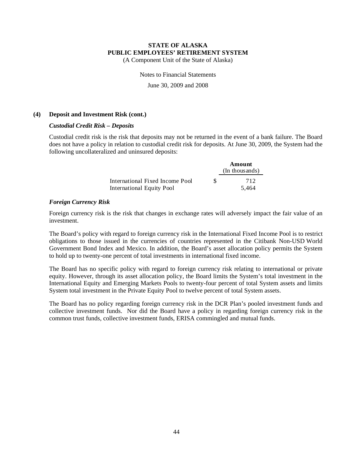(A Component Unit of the State of Alaska)

Notes to Financial Statements

June 30, 2009 and 2008

#### **(4) Deposit and Investment Risk (cont.)**

#### *Custodial Credit Risk – Deposits*

Custodial credit risk is the risk that deposits may not be returned in the event of a bank failure. The Board does not have a policy in relation to custodial credit risk for deposits. At June 30, 2009, the System had the following uncollateralized and uninsured deposits:

|                                                              |    | Amount<br>(In thousands) |
|--------------------------------------------------------------|----|--------------------------|
| International Fixed Income Pool<br>International Equity Pool | S. | 712<br>5.464             |

#### *Foreign Currency Risk*

Foreign currency risk is the risk that changes in exchange rates will adversely impact the fair value of an investment.

The Board's policy with regard to foreign currency risk in the International Fixed Income Pool is to restrict obligations to those issued in the currencies of countries represented in the Citibank Non-USD World Government Bond Index and Mexico. In addition, the Board's asset allocation policy permits the System to hold up to twenty-one percent of total investments in international fixed income.

The Board has no specific policy with regard to foreign currency risk relating to international or private equity. However, through its asset allocation policy, the Board limits the System's total investment in the International Equity and Emerging Markets Pools to twenty-four percent of total System assets and limits System total investment in the Private Equity Pool to twelve percent of total System assets.

The Board has no policy regarding foreign currency risk in the DCR Plan's pooled investment funds and collective investment funds. Nor did the Board have a policy in regarding foreign currency risk in the common trust funds, collective investment funds, ERISA commingled and mutual funds.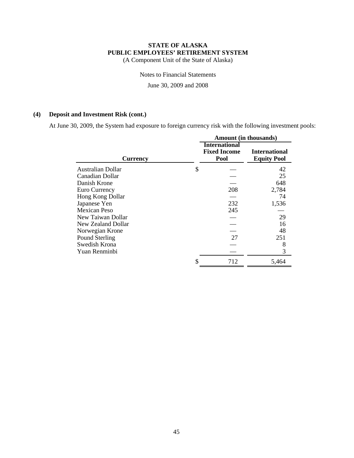(A Component Unit of the State of Alaska)

Notes to Financial Statements

June 30, 2009 and 2008

## **(4) Deposit and Investment Risk (cont.)**

At June 30, 2009, the System had exposure to foreign currency risk with the following investment pools:

|                    | <b>Amount</b> (in thousands)                        |                                            |  |  |
|--------------------|-----------------------------------------------------|--------------------------------------------|--|--|
| <b>Currency</b>    | <b>International</b><br><b>Fixed Income</b><br>Pool | <b>International</b><br><b>Equity Pool</b> |  |  |
| Australian Dollar  | \$                                                  | 42                                         |  |  |
| Canadian Dollar    |                                                     | 25                                         |  |  |
| Danish Krone       |                                                     | 648                                        |  |  |
| Euro Currency      | 208                                                 | 2,784                                      |  |  |
| Hong Kong Dollar   |                                                     | 74                                         |  |  |
| Japanese Yen       | 232                                                 | 1,536                                      |  |  |
| Mexican Peso       | 245                                                 |                                            |  |  |
| New Taiwan Dollar  |                                                     | 29                                         |  |  |
| New Zealand Dollar |                                                     | 16                                         |  |  |
| Norwegian Krone    |                                                     | 48                                         |  |  |
| Pound Sterling     | 27                                                  | 251                                        |  |  |
| Swedish Krona      |                                                     | 8                                          |  |  |
| Yuan Renminbi      |                                                     | 3                                          |  |  |
|                    | \$<br>712                                           | 5,464                                      |  |  |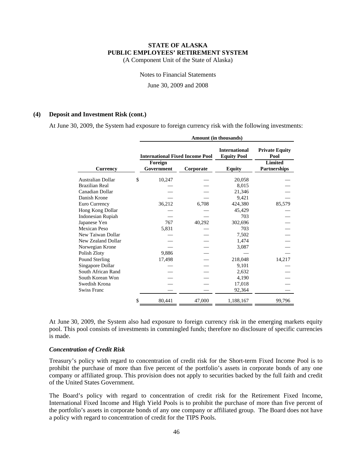(A Component Unit of the State of Alaska)

Notes to Financial Statements

June 30, 2009 and 2008

#### **(4) Deposit and Investment Risk (cont.)**

At June 30, 2009, the System had exposure to foreign currency risk with the following investments:

|                    | Amount (in thousands) |                       |                                        |                                            |                                       |  |
|--------------------|-----------------------|-----------------------|----------------------------------------|--------------------------------------------|---------------------------------------|--|
|                    |                       |                       | <b>International Fixed Income Pool</b> | <b>International</b><br><b>Equity Pool</b> | <b>Private Equity</b><br>Pool         |  |
| <b>Currency</b>    |                       | Foreign<br>Government | Corporate                              | <b>Equity</b>                              | <b>Limited</b><br><b>Partnerships</b> |  |
| Australian Dollar  | \$                    | 10,247                |                                        | 20,058                                     |                                       |  |
| Brazilian Real     |                       |                       |                                        | 8,015                                      |                                       |  |
| Canadian Dollar    |                       |                       |                                        | 21,346                                     |                                       |  |
| Danish Krone       |                       |                       |                                        | 9,421                                      |                                       |  |
| Euro Currency      |                       | 36,212                | 6,708                                  | 424,380                                    | 85,579                                |  |
| Hong Kong Dollar   |                       |                       |                                        | 45,429                                     |                                       |  |
| Indonesian Rupiah  |                       |                       |                                        | 703                                        |                                       |  |
| Japanese Yen       |                       | 767                   | 40,292                                 | 302,696                                    |                                       |  |
| Mexican Peso       |                       | 5,831                 |                                        | 703                                        |                                       |  |
| New Taiwan Dollar  |                       |                       |                                        | 7,502                                      |                                       |  |
| New Zealand Dollar |                       |                       |                                        | 1,474                                      |                                       |  |
| Norwegian Krone    |                       |                       |                                        | 3,087                                      |                                       |  |
| Polish Zloty       |                       | 9,886                 |                                        |                                            |                                       |  |
| Pound Sterling     |                       | 17,498                |                                        | 218,048                                    | 14,217                                |  |
| Singapore Dollar   |                       |                       |                                        | 9,101                                      |                                       |  |
| South African Rand |                       |                       |                                        | 2,632                                      |                                       |  |
| South Korean Won   |                       |                       |                                        | 4,190                                      |                                       |  |
| Swedish Krona      |                       |                       |                                        | 17,018                                     |                                       |  |
| Swiss Franc        |                       |                       |                                        | 92,364                                     |                                       |  |
|                    | \$                    | 80,441                | 47,000                                 | 1,188,167                                  | 99,796                                |  |

At June 30, 2009, the System also had exposure to foreign currency risk in the emerging markets equity pool. This pool consists of investments in commingled funds; therefore no disclosure of specific currencies is made.

#### *Concentration of Credit Risk*

Treasury's policy with regard to concentration of credit risk for the Short-term Fixed Income Pool is to prohibit the purchase of more than five percent of the portfolio's assets in corporate bonds of any one company or affiliated group. This provision does not apply to securities backed by the full faith and credit of the United States Government.

The Board's policy with regard to concentration of credit risk for the Retirement Fixed Income, International Fixed Income and High Yield Pools is to prohibit the purchase of more than five percent of the portfolio's assets in corporate bonds of any one company or affiliated group. The Board does not have a policy with regard to concentration of credit for the TIPS Pools.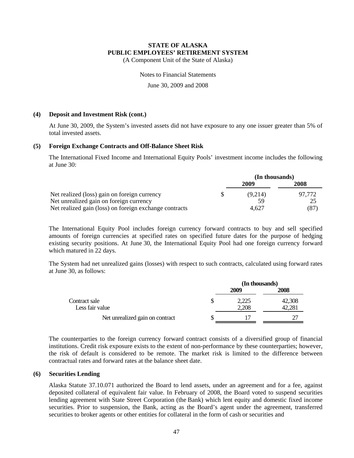(A Component Unit of the State of Alaska)

Notes to Financial Statements

June 30, 2009 and 2008

#### **(4) Deposit and Investment Risk (cont.)**

At June 30, 2009, the System's invested assets did not have exposure to any one issuer greater than 5% of total invested assets.

#### **(5) Foreign Exchange Contracts and Off-Balance Sheet Risk**

The International Fixed Income and International Equity Pools' investment income includes the following at June 30:

|                                                        | (In thousands) |        |  |
|--------------------------------------------------------|----------------|--------|--|
|                                                        | 2009           | 2008   |  |
| Net realized (loss) gain on foreign currency           | (9.214)        | 97.772 |  |
| Net unrealized gain on foreign currency                | 59             | 25     |  |
| Net realized gain (loss) on foreign exchange contracts | 4.627          | (87)   |  |

The International Equity Pool includes foreign currency forward contracts to buy and sell specified amounts of foreign currencies at specified rates on specified future dates for the purpose of hedging existing security positions. At June 30, the International Equity Pool had one foreign currency forward which matured in 22 days.

The System had net unrealized gains (losses) with respect to such contracts, calculated using forward rates at June 30, as follows:

|                                  | (In thousands)         |  |                  |  |
|----------------------------------|------------------------|--|------------------|--|
|                                  | 2009<br>2,225<br>2,208 |  | 2008             |  |
| Contract sale<br>Less fair value |                        |  | 42,308<br>42,281 |  |
| Net unrealized gain on contract  |                        |  |                  |  |

The counterparties to the foreign currency forward contract consists of a diversified group of financial institutions. Credit risk exposure exists to the extent of non-performance by these counterparties; however, the risk of default is considered to be remote. The market risk is limited to the difference between contractual rates and forward rates at the balance sheet date.

#### **(6) Securities Lending**

Alaska Statute 37.10.071 authorized the Board to lend assets, under an agreement and for a fee, against deposited collateral of equivalent fair value. In February of 2008, the Board voted to suspend securities lending agreement with State Street Corporation (the Bank) which lent equity and domestic fixed income securities. Prior to suspension, the Bank, acting as the Board's agent under the agreement, transferred securities to broker agents or other entities for collateral in the form of cash or securities and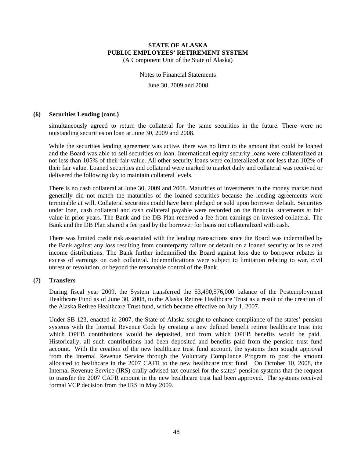(A Component Unit of the State of Alaska)

Notes to Financial Statements June 30, 2009 and 2008

#### **(6) Securities Lending (cont.)**

simultaneously agreed to return the collateral for the same securities in the future. There were no outstanding securities on loan at June 30, 2009 and 2008.

While the securities lending agreement was active, there was no limit to the amount that could be loaned and the Board was able to sell securities on loan. International equity security loans were collateralized at not less than 105% of their fair value. All other security loans were collateralized at not less than 102% of their fair value. Loaned securities and collateral were marked to market daily and collateral was received or delivered the following day to maintain collateral levels.

There is no cash collateral at June 30, 2009 and 2008. Maturities of investments in the money market fund generally did not match the maturities of the loaned securities because the lending agreements were terminable at will. Collateral securities could have been pledged or sold upon borrower default. Securities under loan, cash collateral and cash collateral payable were recorded on the financial statements at fair value in prior years. The Bank and the DB Plan received a fee from earnings on invested collateral. The Bank and the DB Plan shared a fee paid by the borrower for loans not collateralized with cash.

There was limited credit risk associated with the lending transactions since the Board was indemnified by the Bank against any loss resulting from counterparty failure or default on a loaned security or its related income distributions. The Bank further indemnified the Board against loss due to borrower rebates in excess of earnings on cash collateral. Indemnifications were subject to limitation relating to war, civil unrest or revolution, or beyond the reasonable control of the Bank.

#### **(7) Transfers**

During fiscal year 2009, the System transferred the \$3,490,576,000 balance of the Postemployment Healthcare Fund as of June 30, 2008, to the Alaska Retiree Healthcare Trust as a result of the creation of the Alaska Retiree Healthcare Trust fund, which became effective on July 1, 2007.

Under SB 123, enacted in 2007, the State of Alaska sought to enhance compliance of the states' pension systems with the Internal Revenue Code by creating a new defined benefit retiree healthcare trust into which OPEB contributions would be deposited, and from which OPEB benefits would be paid. Historically, all such contributions had been deposited and benefits paid from the pension trust fund account. With the creation of the new healthcare trust fund account, the systems then sought approval from the Internal Revenue Service through the Voluntary Compliance Program to post the amount allocated to healthcare in the 2007 CAFR to the new healthcare trust fund. On October 10, 2008, the Internal Revenue Service (IRS) orally advised tax counsel for the states' pension systems that the request to transfer the 2007 CAFR amount in the new healthcare trust had been approved. The systems received formal VCP decision from the IRS in May 2009.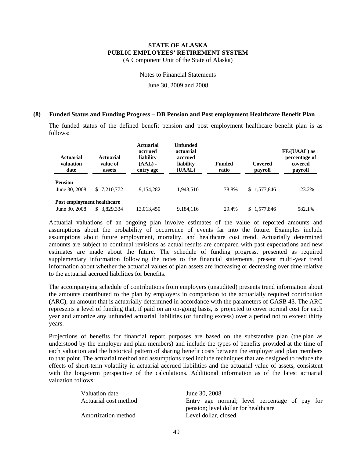(A Component Unit of the State of Alaska)

Notes to Financial Statements

June 30, 2009 and 2008

#### **(8) Funded Status and Funding Progress – DB Pension and Post employment Healthcare Benefit Plan**

The funded status of the defined benefit pension and post employment healthcare benefit plan is as follows:

| <b>Actuarial</b><br>valuation<br>date | Actuarial<br>value of<br>assets | <b>Actuarial</b><br>accrued<br>liability<br>$(AAL)$ -<br>entry age | Unfunded<br>actuarial<br>accrued<br>liability<br>(UAAL) | <b>Funded</b><br>ratio | Covered<br>payroll | $FE/(UAAL)$ as:<br>percentage of<br>covered<br>payroll |
|---------------------------------------|---------------------------------|--------------------------------------------------------------------|---------------------------------------------------------|------------------------|--------------------|--------------------------------------------------------|
| <b>Pension</b>                        |                                 |                                                                    |                                                         |                        |                    |                                                        |
| June 30, 2008                         | \$ 7,210,772                    | 9,154,282                                                          | 1,943,510                                               | 78.8%                  | \$1,577,846        | 123.2%                                                 |
| Post employment healthcare            |                                 |                                                                    |                                                         |                        |                    |                                                        |
| June 30, 2008                         | \$ 3,829,334                    | 13.013.450                                                         | 9,184,116                                               | 29.4%                  | \$1.577.846        | 582.1%                                                 |

Actuarial valuations of an ongoing plan involve estimates of the value of reported amounts and assumptions about the probability of occurrence of events far into the future. Examples include assumptions about future employment, mortality, and healthcare cost trend. Actuarially determined amounts are subject to continual revisions as actual results are compared with past expectations and new estimates are made about the future. The schedule of funding progress, presented as required supplementary information following the notes to the financial statements, present multi-year trend information about whether the actuarial values of plan assets are increasing or decreasing over time relative to the actuarial accrued liabilities for benefits.

The accompanying schedule of contributions from employers (unaudited) presents trend information about the amounts contributed to the plan by employers in comparison to the actuarially required contribution (ARC), an amount that is actuarially determined in accordance with the parameters of GASB 43. The ARC represents a level of funding that, if paid on an on-going basis, is projected to cover normal cost for each year and amortize any unfunded actuarial liabilities (or funding excess) over a period not to exceed thirty years.

Projections of benefits for financial report purposes are based on the substantive plan (the plan as understood by the employer and plan members) and include the types of benefits provided at the time of each valuation and the historical pattern of sharing benefit costs between the employer and plan members to that point. The actuarial method and assumptions used include techniques that are designed to reduce the effects of short-term volatility in actuarial accrued liabilities and the actuarial value of assets, consistent with the long-term perspective of the calculations. Additional information as of the latest actuarial valuation follows:

| Valuation date        | June 30, 2008                                 |
|-----------------------|-----------------------------------------------|
| Actuarial cost method | Entry age normal; level percentage of pay for |
|                       | pension; level dollar for healthcare          |
| Amortization method   | Level dollar, closed                          |
|                       |                                               |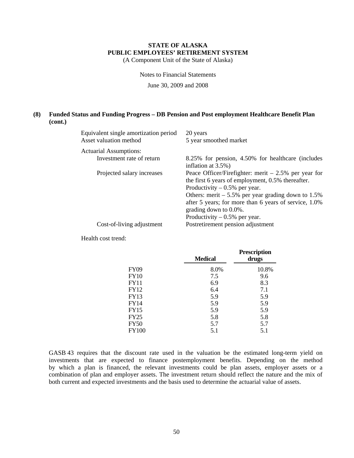(A Component Unit of the State of Alaska)

Notes to Financial Statements

June 30, 2009 and 2008

#### **(8) Funded Status and Funding Progress – DB Pension and Post employment Healthcare Benefit Plan (cont.)**

| Equivalent single amortization period<br>Asset valuation method | 20 years<br>5 year smoothed market                                                                                                                                                                                                                                                                                       |
|-----------------------------------------------------------------|--------------------------------------------------------------------------------------------------------------------------------------------------------------------------------------------------------------------------------------------------------------------------------------------------------------------------|
| <b>Actuarial Assumptions:</b>                                   |                                                                                                                                                                                                                                                                                                                          |
| Investment rate of return                                       | 8.25% for pension, 4.50% for healthcare (includes<br>inflation at 3.5%)                                                                                                                                                                                                                                                  |
| Projected salary increases                                      | Peace Officer/Firefighter: merit $-2.5%$ per year for<br>the first 6 years of employment, 0.5% thereafter.<br>Productivity $-0.5%$ per year.<br>Others: merit $-5.5\%$ per year grading down to 1.5%<br>after 5 years; for more than 6 years of service, 1.0%<br>grading down to 0.0%.<br>Productivity $-0.5%$ per year. |
| Cost-of-living adjustment                                       | Postretirement pension adjustment                                                                                                                                                                                                                                                                                        |
|                                                                 |                                                                                                                                                                                                                                                                                                                          |

Health cost trend:

|              | <b>Medical</b> | <b>Prescription</b><br>drugs |
|--------------|----------------|------------------------------|
| <b>FY09</b>  | 8.0%           | 10.8%                        |
| <b>FY10</b>  | 7.5            | 9.6                          |
| <b>FY11</b>  | 6.9            | 8.3                          |
| <b>FY12</b>  | 6.4            | 7.1                          |
| <b>FY13</b>  | 5.9            | 5.9                          |
| <b>FY14</b>  | 5.9            | 5.9                          |
| <b>FY15</b>  | 5.9            | 5.9                          |
| <b>FY25</b>  | 5.8            | 5.8                          |
| <b>FY50</b>  | 5.7            | 5.7                          |
| <b>FY100</b> | 5.1            | 5.1                          |

GASB 43 requires that the discount rate used in the valuation be the estimated long-term yield on investments that are expected to finance postemployment benefits. Depending on the method by which a plan is financed, the relevant investments could be plan assets, employer assets or a combination of plan and employer assets. The investment return should reflect the nature and the mix of both current and expected investments and the basis used to determine the actuarial value of assets.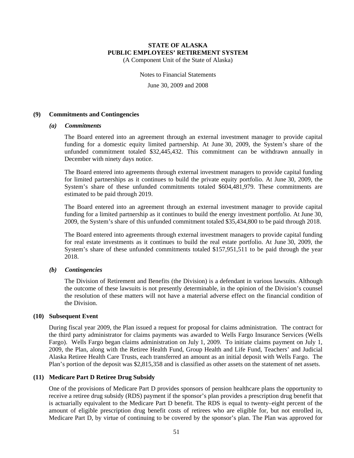(A Component Unit of the State of Alaska)

Notes to Financial Statements

June 30, 2009 and 2008

#### **(9) Commitments and Contingencies**

#### *(a) Commitments*

The Board entered into an agreement through an external investment manager to provide capital funding for a domestic equity limited partnership. At June 30, 2009, the System's share of the unfunded commitment totaled \$32,445,432. This commitment can be withdrawn annually in December with ninety days notice.

The Board entered into agreements through external investment managers to provide capital funding for limited partnerships as it continues to build the private equity portfolio. At June 30, 2009, the System's share of these unfunded commitments totaled \$604,481,979. These commitments are estimated to be paid through 2019.

The Board entered into an agreement through an external investment manager to provide capital funding for a limited partnership as it continues to build the energy investment portfolio. At June 30, 2009, the System's share of this unfunded commitment totaled \$35,434,800 to be paid through 2018.

The Board entered into agreements through external investment managers to provide capital funding for real estate investments as it continues to build the real estate portfolio. At June 30, 2009, the System's share of these unfunded commitments totaled \$157,951,511 to be paid through the year 2018.

#### *(b) Contingencies*

The Division of Retirement and Benefits (the Division) is a defendant in various lawsuits. Although the outcome of these lawsuits is not presently determinable, in the opinion of the Division's counsel the resolution of these matters will not have a material adverse effect on the financial condition of the Division.

#### **(10) Subsequent Event**

During fiscal year 2009, the Plan issued a request for proposal for claims administration. The contract for the third party administrator for claims payments was awarded to Wells Fargo Insurance Services (Wells Fargo). Wells Fargo began claims administration on July 1, 2009. To initiate claims payment on July 1, 2009, the Plan, along with the Retiree Health Fund, Group Health and Life Fund, Teachers' and Judicial Alaska Retiree Health Care Trusts, each transferred an amount as an initial deposit with Wells Fargo. The Plan's portion of the deposit was \$2,815,358 and is classified as other assets on the statement of net assets.

#### **(11) Medicare Part D Retiree Drug Subsidy**

One of the provisions of Medicare Part D provides sponsors of pension healthcare plans the opportunity to receive a retiree drug subsidy (RDS) payment if the sponsor's plan provides a prescription drug benefit that is actuarially equivalent to the Medicare Part D benefit. The RDS is equal to twenty–eight percent of the amount of eligible prescription drug benefit costs of retirees who are eligible for, but not enrolled in, Medicare Part D, by virtue of continuing to be covered by the sponsor's plan. The Plan was approved for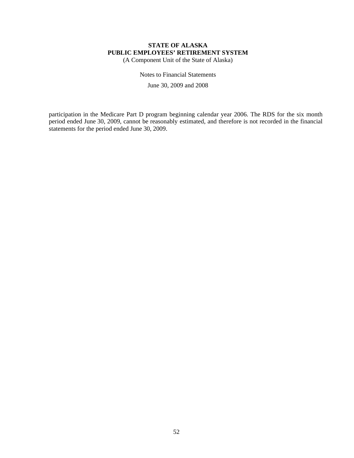(A Component Unit of the State of Alaska)

Notes to Financial Statements June 30, 2009 and 2008

participation in the Medicare Part D program beginning calendar year 2006. The RDS for the six month period ended June 30, 2009, cannot be reasonably estimated, and therefore is not recorded in the financial statements for the period ended June 30, 2009.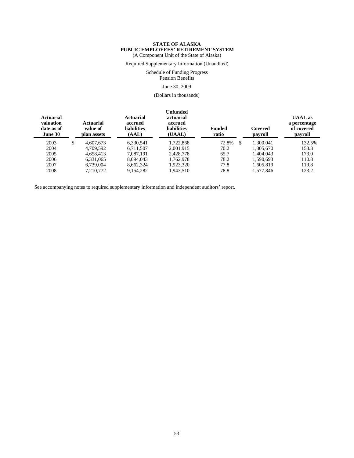Required Supplementary Information (Unaudited)

Schedule of Funding Progress

Pension Benefits

#### June 30, 2009

(Dollars in thousands)

| <b>Actuarial</b><br>valuation<br>date as of<br>June 30 | <b>Actuarial</b><br>value of<br>plan assets | <b>Actuarial</b><br>accrued<br><b>liabilities</b><br>(AAL) | <b>Unfunded</b><br>actuarial<br>accrued<br><b>liabilities</b><br>(UAAL) | <b>Funded</b><br>ratio | Covered<br>payroll | <b>UAAL</b> as<br>a percentage<br>of covered<br>payroll |
|--------------------------------------------------------|---------------------------------------------|------------------------------------------------------------|-------------------------------------------------------------------------|------------------------|--------------------|---------------------------------------------------------|
| 2003                                                   | \$<br>4.607.673                             | 6.330.541                                                  | 1.722.868                                                               | 72.8%                  | \$<br>1.300.041    | 132.5%                                                  |
| 2004                                                   | 4.709.592                                   | 6.711.507                                                  | 2.001.915                                                               | 70.2                   | 1.305.670          | 153.3                                                   |
| 2005                                                   | 4.658.413                                   | 7.087.191                                                  | 2,428,778                                                               | 65.7                   | 1.404.043          | 173.0                                                   |
| 2006                                                   | 6,331,065                                   | 8.094.043                                                  | 1.762.978                                                               | 78.2                   | 1,590,693          | 110.8                                                   |
| 2007                                                   | 6.739,004                                   | 8.662.324                                                  | 1.923.320                                                               | 77.8                   | 1.605.819          | 119.8                                                   |
| 2008                                                   | 7.210.772                                   | 9.154.282                                                  | 1.943.510                                                               | 78.8                   | 1.577.846          | 123.2                                                   |

See accompanying notes to required supplementary information and independent auditors' report.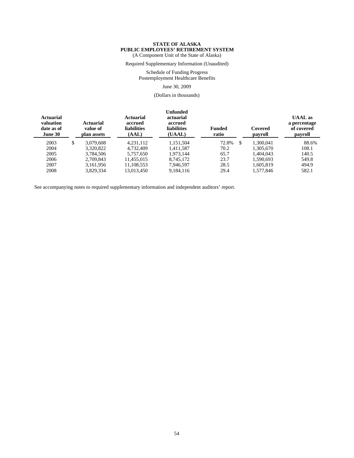Required Supplementary Information (Unaudited)

Schedule of Funding Progress Postemployment Healthcare Benefits

June 30, 2009

(Dollars in thousands)

| Actuarial<br>valuation<br>date as of<br>June 30 | Actuarial<br>value of<br>plan assets | Actuarial<br>accrued<br><b>liabilities</b><br>(AAL) | <b>Unfunded</b><br>actuarial<br>accrued<br><b>liabilities</b><br>(UAAL) | <b>Funded</b><br>ratio | Covered<br>payroll | <b>UAAL</b> as<br>a percentage<br>of covered<br>payroll |
|-------------------------------------------------|--------------------------------------|-----------------------------------------------------|-------------------------------------------------------------------------|------------------------|--------------------|---------------------------------------------------------|
| 2003                                            | \$<br>3.079.608                      | 4.231.112                                           | 1.151.504                                                               | 72.8%                  | \$<br>1.300.041    | 88.6%                                                   |
| 2004                                            | 3.320.822                            | 4.732.409                                           | 1.411.587                                                               | 70.2                   | 1.305.670          | 108.1                                                   |
| 2005                                            | 3,784,506                            | 5,757,650                                           | 1,973,144                                                               | 65.7                   | 1,404,043          | 140.5                                                   |
| 2006                                            | 2.709.843                            | 11.455.015                                          | 8.745.172                                                               | 23.7                   | 1,590,693          | 549.8                                                   |
| 2007                                            | 3.161.956                            | 11.108.553                                          | 7.946.597                                                               | 28.5                   | 1.605.819          | 494.9                                                   |
| 2008                                            | 3.829.334                            | 13.013.450                                          | 9.184.116                                                               | 29.4                   | 1.577.846          | 582.1                                                   |

See accompanying notes to required supplementary information and independent auditors' report.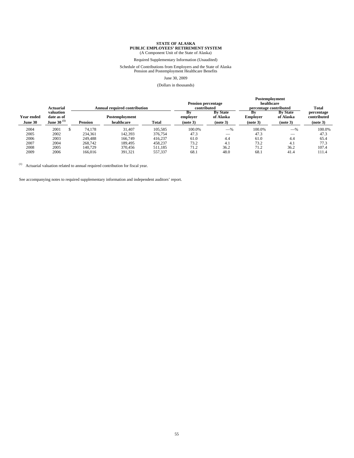Required Supplementary Information (Unaudited)

# Schedule of Contributions from Employers and the State of Alaska Pension and Postemployment Healthcare Benefits

#### June 30, 2009

#### (Dollars in thousands)

|                              | Actuarial<br><b>Annual required contribution</b> |                | <b>Pension percentage</b><br>contributed |         | Postemployment<br>healthcare<br>percentage contributed | Total                                    |                            |                                          |                                       |
|------------------------------|--------------------------------------------------|----------------|------------------------------------------|---------|--------------------------------------------------------|------------------------------------------|----------------------------|------------------------------------------|---------------------------------------|
| <b>Year ended</b><br>June 30 | valuation<br>date as of<br>June 30 $(1)$         | <b>Pension</b> | Postemployment<br>healthcare             | Total   | Bv<br>employer<br>(note 3)                             | <b>By State</b><br>of Alaska<br>(note 3) | Bv<br>Employer<br>(note 3) | <b>By State</b><br>of Alaska<br>(note 3) | percentage<br>contributed<br>(note 3) |
| 2004                         | 2001                                             | 74.178         | 31.407                                   | 105.585 | 100.0%                                                 | $-\%$                                    | 100.0%                     | $-$ %                                    | 100.0%                                |
| 2005                         | 2002                                             | 234,361        | 142,393                                  | 376,754 | 47.3                                                   |                                          | 47.3                       | __                                       | 47.3                                  |
| 2006                         | 2003                                             | 249,488        | 166,749                                  | 416,237 | 61.0                                                   | 4.4                                      | 61.0                       | 4.4                                      | 65.4                                  |
| 2007                         | 2004                                             | 268,742        | 189.495                                  | 458,237 | 73.2                                                   | 4.1                                      | 73.2                       | 4.1                                      | 77.3                                  |
| 2008                         | 2005                                             | 140.729        | 370.456                                  | 511,185 | 71.2                                                   | 36.2                                     | 71.2                       | 36.2                                     | 107.4                                 |
| 2009                         | 2006                                             | 166,016        | 391.321                                  | 557,337 | 68.1                                                   | 48.0                                     | 68.1                       | 41.4                                     | 111.4                                 |

 $(1)$  Actuarial valuation related to annual required contribution for fiscal year.

See accompanying notes to required supplementary information and independent auditors' report.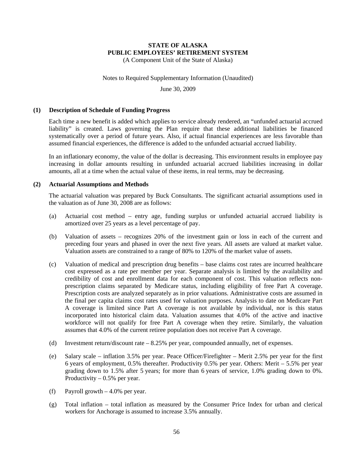(A Component Unit of the State of Alaska)

#### Notes to Required Supplementary Information (Unaudited)

June 30, 2009

#### **(1) Description of Schedule of Funding Progress**

Each time a new benefit is added which applies to service already rendered, an "unfunded actuarial accrued liability" is created. Laws governing the Plan require that these additional liabilities be financed systematically over a period of future years. Also, if actual financial experiences are less favorable than assumed financial experiences, the difference is added to the unfunded actuarial accrued liability.

In an inflationary economy, the value of the dollar is decreasing. This environment results in employee pay increasing in dollar amounts resulting in unfunded actuarial accrued liabilities increasing in dollar amounts, all at a time when the actual value of these items, in real terms, may be decreasing.

#### **(2) Actuarial Assumptions and Methods**

The actuarial valuation was prepared by Buck Consultants. The significant actuarial assumptions used in the valuation as of June 30, 2008 are as follows:

- (a) Actuarial cost method entry age, funding surplus or unfunded actuarial accrued liability is amortized over 25 years as a level percentage of pay.
- (b) Valuation of assets recognizes 20% of the investment gain or loss in each of the current and preceding four years and phased in over the next five years. All assets are valued at market value. Valuation assets are constrained to a range of 80% to 120% of the market value of assets.
- (c) Valuation of medical and prescription drug benefits base claims cost rates are incurred healthcare cost expressed as a rate per member per year. Separate analysis is limited by the availability and credibility of cost and enrollment data for each component of cost. This valuation reflects nonprescription claims separated by Medicare status, including eligibility of free Part A coverage. Prescription costs are analyzed separately as in prior valuations. Administrative costs are assumed in the final per capita claims cost rates used for valuation purposes. Analysis to date on Medicare Part A coverage is limited since Part A coverage is not available by individual, nor is this status incorporated into historical claim data. Valuation assumes that 4.0% of the active and inactive workforce will not qualify for free Part A coverage when they retire. Similarly, the valuation assumes that 4.0% of the current retiree population does not receive Part A coverage.
- (d) Investment return/discount rate 8.25% per year, compounded annually, net of expenses.
- (e) Salary scale inflation 3.5% per year. Peace Officer/Firefighter Merit 2.5% per year for the first 6 years of employment, 0.5% thereafter. Productivity 0.5% per year. Others: Merit – 5.5% per year grading down to 1.5% after 5 years; for more than 6 years of service, 1.0% grading down to 0%. Productivity  $-0.5%$  per year.
- (f) Payroll growth  $-4.0\%$  per year.
- (g) Total inflation total inflation as measured by the Consumer Price Index for urban and clerical workers for Anchorage is assumed to increase 3.5% annually.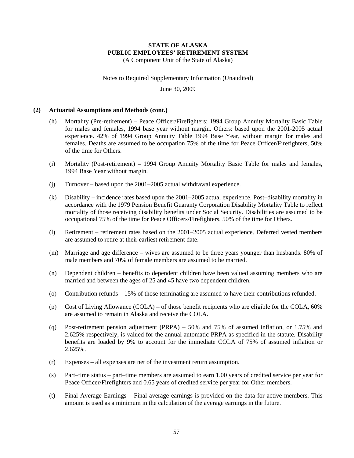Notes to Required Supplementary Information (Unaudited)

June 30, 2009

#### **(2) Actuarial Assumptions and Methods (cont.)**

- (h) Mortality (Pre-retirement) Peace Officer/Firefighters: 1994 Group Annuity Mortality Basic Table for males and females, 1994 base year without margin. Others: based upon the 2001-2005 actual experience. 42% of 1994 Group Annuity Table 1994 Base Year, without margin for males and females. Deaths are assumed to be occupation 75% of the time for Peace Officer/Firefighters, 50% of the time for Others.
- (i) Mortality (Post-retirement) 1994 Group Annuity Mortality Basic Table for males and females, 1994 Base Year without margin.
- (j) Turnover based upon the 2001–2005 actual withdrawal experience.
- (k) Disability incidence rates based upon the 2001–2005 actual experience. Post–disability mortality in accordance with the 1979 Pension Benefit Guaranty Corporation Disability Mortality Table to reflect mortality of those receiving disability benefits under Social Security. Disabilities are assumed to be occupational 75% of the time for Peace Officers/Firefighters, 50% of the time for Others.
- (l) Retirement retirement rates based on the 2001–2005 actual experience. Deferred vested members are assumed to retire at their earliest retirement date.
- (m) Marriage and age difference wives are assumed to be three years younger than husbands. 80% of male members and 70% of female members are assumed to be married.
- (n) Dependent children benefits to dependent children have been valued assuming members who are married and between the ages of 25 and 45 have two dependent children.
- (o) Contribution refunds 15% of those terminating are assumed to have their contributions refunded.
- (p) Cost of Living Allowance (COLA) of those benefit recipients who are eligible for the COLA, 60% are assumed to remain in Alaska and receive the COLA.
- (q) Post-retirement pension adjustment (PRPA) 50% and 75% of assumed inflation, or 1.75% and 2.625% respectively, is valued for the annual automatic PRPA as specified in the statute. Disability benefits are loaded by 9% to account for the immediate COLA of 75% of assumed inflation or 2.625%.
- (r) Expenses all expenses are net of the investment return assumption.
- (s) Part–time status part–time members are assumed to earn 1.00 years of credited service per year for Peace Officer/Firefighters and 0.65 years of credited service per year for Other members.
- (t) Final Average Earnings Final average earnings is provided on the data for active members. This amount is used as a minimum in the calculation of the average earnings in the future.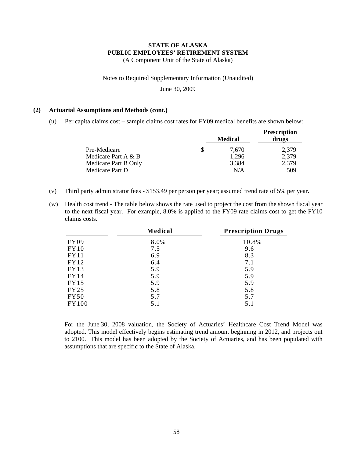Notes to Required Supplementary Information (Unaudited)

June 30, 2009

#### **(2) Actuarial Assumptions and Methods (cont.)**

(u) Per capita claims cost – sample claims cost rates for FY09 medical benefits are shown below:

|                      |   | <b>Medical</b> | <b>Prescription</b><br>drugs |
|----------------------|---|----------------|------------------------------|
| Pre-Medicare         | S | 7.670          | 2,379                        |
| Medicare Part A & B  |   | 1,296          | 2,379                        |
| Medicare Part B Only |   | 3,384          | 2,379                        |
| Medicare Part D      |   | N/A            | 509                          |

- (v) Third party administrator fees \$153.49 per person per year; assumed trend rate of 5% per year.
- (w) Health cost trend The table below shows the rate used to project the cost from the shown fiscal year to the next fiscal year. For example, 8.0% is applied to the FY09 rate claims cost to get the FY10 claims costs.

|             | Medical | <b>Prescription Drugs</b> |
|-------------|---------|---------------------------|
| FY09        | 8.0%    | 10.8%                     |
| FY10        | 7.5     | 9.6                       |
| FY11        | 6.9     | 8.3                       |
| FY12        | 6.4     | 7.1                       |
| FY13        | 5.9     | 5.9                       |
| FY14        | 5.9     | 5.9                       |
| FY15        | 5.9     | 5.9                       |
| FY25        | 5.8     | 5.8                       |
| <b>FY50</b> | 5.7     | 5.7                       |
| FY100       | 5.1     | 5.1                       |

For the June 30, 2008 valuation, the Society of Actuaries' Healthcare Cost Trend Model was adopted. This model effectively begins estimating trend amount beginning in 2012, and projects out to 2100. This model has been adopted by the Society of Actuaries, and has been populated with assumptions that are specific to the State of Alaska.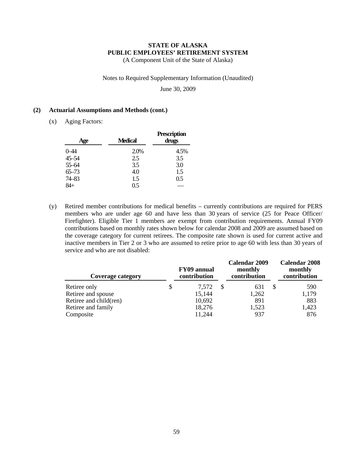#### Notes to Required Supplementary Information (Unaudited)

June 30, 2009

#### **(2) Actuarial Assumptions and Methods (cont.)**

(x) Aging Factors:

| Age       | Medical | <b>Prescription</b><br>drugs |
|-----------|---------|------------------------------|
| 0–44      | 2.0%    | 4.5%                         |
| $45 - 54$ | 2.5     | 3.5                          |
| 55-64     | 3.5     | 3.0                          |
| $65 - 73$ | 4.0     | 1.5                          |
| 74-83     | 1.5     | 0.5                          |
|           | 0.5     |                              |

(y) Retired member contributions for medical benefits – currently contributions are required for PERS members who are under age 60 and have less than 30 years of service (25 for Peace Officer/ Firefighter). Eligible Tier 1 members are exempt from contribution requirements. Annual FY09 contributions based on monthly rates shown below for calendar 2008 and 2009 are assumed based on the coverage category for current retirees. The composite rate shown is used for current active and inactive members in Tier 2 or 3 who are assumed to retire prior to age 60 with less than 30 years of service and who are not disabled:

| Coverage category      | <b>FY09</b> annual<br>contribution | Calendar 2009<br>monthly<br>contribution | Calendar 2008<br>monthly<br>contribution |
|------------------------|------------------------------------|------------------------------------------|------------------------------------------|
| Retiree only           | 7.572                              | 631                                      | 590                                      |
| Retiree and spouse     | 15,144                             | 1,262                                    | 1,179                                    |
| Retiree and child(ren) | 10,692                             | 891                                      | 883                                      |
| Retiree and family     | 18,276                             | 1,523                                    | 1,423                                    |
| Composite              | 11,244                             | 937                                      | 876                                      |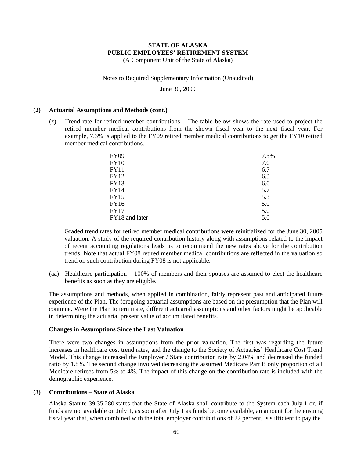(A Component Unit of the State of Alaska)

#### Notes to Required Supplementary Information (Unaudited)

June 30, 2009

#### **(2) Actuarial Assumptions and Methods (cont.)**

(z) Trend rate for retired member contributions – The table below shows the rate used to project the retired member medical contributions from the shown fiscal year to the next fiscal year. For example, 7.3% is applied to the FY09 retired member medical contributions to get the FY10 retired member medical contributions.

| FY09           | 7.3% |
|----------------|------|
| FY10           | 7.0  |
| FY11           | 6.7  |
| FY12           | 6.3  |
| FY13           | 6.0  |
| FY14           | 5.7  |
| FY15           | 5.3  |
| FY16           | 5.0  |
| FY17           | 5.0  |
| FY18 and later | 5.0  |

Graded trend rates for retired member medical contributions were reinitialized for the June 30, 2005 valuation. A study of the required contribution history along with assumptions related to the impact of recent accounting regulations leads us to recommend the new rates above for the contribution trends. Note that actual FY08 retired member medical contributions are reflected in the valuation so trend on such contribution during FY08 is not applicable.

(aa) Healthcare participation – 100% of members and their spouses are assumed to elect the healthcare benefits as soon as they are eligible.

The assumptions and methods, when applied in combination, fairly represent past and anticipated future experience of the Plan. The foregoing actuarial assumptions are based on the presumption that the Plan will continue. Were the Plan to terminate, different actuarial assumptions and other factors might be applicable in determining the actuarial present value of accumulated benefits.

#### **Changes in Assumptions Since the Last Valuation**

There were two changes in assumptions from the prior valuation. The first was regarding the future increases in healthcare cost trend rates, and the change to the Society of Actuaries' Healthcare Cost Trend Model. This change increased the Employer / State contribution rate by 2.04% and decreased the funded ratio by 1.8%. The second change involved decreasing the assumed Medicare Part B only proportion of all Medicare retirees from 5% to 4%. The impact of this change on the contribution rate is included with the demographic experience.

#### **(3) Contributions – State of Alaska**

Alaska Statute 39.35.280 states that the State of Alaska shall contribute to the System each July 1 or, if funds are not available on July 1, as soon after July 1 as funds become available, an amount for the ensuing fiscal year that, when combined with the total employer contributions of 22 percent, is sufficient to pay the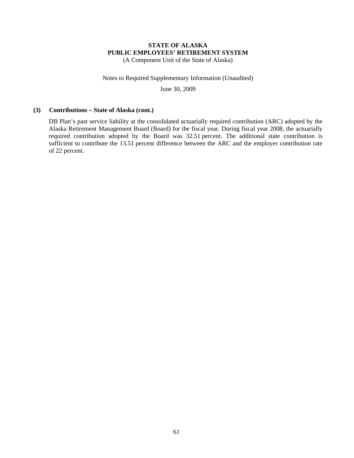Notes to Required Supplementary Information (Unaudited)

June 30, 2009

#### **(3) Contributions – State of Alaska (cont.)**

DB Plan's past service liability at the consolidated actuarially required contribution (ARC) adopted by the Alaska Retirement Management Board (Board) for the fiscal year. During fiscal year 2008, the actuarially required contribution adopted by the Board was 32.51 percent. The additional state contribution is sufficient to contribute the 13.51 percent difference between the ARC and the employer contribution rate of 22 percent.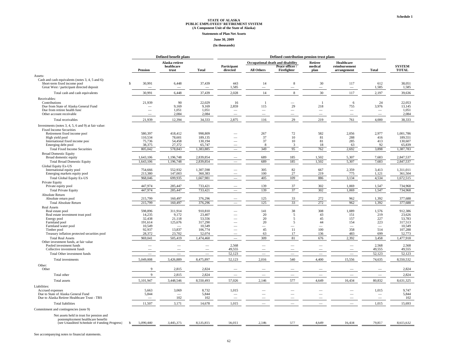#### **Statements of Plan Net Assets**

#### **June 30, 2009**

#### **(In thousands)**

|                                                                                                                                                                                                   | Defined benefit plans |                                        |                                       | Defined contribution pension trust plans |                           |                                                   |                                                                     |                                                   |                                            |                                |                                           |
|---------------------------------------------------------------------------------------------------------------------------------------------------------------------------------------------------|-----------------------|----------------------------------------|---------------------------------------|------------------------------------------|---------------------------|---------------------------------------------------|---------------------------------------------------------------------|---------------------------------------------------|--------------------------------------------|--------------------------------|-------------------------------------------|
|                                                                                                                                                                                                   |                       | <b>Pension</b>                         | Alaska retiree<br>healthcare<br>trust | <b>Total</b>                             | Participant<br>directed   | <b>All Others</b>                                 | Occupational death and disability<br>Peace officer /<br>Firefighter | Retiree<br>medical<br>plan                        | Healthcare<br>reimbursement<br>arrangement | <b>Total</b>                   | <b>SYSTEM</b><br><b>TOTAL</b>             |
|                                                                                                                                                                                                   |                       |                                        |                                       |                                          |                           |                                                   |                                                                     |                                                   |                                            |                                |                                           |
| Assets:<br>Cash and cash equivalents (notes 3, 4, 5 and 6):<br>Short-term fixed income pool<br>Great West / participant directed deposit                                                          | S                     | 30,991                                 | 6,448                                 | 37,439                                   | 443<br>1,585              | 14                                                | 8<br>$\overline{\phantom{a}}$                                       | 30                                                | 117<br>$\overline{\phantom{a}}$            | 612<br>1,585                   | 38,051<br>1,585                           |
| Total cash and cash equivalents                                                                                                                                                                   |                       | 30,991                                 | 6,448                                 | 37,439                                   | 2,028                     | 14                                                | 8                                                                   | 30                                                | 117                                        | 2,197                          | 39,636                                    |
| Receivables:                                                                                                                                                                                      |                       |                                        |                                       |                                          |                           |                                                   |                                                                     |                                                   |                                            |                                |                                           |
| Contributions<br>Due from State of Alaska General Fund<br>Due from retiree health fund<br>Other account receivable                                                                                |                       | 21,939                                 | 90<br>9,169<br>1,051<br>2,084         | 22,029<br>9,169<br>1,051<br>2,084        | 16<br>2,859<br>-          | $\overline{1}$<br>115<br>$\overline{\phantom{0}}$ | 29                                                                  | $\overline{1}$<br>218<br>$\overline{\phantom{a}}$ | 6<br>755<br>$\overline{\phantom{0}}$       | 24<br>3,976<br>$\qquad \qquad$ | 22,053<br>13,145<br>1,051<br>2,084        |
| Total receivables                                                                                                                                                                                 |                       | 21,939                                 | 12,394                                | 34,333                                   | 2,875                     | 116                                               | 29                                                                  | 219                                               | 761                                        | 4,000                          | 38,333                                    |
| Investments (notes 3, 4, 5, 6 and 9) at fair value:<br><b>Fixed Income Securities</b><br>Retirement fixed income pool<br>High yield pool<br>International fixed income pool<br>Emerging debt pool |                       | 580,397<br>110,534<br>75,736<br>38,375 | 418,412<br>78,601<br>54,458<br>27,372 | 998,809<br>189,135<br>130,194<br>65,747  | $\overline{\phantom{0}}$  | 267<br>37<br>37<br>8                              | 72<br>10<br>10<br>3                                                 | 582<br>81<br>81<br>18                             | 2,056<br>288<br>285<br>63                  | 2,977<br>416<br>413<br>92      | 1,001,786<br>189,551<br>130,607<br>65,839 |
| <b>Total Fixed Income Securities</b><br><b>Broad Domestic Equity</b>                                                                                                                              |                       | 805.042                                | 578,843                               | 1,383,885                                |                           | 349                                               | 95                                                                  | 762                                               | 2.692                                      | 3,898                          | 1,387,783                                 |
| Broad domestic equity<br><b>Total Broad Domestic Equity</b><br><b>Global Equity Ex-US</b>                                                                                                         |                       | 1,643,106<br>1,643,106                 | 1,196,748<br>1,196,748                | 2,839,854<br>2,839,854                   |                           | 689<br>689                                        | 185<br>185                                                          | 1,502<br>1,502                                    | 5,307<br>5,307                             | 7,683<br>7,683                 | 2,847,537<br>2,847,537                    |
| International equity pool<br>Emerging markets equity pool                                                                                                                                         |                       | 754,666<br>213,380                     | 552,932<br>147,003                    | 1,307,598<br>360,383                     |                           | 305<br>100                                        | 82<br>$27\,$                                                        | 667<br>219                                        | 2,359<br>775                               | 3,413<br>1,121                 | 1,311,011<br>361,504                      |
| <b>Total Global Equity Ex-US</b><br>Private Equity                                                                                                                                                |                       | 968,046                                | 699,935                               | 1,667,981                                |                           | 405                                               | 109                                                                 | 886                                               | 3,134                                      | 4,534                          | 1,672,515                                 |
| Private equity pool<br><b>Total Private Equity</b>                                                                                                                                                |                       | 447,974<br>447,974                     | 285,447<br>285,447                    | 733,421<br>733,421                       | $\overline{\phantom{0}}$  | 139<br>139                                        | 37<br>37                                                            | 302<br>302                                        | 1,069<br>1,069                             | 1,547<br>1,547                 | 734,968<br>734,968                        |
| Absolute Return<br>Absolute return pool                                                                                                                                                           |                       | 215,799                                | 160,497                               | 376,296                                  |                           | 125                                               | 33                                                                  | 272                                               | 962                                        | 1,392                          | 377,688                                   |
| <b>Total Absolute Return</b>                                                                                                                                                                      |                       | 215,799                                | 160,497                               | 376,296                                  |                           | 125                                               | 33                                                                  | 272                                               | 962                                        | 1,392                          | 377,688                                   |
| <b>Real Assets</b><br>Real estate pool<br>Real estate investment trust pool                                                                                                                       |                       | 598,896<br>14,235                      | 311,914<br>9,172                      | 910,810<br>23,407                        |                           | 141<br>20                                         | 38<br>5                                                             | 308<br>43                                         | 1,089<br>151                               | 1,576<br>219                   | 912,386<br>23,626                         |
| Energy pool<br>Farmland pool                                                                                                                                                                      |                       | 32,438<br>191,614                      | 21,118<br>125,676                     | 53,556<br>317,290                        |                           | 20<br>20                                          | 5<br>5                                                              | 45<br>44                                          | 157<br>154                                 | 227<br>223                     | 53,783<br>317,513                         |
| Farmland water pool<br>Timber pool<br>Treasury inflation protected securities pool                                                                                                                |                       | 10,549<br>92,937<br>28,372             | 13,837<br>23,702                      | 10,549<br>106,774<br>52,074              | $\sim$                    | $\overline{\phantom{m}}$<br>45<br>63              | -<br>11<br>17                                                       | $\overline{\phantom{0}}$<br>100<br>136            | $\sim$<br>358<br>483                       | $\sim$<br>514<br>699           | 10,549<br>107,288<br>52,773               |
| <b>Total Real Assets</b><br>Other investment funds, at fair value                                                                                                                                 |                       | 969,041                                | 505,419                               | 1,474,460                                |                           | 309                                               | $81\,$                                                              | 676                                               | 2,392                                      | 3,458                          | 1,477,918                                 |
| Pooled investment funds<br>Collective investment funds<br>Total Other investment funds                                                                                                            |                       | $\sim$                                 | $\overline{\phantom{a}}$              | $\overline{\phantom{0}}$                 | 2,568<br>49,555<br>52,123 | ÷,                                                |                                                                     | $\overline{\phantom{0}}$                          | $\overline{\phantom{0}}$<br>$\sim$         | 2,568<br>49,555<br>52,123      | 2,568<br>49,555<br>52,123                 |
| Total investments                                                                                                                                                                                 |                       | 5,049,008                              | 3,426,889                             | 8,475,897                                | 52,123                    | 2,016                                             | 540                                                                 | 4,400                                             | 15,556                                     | 74,635                         | 8,550,532                                 |
| Other:<br>Other                                                                                                                                                                                   |                       | 9                                      | 2,815                                 | 2,824                                    |                           |                                                   |                                                                     |                                                   |                                            |                                | 2,824                                     |
| Total other                                                                                                                                                                                       |                       | $\mathbf{Q}$                           | 2,815                                 | 2,824                                    |                           |                                                   |                                                                     | $\frac{1}{2}$                                     |                                            | $\overline{\phantom{0}}$       | 2,824                                     |
| Total assets                                                                                                                                                                                      |                       | 5,101,947                              | 3,448,546                             | 8,550,493                                | 57,026                    | 2,146                                             | 577                                                                 | 4,649                                             | 16,434                                     | 80,832                         | 8,631,325                                 |
| Liabilities:<br>Accrued expenses                                                                                                                                                                  |                       | 5,663                                  | 3,069                                 | 8,732                                    | 1,015                     |                                                   |                                                                     |                                                   |                                            | 1,015                          | 9,747                                     |
| Due to State of Alaska General Fund<br>Due to Alaska Retiree Healthcare Trust - TRS                                                                                                               |                       | 5,844                                  | 102                                   | 5,844<br>102                             | $\overline{\phantom{a}}$  |                                                   |                                                                     |                                                   |                                            | $\sim$                         | 5,844<br>102                              |
| <b>Total liabilities</b>                                                                                                                                                                          |                       | 11,507                                 | 3,171                                 | 14,678                                   | 1,015                     |                                                   |                                                                     |                                                   |                                            | 1,015                          | 15,693                                    |
| Commitment and contingencies (note 9)                                                                                                                                                             |                       |                                        |                                       |                                          |                           |                                                   |                                                                     |                                                   |                                            |                                |                                           |
| Net assets held in trust for pension and<br>postemployment healthcare benefits<br>(see Unaudited Schedule of Funding Progress)                                                                    | S.                    | 5.090.440                              | 3.445.375                             | 8.535.815                                | 56,011                    | 2.146                                             | 577                                                                 | 4.649                                             | 16.434                                     | 79.817                         | 8.615.632                                 |

See accompanying notes to financial statements.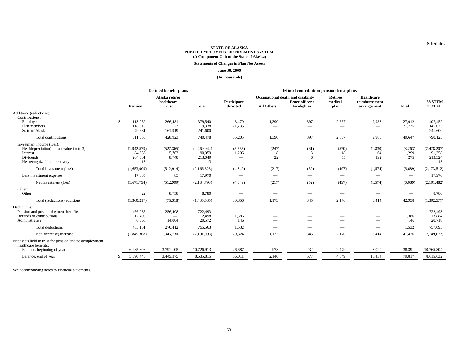**Statements of Changes in Plan Net Assets**

#### **June 30, 2009**

**(In thousands)**

| Healthcare<br>Alaska retiree<br>Occupational death and disability<br>Retiree<br><b>SYSTEM</b><br>healthcare<br>Participant<br>medical<br>Peace officer /<br>reimbursement<br>Firefighter<br>plan<br><b>Total</b><br><b>TOTAL</b><br>Pension<br><b>Total</b><br>directed<br><b>All Others</b><br>trust<br>arrangement<br>Additions (reductions):<br>Contributions:<br>\$<br>113,059<br>13,470<br>1,390<br>397<br>27,912<br>266,481<br>379,540<br>2,667<br>9,988<br>407.452<br>Employers<br>118,815<br>Plan members<br>523<br>119,338<br>21,735<br>21,735<br>141,073<br>$\overline{\phantom{m}}$<br>$\overline{\phantom{a}}$<br>79,681<br>241,600<br>State of Alaska<br>161,919<br>241,600<br>$\hspace{0.1mm}-\hspace{0.1mm}$<br>$\hspace{0.1mm}-\hspace{0.1mm}$<br>$\overline{\phantom{m}}$<br>$\hspace{0.1mm}-\hspace{0.1mm}$<br>Total contributions<br>428,923<br>740,478<br>1,390<br>397<br>2,667<br>9,988<br>311,555<br>35,205<br>49,647<br>790,125<br>Investment income (loss):<br>Net (depreciation) in fair value (note 3)<br>(1,942,579)<br>(527, 365)<br>(2,469,944)<br>(5,555)<br>(247)<br>(61)<br>(570)<br>(1,830)<br>(8,263)<br>(2,478,207)<br>5,703<br>90,059<br>1,206<br>18<br>1,299<br>84,356<br>91,358<br>Interest<br>3<br>64<br>8<br>22<br>55<br>Dividends<br>204,301<br>8,748<br>213,049<br>192<br>275<br>213,324<br>6<br>Net recognized loan recovery<br>13<br>13<br>13<br>$\overline{\phantom{0}}$<br>$\overline{\phantom{0}}$<br>$\hspace{0.1mm}-\hspace{0.1mm}$<br>$\overline{\phantom{a}}$<br>(217)<br>(52)<br>(497)<br>(4,349)<br>(1,574)<br>(6,689)<br>(1,653,909)<br>(512, 914)<br>(2,166,823)<br>(2,173,512)<br>Total investment (loss)<br>17,885<br>85<br>17,970<br>17,970<br>Less investment expense<br>$\overline{\phantom{a}}$<br>(52)<br>(1,671,794)<br>(512,999)<br>(2, 184, 793)<br>(4,349)<br>(217)<br>(497)<br>(1,574)<br>(6,689)<br>(2, 191, 482)<br>Net investment (loss)<br>Other:<br>Other<br>8,780<br>8,758<br>8,780<br>22 |                              | Defined benefit plans |             |          | Defined contribution pension trust plans |        |       |     |       |       |        |             |
|--------------------------------------------------------------------------------------------------------------------------------------------------------------------------------------------------------------------------------------------------------------------------------------------------------------------------------------------------------------------------------------------------------------------------------------------------------------------------------------------------------------------------------------------------------------------------------------------------------------------------------------------------------------------------------------------------------------------------------------------------------------------------------------------------------------------------------------------------------------------------------------------------------------------------------------------------------------------------------------------------------------------------------------------------------------------------------------------------------------------------------------------------------------------------------------------------------------------------------------------------------------------------------------------------------------------------------------------------------------------------------------------------------------------------------------------------------------------------------------------------------------------------------------------------------------------------------------------------------------------------------------------------------------------------------------------------------------------------------------------------------------------------------------------------------------------------------------------------------------------------------------------------------------------------------------------------------------------|------------------------------|-----------------------|-------------|----------|------------------------------------------|--------|-------|-----|-------|-------|--------|-------------|
|                                                                                                                                                                                                                                                                                                                                                                                                                                                                                                                                                                                                                                                                                                                                                                                                                                                                                                                                                                                                                                                                                                                                                                                                                                                                                                                                                                                                                                                                                                                                                                                                                                                                                                                                                                                                                                                                                                                                                                    |                              |                       |             |          |                                          |        |       |     |       |       |        |             |
|                                                                                                                                                                                                                                                                                                                                                                                                                                                                                                                                                                                                                                                                                                                                                                                                                                                                                                                                                                                                                                                                                                                                                                                                                                                                                                                                                                                                                                                                                                                                                                                                                                                                                                                                                                                                                                                                                                                                                                    |                              |                       |             |          |                                          |        |       |     |       |       |        |             |
|                                                                                                                                                                                                                                                                                                                                                                                                                                                                                                                                                                                                                                                                                                                                                                                                                                                                                                                                                                                                                                                                                                                                                                                                                                                                                                                                                                                                                                                                                                                                                                                                                                                                                                                                                                                                                                                                                                                                                                    |                              |                       |             |          |                                          |        |       |     |       |       |        |             |
|                                                                                                                                                                                                                                                                                                                                                                                                                                                                                                                                                                                                                                                                                                                                                                                                                                                                                                                                                                                                                                                                                                                                                                                                                                                                                                                                                                                                                                                                                                                                                                                                                                                                                                                                                                                                                                                                                                                                                                    |                              |                       |             |          |                                          |        |       |     |       |       |        |             |
|                                                                                                                                                                                                                                                                                                                                                                                                                                                                                                                                                                                                                                                                                                                                                                                                                                                                                                                                                                                                                                                                                                                                                                                                                                                                                                                                                                                                                                                                                                                                                                                                                                                                                                                                                                                                                                                                                                                                                                    |                              |                       |             |          |                                          |        |       |     |       |       |        |             |
|                                                                                                                                                                                                                                                                                                                                                                                                                                                                                                                                                                                                                                                                                                                                                                                                                                                                                                                                                                                                                                                                                                                                                                                                                                                                                                                                                                                                                                                                                                                                                                                                                                                                                                                                                                                                                                                                                                                                                                    |                              |                       |             |          |                                          |        |       |     |       |       |        |             |
|                                                                                                                                                                                                                                                                                                                                                                                                                                                                                                                                                                                                                                                                                                                                                                                                                                                                                                                                                                                                                                                                                                                                                                                                                                                                                                                                                                                                                                                                                                                                                                                                                                                                                                                                                                                                                                                                                                                                                                    |                              |                       |             |          |                                          |        |       |     |       |       |        |             |
|                                                                                                                                                                                                                                                                                                                                                                                                                                                                                                                                                                                                                                                                                                                                                                                                                                                                                                                                                                                                                                                                                                                                                                                                                                                                                                                                                                                                                                                                                                                                                                                                                                                                                                                                                                                                                                                                                                                                                                    |                              |                       |             |          |                                          |        |       |     |       |       |        |             |
|                                                                                                                                                                                                                                                                                                                                                                                                                                                                                                                                                                                                                                                                                                                                                                                                                                                                                                                                                                                                                                                                                                                                                                                                                                                                                                                                                                                                                                                                                                                                                                                                                                                                                                                                                                                                                                                                                                                                                                    |                              |                       |             |          |                                          |        |       |     |       |       |        |             |
|                                                                                                                                                                                                                                                                                                                                                                                                                                                                                                                                                                                                                                                                                                                                                                                                                                                                                                                                                                                                                                                                                                                                                                                                                                                                                                                                                                                                                                                                                                                                                                                                                                                                                                                                                                                                                                                                                                                                                                    |                              |                       |             |          |                                          |        |       |     |       |       |        |             |
|                                                                                                                                                                                                                                                                                                                                                                                                                                                                                                                                                                                                                                                                                                                                                                                                                                                                                                                                                                                                                                                                                                                                                                                                                                                                                                                                                                                                                                                                                                                                                                                                                                                                                                                                                                                                                                                                                                                                                                    | Total (reductions) additions |                       | (1,360,217) | (75,318) | (1,435,535)                              | 30,856 | 1,173 | 345 | 2,170 | 8,414 | 42,958 | (1,392,577) |
| Deductions:<br>722,493<br>722,493<br>Pension and postemployment benefits<br>466,085<br>256,408<br>$\hspace{0.1mm}-\hspace{0.1mm}$<br>1,386<br>1,386<br>Refunds of contributions<br>12,498<br>12,498<br>13,884<br>20,572<br>Administrative<br>14,004<br>146<br>146<br>20,718<br>6,568                                                                                                                                                                                                                                                                                                                                                                                                                                                                                                                                                                                                                                                                                                                                                                                                                                                                                                                                                                                                                                                                                                                                                                                                                                                                                                                                                                                                                                                                                                                                                                                                                                                                               |                              |                       |             |          |                                          |        |       |     |       |       |        |             |
| Total deductions<br>270,412<br>1,532<br>1,532<br>485,151<br>755,563<br>757,095                                                                                                                                                                                                                                                                                                                                                                                                                                                                                                                                                                                                                                                                                                                                                                                                                                                                                                                                                                                                                                                                                                                                                                                                                                                                                                                                                                                                                                                                                                                                                                                                                                                                                                                                                                                                                                                                                     |                              |                       |             |          |                                          |        |       |     |       |       |        |             |
| 1,173<br>345<br>(345,730)<br>(2,191,098)<br>29,324<br>2,170<br>8,414<br>41,426<br>(1,845,368)<br>(2,149,672)<br>Net (decrease) increase                                                                                                                                                                                                                                                                                                                                                                                                                                                                                                                                                                                                                                                                                                                                                                                                                                                                                                                                                                                                                                                                                                                                                                                                                                                                                                                                                                                                                                                                                                                                                                                                                                                                                                                                                                                                                            |                              |                       |             |          |                                          |        |       |     |       |       |        |             |
| Net assets held in trust for pension and postemployment<br>healthcare benefits:<br>6,935,808<br>3,791,105<br>10,726,913<br>26,687<br>973<br>232<br>2,479<br>8,020<br>38,391<br>10,765,304<br>Balance, beginning of year                                                                                                                                                                                                                                                                                                                                                                                                                                                                                                                                                                                                                                                                                                                                                                                                                                                                                                                                                                                                                                                                                                                                                                                                                                                                                                                                                                                                                                                                                                                                                                                                                                                                                                                                            |                              |                       |             |          |                                          |        |       |     |       |       |        |             |
| 577<br>Balance, end of year<br>5,090,440<br>3,445,375<br>8,535,815<br>56,011<br>2,146<br>4,649<br>16,434<br>79,817<br>8,615,632                                                                                                                                                                                                                                                                                                                                                                                                                                                                                                                                                                                                                                                                                                                                                                                                                                                                                                                                                                                                                                                                                                                                                                                                                                                                                                                                                                                                                                                                                                                                                                                                                                                                                                                                                                                                                                    |                              |                       |             |          |                                          |        |       |     |       |       |        |             |

See accompanying notes to financial statements.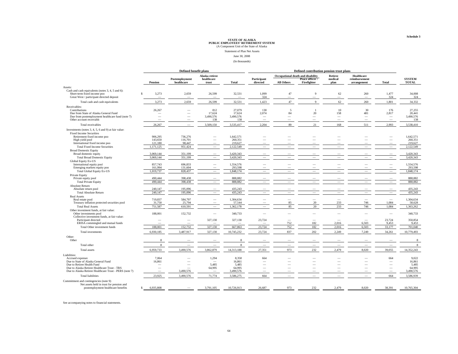Statement of Plan Net Assets

June 30, 2008

(In thousands)

|                                                                                                                              |                          | Defined benefit plans    |                                   |                     |                          | Defined contribution pension trust plans |                          |                          |                             |                          |                     |
|------------------------------------------------------------------------------------------------------------------------------|--------------------------|--------------------------|-----------------------------------|---------------------|--------------------------|------------------------------------------|--------------------------|--------------------------|-----------------------------|--------------------------|---------------------|
|                                                                                                                              |                          | Postemployment           | Alaska retiree<br>healthcare      |                     | Participant              | Occupational death and disability        | Peace officer /          | Retiree<br>medical       | Healthcare<br>reimbursement |                          | <b>SYSTEM</b>       |
|                                                                                                                              | Pension                  | healthcare               | trust                             | Total               | directed                 | <b>All Others</b>                        | Firefighter              | plan                     | arrangement                 | Total                    | <b>TOTAL</b>        |
| Assets:                                                                                                                      |                          |                          |                                   |                     |                          |                                          |                          |                          |                             |                          |                     |
| Cash and cash equivalents (notes 3, 4, 5 and 6):<br>Short-term fixed income poo<br>Great West / participant directed deposit | 3,273<br>$\mathcal{S}$   | 2,659                    | 26,599                            | 32,531              | 1,099<br>324             | 47                                       | 9                        | 62                       | 260                         | 1,477<br>324             | 34,008<br>324       |
|                                                                                                                              | 3,273                    | 2,659                    | 26,599                            | 32,531              | 1,423                    | 47                                       | $\overline{9}$           | 62                       | 260                         | 1,801                    | 34,332              |
| Total cash and cash equivalents                                                                                              |                          |                          |                                   |                     |                          |                                          |                          |                          |                             |                          |                     |
| Receivables:<br>Contributions                                                                                                | 26,267                   | -                        | 812                               | 27,079              | 130                      | 5                                        |                          | 10                       | 30                          | 176                      | 27,255              |
| Due from State of Alaska General Fund                                                                                        |                          | $\overline{\phantom{0}}$ | 17,624                            | 17,624              | 2,074                    | 84                                       | 20                       | 158                      | 481                         | 2,817                    | 20,441              |
| Due from postemployment healthcare fund (note 7)                                                                             |                          | $\overline{\phantom{a}}$ | 3,490,576                         | 3,490,576           | -                        | $\overline{\phantom{0}}$                 |                          | -                        | $\overline{\phantom{a}}$    | -                        | 3,490,576           |
| Other account receivable                                                                                                     | $\overline{\phantom{a}}$ | $\overline{\phantom{a}}$ | 138                               | 138                 | $\overline{\phantom{a}}$ | -                                        | $\overline{\phantom{a}}$ | $\overline{\phantom{m}}$ | $\overline{\phantom{m}}$    | $\overline{\phantom{m}}$ | 138                 |
| Total receivables                                                                                                            | 26.267                   |                          | 3,509,150                         | 3,535,417           | 2.204                    | 89                                       | 21                       | 168                      | 511                         | 2,993                    | 3,538,410           |
| Investments (notes 3, 4, 5, 6 and 9) at fair value:                                                                          |                          |                          |                                   |                     |                          |                                          |                          |                          |                             |                          |                     |
| <b>Fixed Income Securities</b>                                                                                               |                          |                          |                                   |                     |                          |                                          |                          |                          |                             |                          |                     |
| Retirement fixed income poo                                                                                                  | 906.295                  | 736,276                  |                                   | 1.642.571           |                          |                                          |                          |                          |                             |                          | 1,642,571           |
| High yield pool<br>International fixed income poo                                                                            | 143,650<br>121,180       | 116,701<br>98,447        |                                   | 260,351<br>219,627  |                          |                                          |                          |                          |                             |                          | 260,351<br>219,627  |
| <b>Total Fixed Income Securities</b>                                                                                         | 1,171,125                | 951,424                  |                                   | 2,122,549           |                          |                                          |                          |                          |                             | $\overline{\phantom{0}}$ | 2,122,549           |
| <b>Broad Domestic Equity</b>                                                                                                 |                          |                          |                                   |                     |                          |                                          |                          |                          |                             |                          |                     |
| Broad domestic equity                                                                                                        | 3.069.144                | 351.199                  |                                   | 3.420.343           |                          |                                          |                          |                          |                             |                          | 3,420,343           |
| <b>Total Broad Domestic Equity</b>                                                                                           | 3,069,144                | 351.199                  |                                   | 3.420.343           |                          |                                          |                          |                          |                             |                          | 3.420.343           |
| Global Equity Ex-US                                                                                                          |                          |                          |                                   |                     |                          |                                          |                          |                          |                             |                          |                     |
| International equity pool                                                                                                    | 857,743                  | 696,833                  | -                                 | 1,554,576           |                          |                                          |                          |                          |                             |                          | 1,554,576           |
| Emerging markets equity poo                                                                                                  | 161,994                  | 131,604                  |                                   | 293,598             |                          |                                          |                          |                          |                             |                          | 293,598             |
| <b>Total Global Equity Ex-US</b><br>Private Equity                                                                           | 1,019,737                | 828,437                  |                                   | 1,848,174           |                          |                                          |                          |                          |                             |                          | 1,848,174           |
| Private equity pool                                                                                                          | 490,444                  | 398,438                  |                                   | 888,882             |                          |                                          |                          |                          |                             |                          | 888,882             |
| <b>Total Private Equity</b>                                                                                                  | 490,444                  | 398,438                  |                                   | 888,882             |                          |                                          |                          |                          |                             | $\overline{\phantom{m}}$ | 888,882             |
| Absolute Return                                                                                                              |                          |                          |                                   |                     |                          |                                          |                          |                          |                             |                          |                     |
| Absolute return pool                                                                                                         | 240,147                  | 195,096                  |                                   | 435,243             |                          |                                          |                          |                          |                             |                          | 435,243             |
| <b>Total Absolute Return</b>                                                                                                 | 240,147                  | 195,096                  |                                   | 435,243             |                          |                                          |                          |                          |                             | $\overline{\phantom{a}}$ | 435,243             |
| <b>Real Assets</b>                                                                                                           |                          |                          |                                   |                     |                          |                                          |                          |                          |                             |                          |                     |
| Real estate pool<br>Treasury inflation protected securities pool                                                             | 719,837<br>31,750        | 584,797<br>25,794        |                                   | 1,304,634<br>57,544 |                          | $\overline{\phantom{0}}$<br>85           | 20                       | 233                      | 746                         | 1,084                    | 1,304,634<br>58,628 |
| <b>Total Real Assets</b>                                                                                                     | 751.587                  | 610.591                  |                                   | 1.362.178           |                          | 85                                       | 20                       | 233                      | 746                         | 1.084                    | 1,363,262           |
| Other investment funds, at fair value:                                                                                       |                          |                          |                                   |                     |                          |                                          |                          |                          |                             |                          |                     |
| Other investments pool<br>Collective investment funds, at fair value:                                                        | 188,001                  | 152,732                  |                                   | 340,733             |                          |                                          |                          |                          |                             | $\overline{\phantom{a}}$ | 340,733             |
| Participant directed                                                                                                         |                          | $\overline{\phantom{a}}$ | 327,130                           | 327,130             | 23,724                   |                                          |                          |                          |                             | 23,724                   | 350,854             |
| ERISA commingled and mutual funds                                                                                            |                          |                          |                                   |                     |                          | 752                                      | 182                      | 2,016                    | 6,503                       | 9,453                    | 9,453               |
| Total Other investment funds                                                                                                 | 188,001                  | 152,732                  | 327,130                           | 667,863             | 23,724                   | 752                                      | 182                      | 2,016                    | 6,503                       | 33,177                   | 701,040             |
| Total investments                                                                                                            | 6,930,185                | 3,487,917                | 327,130                           | 10,745,232          | 23,724                   | 837                                      | 202                      | 2,249                    | 7,249                       | 34,261                   | 10,779,493          |
| Other:                                                                                                                       |                          |                          |                                   |                     |                          |                                          |                          |                          |                             |                          |                     |
| Other                                                                                                                        | 8                        |                          |                                   |                     |                          |                                          |                          |                          |                             |                          | 8                   |
| Total other                                                                                                                  | $\mathbf{8}$             |                          |                                   | $\mathbf{\hat{x}}$  |                          |                                          |                          |                          |                             | -                        | 8                   |
| <b>Total</b> assets                                                                                                          | 6,959,733                | 3,490,576                | 3,862,879                         | 14,313,188          | 27,351                   | 973                                      | 232                      | 2,479                    | 8,020                       | 39,055                   | 14,352,243          |
| Liabilities:                                                                                                                 |                          |                          |                                   |                     |                          |                                          |                          |                          |                             |                          |                     |
| Accrued expenses                                                                                                             | 7.064                    |                          | 1,294<br>$\overline{\phantom{a}}$ | 8,358               | 664                      |                                          |                          |                          |                             | 664                      | 9,022               |
| Due to State of Alaska General Fund<br>Due to Retiree Health Fund                                                            | 16,861                   |                          | 5.485                             | 16,861<br>5.485     |                          |                                          |                          |                          |                             | $\overline{\phantom{a}}$ | 16,861<br>5.485     |
| Due to Alaska Retiree Healthcare Trust - TRS                                                                                 | -                        |                          | 64,995                            | 64,995              | $\overline{\phantom{a}}$ |                                          |                          |                          |                             | -                        | 64,995              |
| Due to Alaska Retiree Healthcare Trust - PERS (note 7)                                                                       | -                        | 3,490,576                |                                   | 3,490,576           | $\overline{\phantom{a}}$ |                                          |                          |                          |                             | -                        | 3,490,576           |
| <b>Total liabilities</b>                                                                                                     | 23,925                   | 3,490,576                | 71,774                            | 3,586,275           | 664                      |                                          |                          |                          |                             | 664                      | 3,586,939           |
| Commitment and contingencies (note 9)                                                                                        |                          |                          |                                   |                     |                          |                                          |                          |                          |                             |                          |                     |
| Net assets held in trust for pension and<br>postemployment healthcare benefits                                               | 6,935,808<br>\$.         |                          | 3,791,105                         | 10,726,913          | 26,687                   | 973                                      | 232                      | 2,479                    | 8,020                       | 38,391                   | 10,765,304          |
|                                                                                                                              |                          |                          |                                   |                     |                          |                                          |                          |                          |                             |                          |                     |

See accompanying notes to financial statements.

**Schedule 3**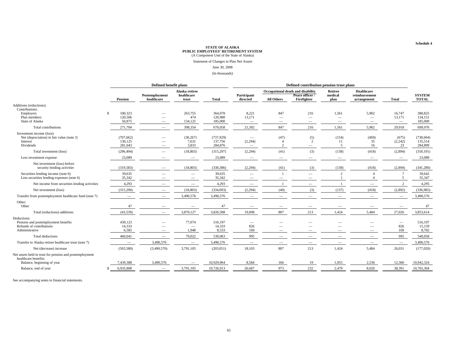Statement of Changes in Plan Net Assets

#### June 30, 2008

(In thousands)

|                                                                                                        | Defined benefit plans                       |                                                                                  |                                             |                                  | Defined contribution pension trust plans           |                                 |                                                                     |                                   |                                                               |                                                     |                                  |
|--------------------------------------------------------------------------------------------------------|---------------------------------------------|----------------------------------------------------------------------------------|---------------------------------------------|----------------------------------|----------------------------------------------------|---------------------------------|---------------------------------------------------------------------|-----------------------------------|---------------------------------------------------------------|-----------------------------------------------------|----------------------------------|
|                                                                                                        | <b>Pension</b>                              | Postemployment<br>healthcare                                                     | Alaska retiree<br>healthcare<br>trust       | <b>Total</b>                     | Participant<br>directed                            | <b>All Others</b>               | Occupational death and disability<br>Peace officer /<br>Firefighter | <b>Retiree</b><br>medical<br>plan | Healthcare<br>reimbursement<br>arrangement                    | <b>Total</b>                                        | <b>SYSTEM</b><br><b>TOTAL</b>    |
| Additions (reductions):                                                                                |                                             |                                                                                  |                                             |                                  |                                                    |                                 |                                                                     |                                   |                                                               |                                                     |                                  |
| Contributions:<br>Employers<br>Plan members<br>State of Alaska                                         | 100,323<br>$\mathbf S$<br>120,506<br>50,875 | $\overline{\phantom{0}}$<br>$\overline{\phantom{a}}$<br>$\overline{\phantom{0}}$ | 263,755<br>474<br>134,125                   | 364,078<br>120,980<br>185,000    | 8,221<br>13,171<br>$\hspace{0.1mm}-\hspace{0.1mm}$ | 847<br>$\overline{\phantom{m}}$ | 216<br>$\overline{\phantom{m}}$<br>$\overline{\phantom{m}}$         | 1,561<br>$\overline{\phantom{m}}$ | 5,902<br>$\overline{\phantom{0}}$<br>$\overline{\phantom{0}}$ | 16,747<br>13,171<br>$\hspace{0.1mm}-\hspace{0.1mm}$ | 380,825<br>134,151<br>185,000    |
| Total contributions                                                                                    | 271,704                                     |                                                                                  | 398,354                                     | 670,058                          | 21,392                                             | 847                             | 216                                                                 | 1,561                             | 5,902                                                         | 29,918                                              | 699,976                          |
| Investment income (loss):<br>Net (depreciation) in fair value (note 3)<br>Interest<br><b>Dividends</b> | (707, 662)<br>130,125<br>281,043            | $\overline{\phantom{m}}$<br>$\overline{\phantom{a}}$                             | (30, 267)<br>7,631<br>3.833                 | (737, 929)<br>137,756<br>284,876 | (2,294)<br>$\overline{\phantom{a}}$                | (47)<br>$\overline{2}$          | (5)<br>2<br>$\overline{\phantom{m}}$                                | (154)<br>11<br>5                  | (469)<br>35<br>16                                             | (675)<br>(2,242)<br>23                              | (738, 604)<br>135,514<br>284,899 |
| Total investment (loss)                                                                                | (296, 494)                                  |                                                                                  | (18, 803)                                   | (315, 297)                       | (2, 294)                                           | (41)                            | (3)                                                                 | (138)                             | (418)                                                         | (2,894)                                             | (318, 191)                       |
| Less investment expense                                                                                | 23,089                                      |                                                                                  |                                             | 23,089                           |                                                    | $\overline{\phantom{m}}$        |                                                                     |                                   |                                                               |                                                     | 23,089                           |
| Net investment (loss) before<br>security lending activities                                            | (319, 583)                                  |                                                                                  | (18, 803)                                   | (338, 386)                       | (2, 294)                                           | (41)                            | (3)                                                                 | (138)                             | (418)                                                         | (2,894)                                             | (341, 280)                       |
| Securities lending income (note 6)<br>Less securities lending expenses (note 6)                        | 39,635<br>35,342                            |                                                                                  | $\hspace{0.1mm}-\hspace{0.1mm}$             | 39,635<br>35,342                 | $\overline{\phantom{a}}$                           | $\overline{\phantom{m}}$        |                                                                     |                                   |                                                               |                                                     | 39,642<br>35,347                 |
| Net income from securities lending activities                                                          | 4,293                                       |                                                                                  | $\hspace{0.1mm}-\hspace{0.1mm}$             | 4,293                            | $\overline{\phantom{a}}$                           |                                 |                                                                     |                                   | $\overline{\phantom{m}}$                                      |                                                     | 4,295                            |
| Net investment (loss)                                                                                  | (315,290)                                   |                                                                                  | (18, 803)                                   | (334,093)                        | (2, 294)                                           | (40)                            | (3)                                                                 | (137)                             | (418)                                                         | (2,892)                                             | (336,985)                        |
| Transfer from postemployment healthcare fund (note 7)                                                  | $\overline{\phantom{a}}$                    |                                                                                  | 3,490,576                                   | 3,490,576                        |                                                    |                                 |                                                                     |                                   | $\overline{\phantom{m}}$                                      | $\overline{\phantom{a}}$                            | 3,490,576                        |
| Other:<br>Other                                                                                        | 47                                          |                                                                                  | $\hspace{0.1mm}-\hspace{0.1mm}$             | 47                               | $\overline{\phantom{a}}$                           | $\overline{\phantom{a}}$        |                                                                     |                                   | $\overline{\phantom{a}}$                                      |                                                     | 47                               |
| Total (reductions) additions                                                                           | (43,539)                                    |                                                                                  | 3,870,127                                   | 3,826,588                        | 19,098                                             | 807                             | 213                                                                 | 1,424                             | 5,484                                                         | 27,026                                              | 3,853,614                        |
| Deductions:<br>Pension and postemployment benefits<br>Refunds of contributions<br>Administrative       | 439,123<br>14,333<br>6,585                  |                                                                                  | 77,074<br>$\overline{\phantom{m}}$<br>1,948 | 516,197<br>14,333<br>8,533       | $\overline{\phantom{m}}$<br>826<br>169             |                                 |                                                                     |                                   |                                                               | $\hspace{0.1mm}-\hspace{0.1mm}$<br>826<br>169       | 516,197<br>15,159<br>8,702       |
| Total deductions                                                                                       | 460,041                                     |                                                                                  | 79,022                                      | 539,063                          | 995                                                | $\overline{\phantom{0}}$        |                                                                     |                                   | $\overline{\phantom{m}}$                                      | 995                                                 | 540,058                          |
| Transfer to Alaska retiree healthcare trust (note 7)                                                   | $\hspace{0.1mm}-\hspace{0.1mm}$             | 3,490,576                                                                        |                                             | 3,490,576                        | $\overline{\phantom{a}}$                           |                                 |                                                                     |                                   | $\overline{\phantom{0}}$                                      | $\hspace{0.1mm}-\hspace{0.1mm}$                     | 3,490,576                        |
| Net (decrease) increase                                                                                | (503, 580)                                  | (3,490,576)                                                                      | 3,791,105                                   | (203, 051)                       | 18,103                                             | 807                             | 213                                                                 | 1,424                             | 5,484                                                         | 26,031                                              | (177,020)                        |
| Net assets held in trust for pension and postemployment<br>healthcare benefits:                        |                                             |                                                                                  |                                             |                                  |                                                    |                                 |                                                                     |                                   |                                                               |                                                     |                                  |
| Balance, beginning of year                                                                             | 7,439,388                                   | 3,490,576                                                                        | $\overline{\phantom{0}}$                    | 10,929,964                       | 8,584                                              | 166                             | 19                                                                  | 1,055                             | 2,536                                                         | 12,360                                              | 10,942,324                       |
| Balance, end of year                                                                                   | 6,935,808                                   | $\overline{\phantom{m}}$                                                         | 3,791,105                                   | 10,726,913                       | 26,687                                             | 973                             | 232                                                                 | 2,479                             | 8,020                                                         | 38,391                                              | 10,765,304                       |

See accompanying notes to financial statements.

**Schedule 4**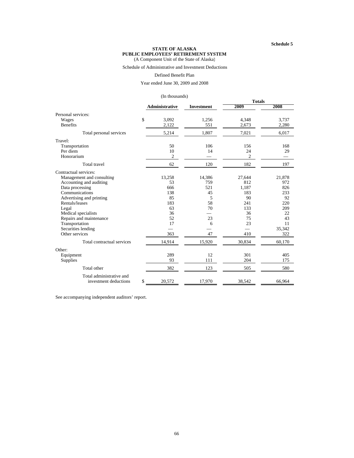#### **Schedule 5**

#### **STATE OF ALASKA PUBLIC EMPLOYEES' RETIREMENT SYSTEM** (A Component Unit of the State of Alaska)

## Schedule of Administrative and Investment Deductions

#### Defined Benefit Plan

Year ended June 30, 2009 and 2008

#### (In thousands)

|                             |                |            | <b>Totals</b> |        |  |
|-----------------------------|----------------|------------|---------------|--------|--|
|                             | Administrative | Investment | 2009          | 2008   |  |
| Personal services:          |                |            |               |        |  |
| \$<br>Wages                 | 3,092          | 1,256      | 4,348         | 3,737  |  |
| <b>Benefits</b>             | 2,122          | 551        | 2,673         | 2,280  |  |
| Total personal services     | 5,214          | 1,807      | 7,021         | 6,017  |  |
| Travel:                     |                |            |               |        |  |
| Transportation              | 50             | 106        | 156           | 168    |  |
| Per diem                    | 10             | 14         | 24            | 29     |  |
| Honorarium                  | $\overline{c}$ |            | 2             |        |  |
| <b>Total</b> travel         | 62             | 120        | 182           | 197    |  |
| Contractual services:       |                |            |               |        |  |
| Management and consulting   | 13,258         | 14,386     | 27,644        | 21,878 |  |
| Accounting and auditing     | 53             | 759        | 812           | 972    |  |
| Data processing             | 666            | 521        | 1,187         | 826    |  |
| Communications              | 138            | 45         | 183           | 233    |  |
| Advertising and printing    | 85             | 5          | 90            | 92     |  |
| Rentals/leases              | 183            | 58         | 241           | 220    |  |
| Legal                       | 63             | 70         | 133           | 209    |  |
| Medical specialists         | 36             |            | 36            | 22     |  |
| Repairs and maintenance     | 52             | 23         | 75            | 43     |  |
| Transportation              | 17             | 6          | 23            | 11     |  |
| Securities lending          |                |            |               | 35,342 |  |
| Other services              | 363            | 47         | 410           | 322    |  |
| Total contractual services  | 14,914         | 15,920     | 30,834        | 60,170 |  |
| Other:                      |                |            |               |        |  |
| Equipment                   | 289            | 12         | 301           | 405    |  |
| Supplies                    | 93             | 111        | 204           | 175    |  |
| Total other                 | 382            | 123        | 505           | 580    |  |
| Total administrative and    |                |            |               |        |  |
| \$<br>investment deductions | 20,572         | 17,970     | 38,542        | 66,964 |  |

See accompanying independent auditors' report.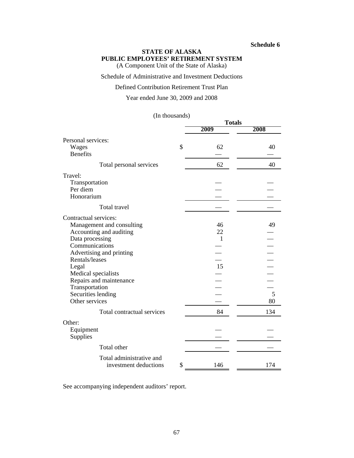#### **Schedule 6**

## **STATE OF ALASKA PUBLIC EMPLOYEES' RETIREMENT SYSTEM**

(A Component Unit of the State of Alaska)

Schedule of Administrative and Investment Deductions

#### Defined Contribution Retirement Trust Plan

Year ended June 30, 2009 and 2008

#### (In thousands)

|                            | $\cdots$ | <b>Totals</b> |      |
|----------------------------|----------|---------------|------|
|                            |          | 2009          | 2008 |
| Personal services:         |          |               |      |
| Wages<br><b>Benefits</b>   | \$       | 62            | 40   |
| Total personal services    |          | 62            | 40   |
| Travel:                    |          |               |      |
| Transportation             |          |               |      |
| Per diem                   |          |               |      |
| Honorarium                 |          |               |      |
| Total travel               |          |               |      |
| Contractual services:      |          |               |      |
| Management and consulting  |          | 46            | 49   |
| Accounting and auditing    |          | 22            |      |
| Data processing            |          | $\mathbf{1}$  |      |
| Communications             |          |               |      |
| Advertising and printing   |          |               |      |
| Rentals/leases             |          |               |      |
| Legal                      |          | 15            |      |
| Medical specialists        |          |               |      |
| Repairs and maintenance    |          |               |      |
| Transportation             |          |               |      |
| Securities lending         |          |               | 5    |
| Other services             |          |               | 80   |
| Total contractual services |          | 84            | 134  |
| Other:                     |          |               |      |
| Equipment                  |          |               |      |
| Supplies                   |          |               |      |
| Total other                |          |               |      |
| Total administrative and   |          |               |      |
| investment deductions      | \$       | 146           | 174  |

See accompanying independent auditors' report.